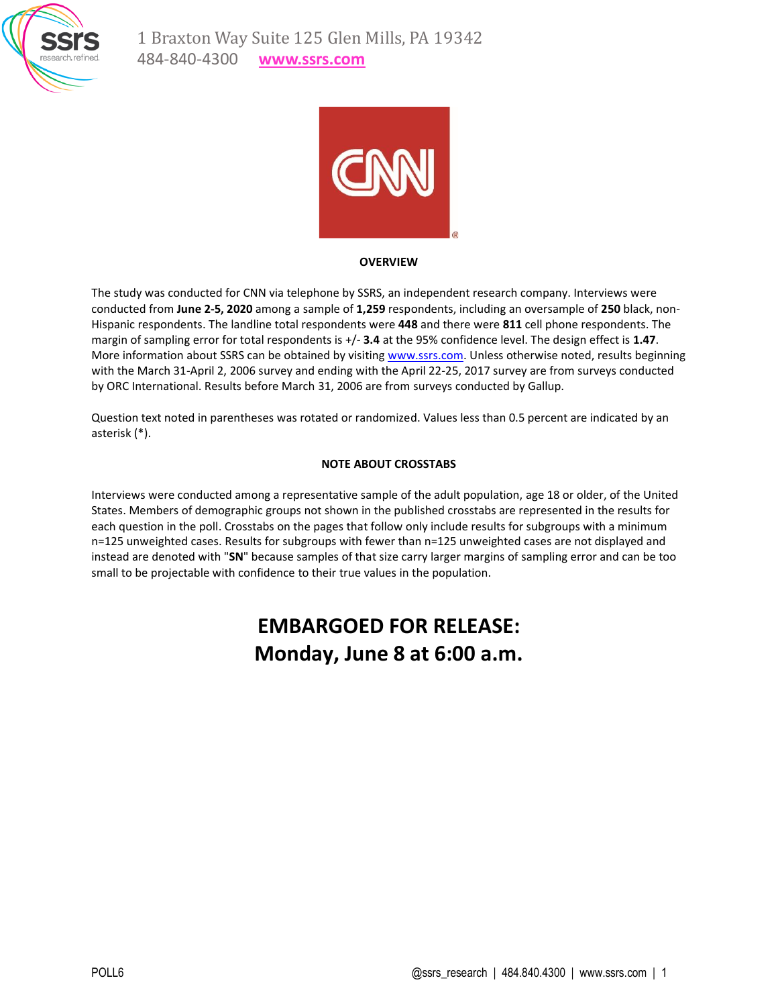



#### **OVERVIEW**

The study was conducted for CNN via telephone by SSRS, an independent research company. Interviews were conducted from **June 2-5, 2020** among a sample of **1,259** respondents, including an oversample of **250** black, non-Hispanic respondents. The landline total respondents were **448** and there were **811** cell phone respondents. The margin of sampling error for total respondents is +/- **3.4** at the 95% confidence level. The design effect is **1.47**. More information about SSRS can be obtained by visiting [www.ssrs.com.](http://www.ssrs.com/) Unless otherwise noted, results beginning with the March 31-April 2, 2006 survey and ending with the April 22-25, 2017 survey are from surveys conducted by ORC International. Results before March 31, 2006 are from surveys conducted by Gallup.

Question text noted in parentheses was rotated or randomized. Values less than 0.5 percent are indicated by an asterisk (\*).

# **NOTE ABOUT CROSSTABS**

Interviews were conducted among a representative sample of the adult population, age 18 or older, of the United States. Members of demographic groups not shown in the published crosstabs are represented in the results for each question in the poll. Crosstabs on the pages that follow only include results for subgroups with a minimum n=125 unweighted cases. Results for subgroups with fewer than n=125 unweighted cases are not displayed and instead are denoted with "**SN**" because samples of that size carry larger margins of sampling error and can be too small to be projectable with confidence to their true values in the population.

# **EMBARGOED FOR RELEASE: Monday, June 8 at 6:00 a.m.**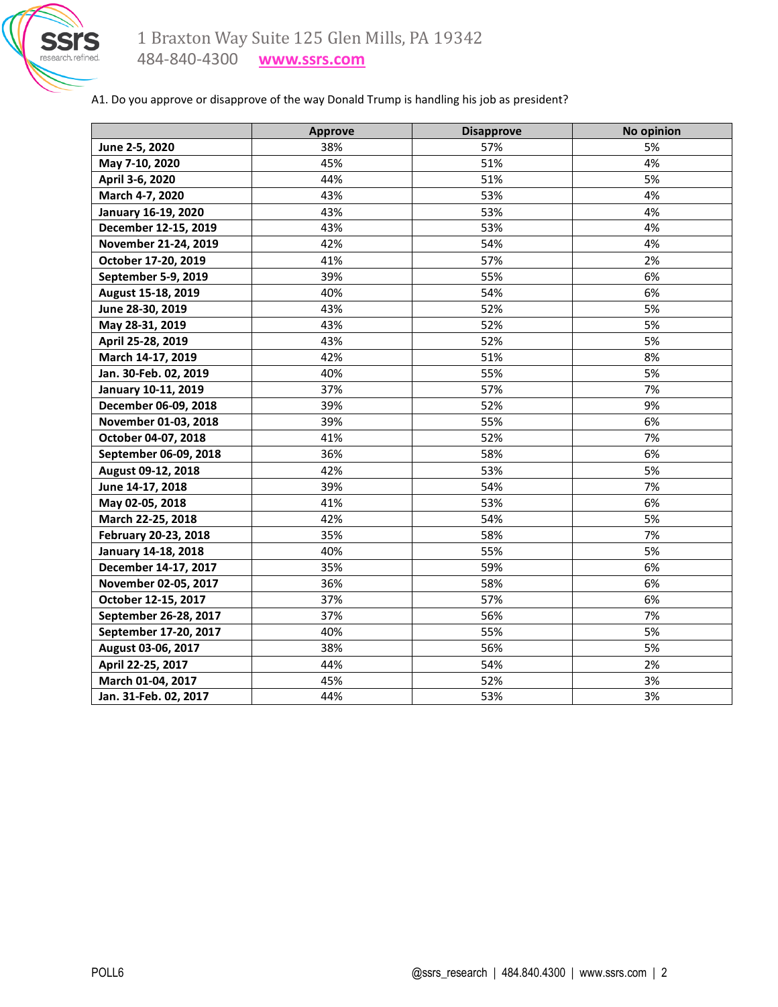

# A1. Do you approve or disapprove of the way Donald Trump is handling his job as president?

|                       | <b>Approve</b> | <b>Disapprove</b> | No opinion |
|-----------------------|----------------|-------------------|------------|
| June 2-5, 2020        | 38%            | 57%               | 5%         |
| May 7-10, 2020        | 45%            | 51%               | 4%         |
| April 3-6, 2020       | 44%            | 51%               | 5%         |
| March 4-7, 2020       | 43%            | 53%               | 4%         |
| January 16-19, 2020   | 43%            | 53%               | 4%         |
| December 12-15, 2019  | 43%            | 53%               | 4%         |
| November 21-24, 2019  | 42%            | 54%               | 4%         |
| October 17-20, 2019   | 41%            | 57%               | 2%         |
| September 5-9, 2019   | 39%            | 55%               | 6%         |
| August 15-18, 2019    | 40%            | 54%               | 6%         |
| June 28-30, 2019      | 43%            | 52%               | 5%         |
| May 28-31, 2019       | 43%            | 52%               | 5%         |
| April 25-28, 2019     | 43%            | 52%               | 5%         |
| March 14-17, 2019     | 42%            | 51%               | 8%         |
| Jan. 30-Feb. 02, 2019 | 40%            | 55%               | 5%         |
| January 10-11, 2019   | 37%            | 57%               | 7%         |
| December 06-09, 2018  | 39%            | 52%               | 9%         |
| November 01-03, 2018  | 39%            | 55%               | 6%         |
| October 04-07, 2018   | 41%            | 52%               | 7%         |
| September 06-09, 2018 | 36%            | 58%               | 6%         |
| August 09-12, 2018    | 42%            | 53%               | 5%         |
| June 14-17, 2018      | 39%            | 54%               | 7%         |
| May 02-05, 2018       | 41%            | 53%               | 6%         |
| March 22-25, 2018     | 42%            | 54%               | 5%         |
| February 20-23, 2018  | 35%            | 58%               | 7%         |
| January 14-18, 2018   | 40%            | 55%               | 5%         |
| December 14-17, 2017  | 35%            | 59%               | 6%         |
| November 02-05, 2017  | 36%            | 58%               | 6%         |
| October 12-15, 2017   | 37%            | 57%               | 6%         |
| September 26-28, 2017 | 37%            | 56%               | 7%         |
| September 17-20, 2017 | 40%            | 55%               | 5%         |
| August 03-06, 2017    | 38%            | 56%               | 5%         |
| April 22-25, 2017     | 44%            | 54%               | 2%         |
| March 01-04, 2017     | 45%            | 52%               | 3%         |
| Jan. 31-Feb. 02, 2017 | 44%            | 53%               | 3%         |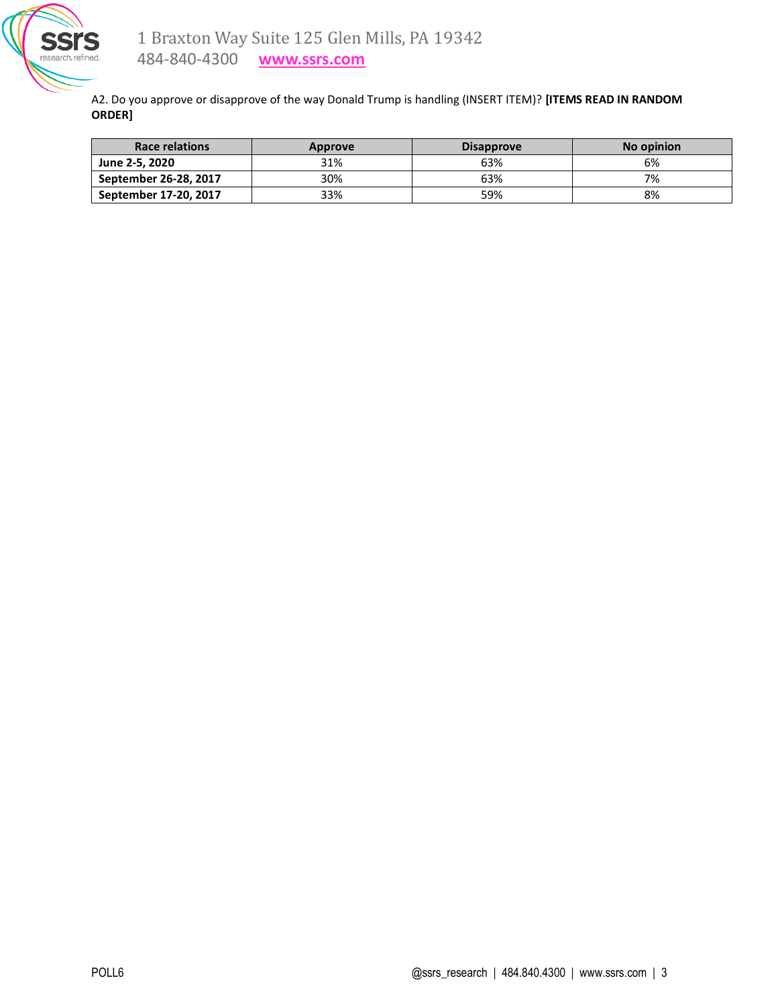

A2. Do you approve or disapprove of the way Donald Trump is handling (INSERT ITEM)? **[ITEMS READ IN RANDOM ORDER]** 

| Race relations        | <b>Approve</b> | <b>Disapprove</b> | No opinion |
|-----------------------|----------------|-------------------|------------|
| June 2-5, 2020        | 31%            | 63%               | 6%         |
| September 26-28, 2017 | 30%            | 63%               | 7%         |
| September 17-20, 2017 | 33%            | 59%               | 8%         |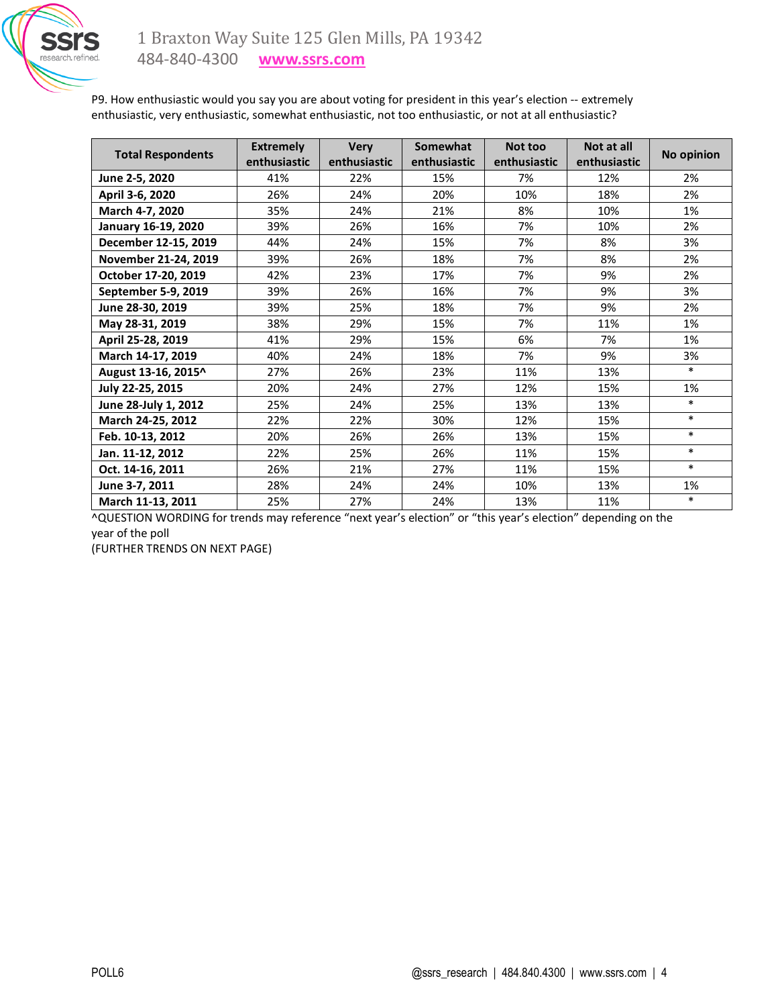

P9. How enthusiastic would you say you are about voting for president in this year's election -- extremely enthusiastic, very enthusiastic, somewhat enthusiastic, not too enthusiastic, or not at all enthusiastic?

| <b>Total Respondents</b> | <b>Extremely</b><br>enthusiastic | <b>Very</b><br>enthusiastic | Somewhat<br>enthusiastic | Not too<br>enthusiastic | Not at all<br>enthusiastic | No opinion |
|--------------------------|----------------------------------|-----------------------------|--------------------------|-------------------------|----------------------------|------------|
| June 2-5, 2020           | 41%                              | 22%                         | 15%                      | 7%                      | 12%                        | 2%         |
| April 3-6, 2020          | 26%                              | 24%                         | 20%                      | 10%                     | 18%                        | 2%         |
| March 4-7, 2020          | 35%                              | 24%                         | 21%                      | 8%                      | 10%                        | 1%         |
| January 16-19, 2020      | 39%                              | 26%                         | 16%                      | 7%                      | 10%                        | 2%         |
| December 12-15, 2019     | 44%                              | 24%                         | 15%                      | 7%                      | 8%                         | 3%         |
| November 21-24, 2019     | 39%                              | 26%                         | 18%                      | 7%                      | 8%                         | 2%         |
| October 17-20, 2019      | 42%                              | 23%                         | 17%                      | 7%                      | 9%                         | 2%         |
| September 5-9, 2019      | 39%                              | 26%                         | 16%                      | 7%                      | 9%                         | 3%         |
| June 28-30, 2019         | 39%                              | 25%                         | 18%                      | 7%                      | 9%                         | 2%         |
| May 28-31, 2019          | 38%                              | 29%                         | 15%                      | 7%                      | 11%                        | 1%         |
| April 25-28, 2019        | 41%                              | 29%                         | 15%                      | 6%                      | 7%                         | 1%         |
| March 14-17, 2019        | 40%                              | 24%                         | 18%                      | 7%                      | 9%                         | 3%         |
| August 13-16, 2015^      | 27%                              | 26%                         | 23%                      | 11%                     | 13%                        | $\ast$     |
| July 22-25, 2015         | 20%                              | 24%                         | 27%                      | 12%                     | 15%                        | 1%         |
| June 28-July 1, 2012     | 25%                              | 24%                         | 25%                      | 13%                     | 13%                        | $\ast$     |
| March 24-25, 2012        | 22%                              | 22%                         | 30%                      | 12%                     | 15%                        | $\ast$     |
| Feb. 10-13, 2012         | 20%                              | 26%                         | 26%                      | 13%                     | 15%                        | $\ast$     |
| Jan. 11-12, 2012         | 22%                              | 25%                         | 26%                      | 11%                     | 15%                        | $\ast$     |
| Oct. 14-16, 2011         | 26%                              | 21%                         | 27%                      | 11%                     | 15%                        | $\ast$     |
| June 3-7, 2011           | 28%                              | 24%                         | 24%                      | 10%                     | 13%                        | 1%         |
| March 11-13, 2011        | 25%                              | 27%                         | 24%                      | 13%                     | 11%                        | $\ast$     |

^QUESTION WORDING for trends may reference "next year's election" or "this year's election" depending on the year of the poll

(FURTHER TRENDS ON NEXT PAGE)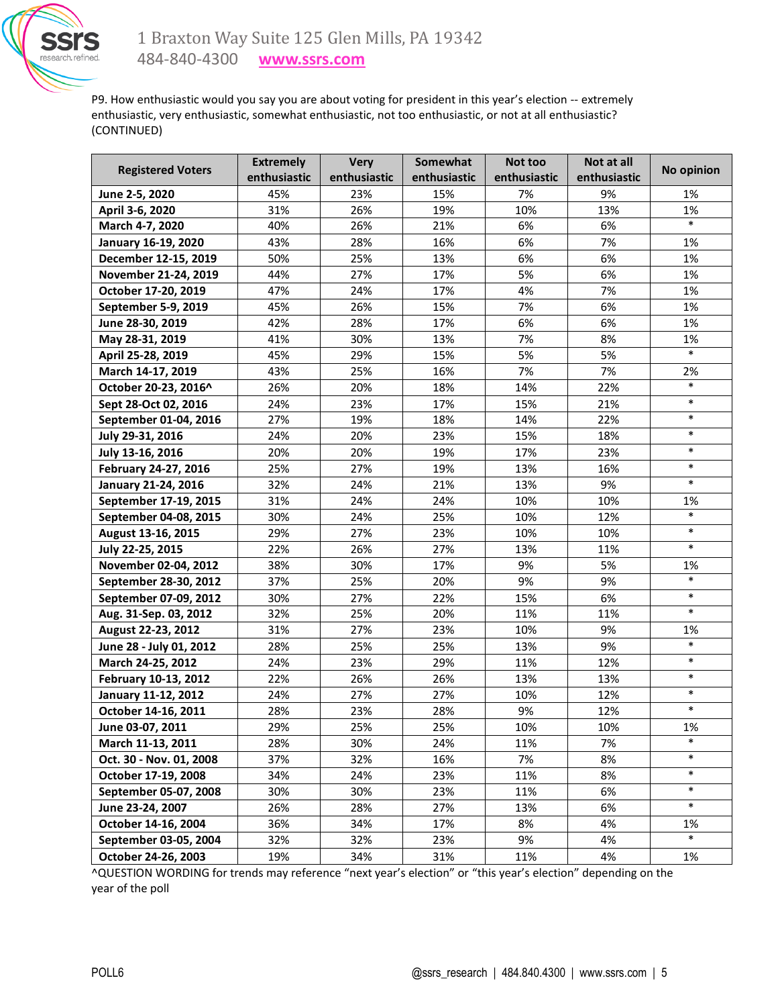

P9. How enthusiastic would you say you are about voting for president in this year's election -- extremely enthusiastic, very enthusiastic, somewhat enthusiastic, not too enthusiastic, or not at all enthusiastic? (CONTINUED)

|                          | <b>Extremely</b> | <b>Very</b>  | Somewhat     | Not too      | Not at all   | No opinion |
|--------------------------|------------------|--------------|--------------|--------------|--------------|------------|
| <b>Registered Voters</b> | enthusiastic     | enthusiastic | enthusiastic | enthusiastic | enthusiastic |            |
| June 2-5, 2020           | 45%              | 23%          | 15%          | 7%           | 9%           | 1%         |
| April 3-6, 2020          | 31%              | 26%          | 19%          | 10%          | 13%          | 1%         |
| March 4-7, 2020          | 40%              | 26%          | 21%          | 6%           | 6%           | $\ast$     |
| January 16-19, 2020      | 43%              | 28%          | 16%          | 6%           | 7%           | 1%         |
| December 12-15, 2019     | 50%              | 25%          | 13%          | 6%           | 6%           | 1%         |
| November 21-24, 2019     | 44%              | 27%          | 17%          | 5%           | 6%           | 1%         |
| October 17-20, 2019      | 47%              | 24%          | 17%          | 4%           | 7%           | 1%         |
| September 5-9, 2019      | 45%              | 26%          | 15%          | 7%           | 6%           | 1%         |
| June 28-30, 2019         | 42%              | 28%          | 17%          | 6%           | 6%           | 1%         |
| May 28-31, 2019          | 41%              | 30%          | 13%          | 7%           | 8%           | 1%         |
| April 25-28, 2019        | 45%              | 29%          | 15%          | 5%           | 5%           | $\ast$     |
| March 14-17, 2019        | 43%              | 25%          | 16%          | 7%           | 7%           | 2%         |
| October 20-23, 2016^     | 26%              | 20%          | 18%          | 14%          | 22%          | $\ast$     |
| Sept 28-Oct 02, 2016     | 24%              | 23%          | 17%          | 15%          | 21%          | $\ast$     |
| September 01-04, 2016    | 27%              | 19%          | 18%          | 14%          | 22%          | $\ast$     |
| July 29-31, 2016         | 24%              | 20%          | 23%          | 15%          | 18%          | $\ast$     |
| July 13-16, 2016         | 20%              | 20%          | 19%          | 17%          | 23%          | $\ast$     |
| February 24-27, 2016     | 25%              | 27%          | 19%          | 13%          | 16%          | $\ast$     |
| January 21-24, 2016      | 32%              | 24%          | 21%          | 13%          | 9%           | $\ast$     |
| September 17-19, 2015    | 31%              | 24%          | 24%          | 10%          | 10%          | 1%         |
| September 04-08, 2015    | 30%              | 24%          | 25%          | 10%          | 12%          | $\ast$     |
| August 13-16, 2015       | 29%              | 27%          | 23%          | 10%          | 10%          | $\ast$     |
| July 22-25, 2015         | 22%              | 26%          | 27%          | 13%          | 11%          | $\ast$     |
| November 02-04, 2012     | 38%              | 30%          | 17%          | 9%           | 5%           | 1%         |
| September 28-30, 2012    | 37%              | 25%          | 20%          | 9%           | 9%           | $\ast$     |
| September 07-09, 2012    | 30%              | 27%          | 22%          | 15%          | 6%           | $\ast$     |
| Aug. 31-Sep. 03, 2012    | 32%              | 25%          | 20%          | 11%          | 11%          | $\ast$     |
| August 22-23, 2012       | 31%              | 27%          | 23%          | 10%          | 9%           | 1%         |
| June 28 - July 01, 2012  | 28%              | 25%          | 25%          | 13%          | 9%           | $\ast$     |
| March 24-25, 2012        | 24%              | 23%          | 29%          | 11%          | 12%          | $\ast$     |
| February 10-13, 2012     | 22%              | 26%          | 26%          | 13%          | 13%          | $\ast$     |
| January 11-12, 2012      | 24%              | 27%          | 27%          | 10%          | 12%          | $\ast$     |
| October 14-16, 2011      | 28%              | 23%          | 28%          | 9%           | 12%          | $\ast$     |
| June 03-07, 2011         | 29%              | 25%          | 25%          | 10%          | 10%          | 1%         |
| March 11-13, 2011        | 28%              | 30%          | 24%          | 11%          | 7%           | $\ast$     |
| Oct. 30 - Nov. 01, 2008  | 37%              | 32%          | 16%          | 7%           | 8%           | $\ast$     |
| October 17-19, 2008      | 34%              | 24%          | 23%          | 11%          | 8%           | $\ast$     |
| September 05-07, 2008    | 30%              | 30%          | 23%          | 11%          | 6%           | $\ast$     |
| June 23-24, 2007         | 26%              | 28%          | 27%          | 13%          | 6%           | $\ast$     |
| October 14-16, 2004      | 36%              | 34%          | 17%          | 8%           | 4%           | 1%         |
| September 03-05, 2004    | 32%              | 32%          | 23%          | 9%           | 4%           | $\ast$     |
| October 24-26, 2003      | 19%              | 34%          | 31%          | 11%          | 4%           | 1%         |

^QUESTION WORDING for trends may reference "next year's election" or "this year's election" depending on the year of the poll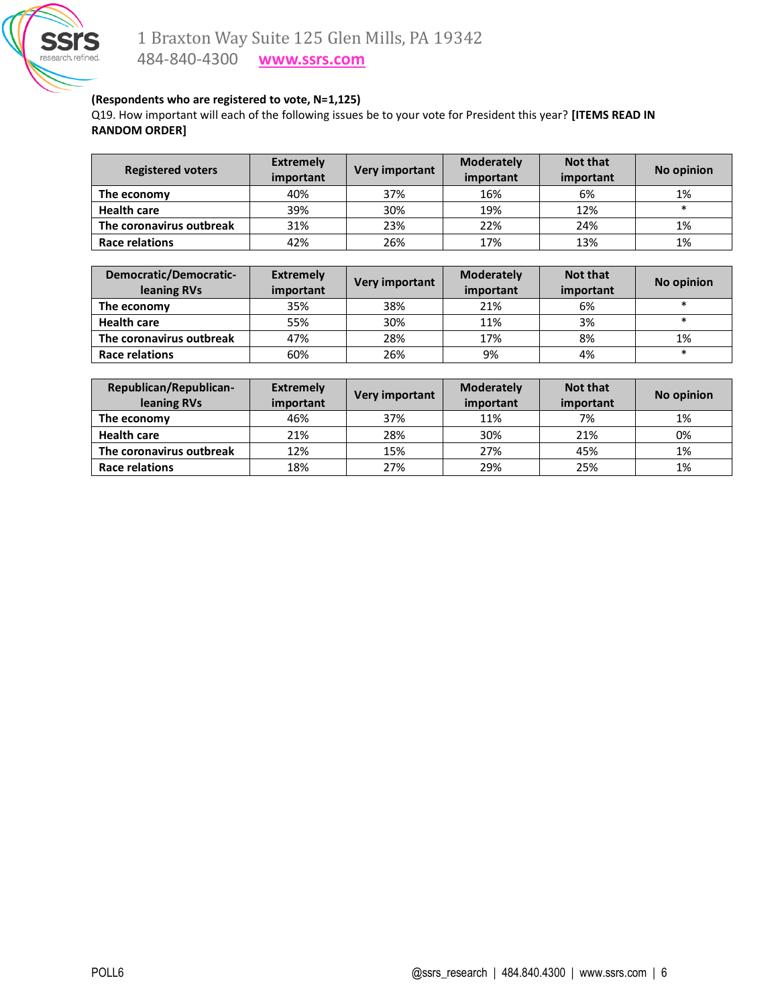

Q19. How important will each of the following issues be to your vote for President this year? **[ITEMS READ IN RANDOM ORDER]**

| <b>Registered voters</b> | <b>Extremely</b><br>important | Very important | <b>Moderately</b><br>important | <b>Not that</b><br>important | No opinion |
|--------------------------|-------------------------------|----------------|--------------------------------|------------------------------|------------|
| The economy              | 40%                           | 37%            | 16%                            | 6%                           | 1%         |
| <b>Health care</b>       | 39%                           | 30%            | 19%                            | 12%                          | $\ast$     |
| The coronavirus outbreak | 31%                           | 23%            | 22%                            | 24%                          | 1%         |
| Race relations           | 42%                           | 26%            | 17%                            | 13%                          | 1%         |

| Democratic/Democratic-<br>leaning RVs | <b>Extremely</b><br>important | Very important | <b>Moderately</b><br>important | <b>Not that</b><br>important | No opinion |
|---------------------------------------|-------------------------------|----------------|--------------------------------|------------------------------|------------|
| The economy                           | 35%                           | 38%            | 21%                            | 6%                           |            |
| <b>Health care</b>                    | 55%                           | 30%            | 11%                            | 3%                           |            |
| The coronavirus outbreak              | 47%                           | 28%            | 17%                            | 8%                           | 1%         |
| <b>Race relations</b>                 | 60%                           | 26%            | 9%                             | 4%                           | $\ast$     |

| Republican/Republican-   | <b>Extremely</b> | Very important | <b>Moderately</b> | <b>Not that</b> | No opinion |
|--------------------------|------------------|----------------|-------------------|-----------------|------------|
| leaning RVs              | important        |                | important         | important       |            |
| The economy              | 46%              | 37%            | 11%               | 7%              | 1%         |
| <b>Health care</b>       | 21%              | 28%            | 30%               | 21%             | 0%         |
| The coronavirus outbreak | 12%              | 15%            | 27%               | 45%             | 1%         |
| Race relations           | 18%              | 27%            | 29%               | 25%             | 1%         |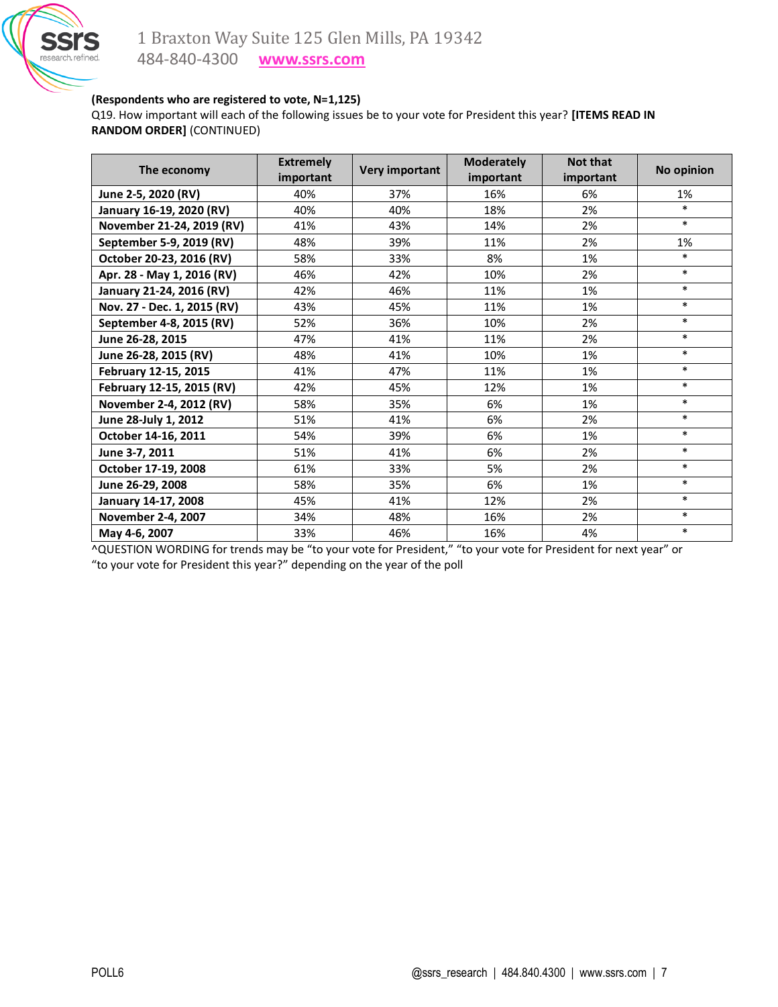

Q19. How important will each of the following issues be to your vote for President this year? **[ITEMS READ IN RANDOM ORDER]** (CONTINUED)

|                             | <b>Extremely</b> |                       | <b>Moderately</b> | <b>Not that</b> |                   |
|-----------------------------|------------------|-----------------------|-------------------|-----------------|-------------------|
| The economy                 | important        | <b>Very important</b> | important         | important       | <b>No opinion</b> |
| June 2-5, 2020 (RV)         | 40%              | 37%                   | 16%               | 6%              | 1%                |
| January 16-19, 2020 (RV)    | 40%              | 40%                   | 18%               | 2%              | $\ast$            |
| November 21-24, 2019 (RV)   | 41%              | 43%                   | 14%               | 2%              | $\ast$            |
| September 5-9, 2019 (RV)    | 48%              | 39%                   | 11%               | 2%              | 1%                |
| October 20-23, 2016 (RV)    | 58%              | 33%                   | 8%                | 1%              | $\ast$            |
| Apr. 28 - May 1, 2016 (RV)  | 46%              | 42%                   | 10%               | 2%              | $\ast$            |
| January 21-24, 2016 (RV)    | 42%              | 46%                   | 11%               | 1%              | $\ast$            |
| Nov. 27 - Dec. 1, 2015 (RV) | 43%              | 45%                   | 11%               | 1%              | $\ast$            |
| September 4-8, 2015 (RV)    | 52%              | 36%                   | 10%               | 2%              | $\ast$            |
| June 26-28, 2015            | 47%              | 41%                   | 11%               | 2%              | $\ast$            |
| June 26-28, 2015 (RV)       | 48%              | 41%                   | 10%               | 1%              | $\ast$            |
| February 12-15, 2015        | 41%              | 47%                   | 11%               | 1%              | $\ast$            |
| February 12-15, 2015 (RV)   | 42%              | 45%                   | 12%               | 1%              | $\ast$            |
| November 2-4, 2012 (RV)     | 58%              | 35%                   | 6%                | 1%              | $\ast$            |
| June 28-July 1, 2012        | 51%              | 41%                   | 6%                | 2%              | $\ast$            |
| October 14-16, 2011         | 54%              | 39%                   | 6%                | 1%              | $\ast$            |
| June 3-7, 2011              | 51%              | 41%                   | 6%                | 2%              | $\ast$            |
| October 17-19, 2008         | 61%              | 33%                   | 5%                | 2%              | $\ast$            |
| June 26-29, 2008            | 58%              | 35%                   | 6%                | 1%              | $\ast$            |
| January 14-17, 2008         | 45%              | 41%                   | 12%               | 2%              | $\ast$            |
| November 2-4, 2007          | 34%              | 48%                   | 16%               | 2%              | $\ast$            |
| May 4-6, 2007               | 33%              | 46%                   | 16%               | 4%              | $\ast$            |

^QUESTION WORDING for trends may be "to your vote for President," "to your vote for President for next year" or "to your vote for President this year?" depending on the year of the poll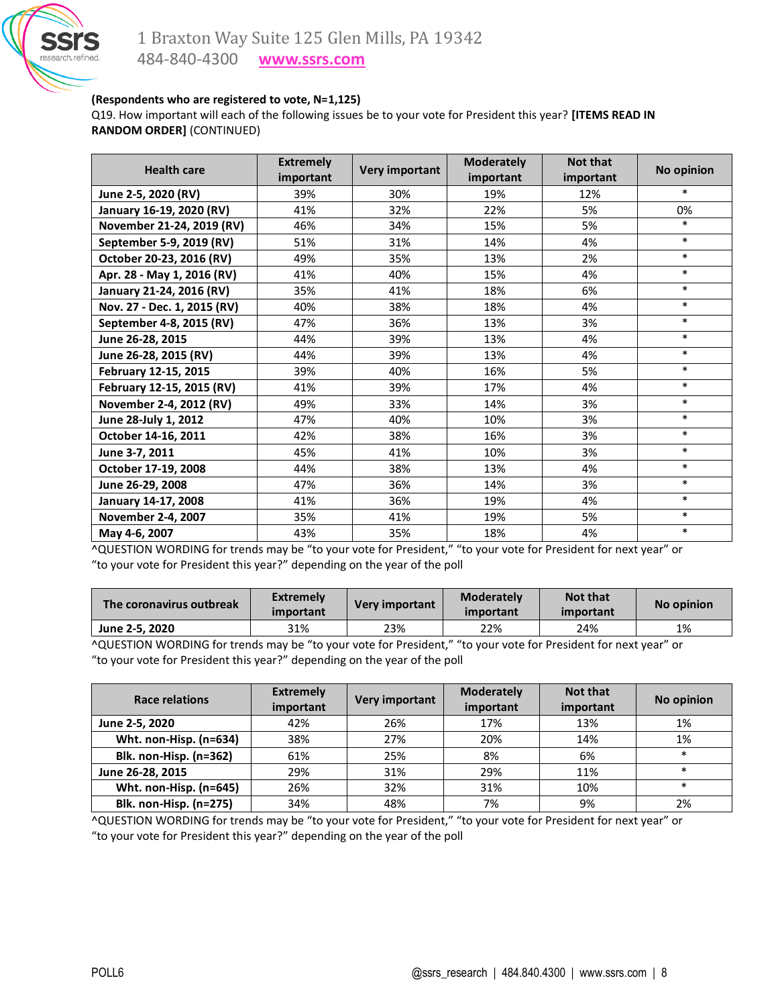

Q19. How important will each of the following issues be to your vote for President this year? **[ITEMS READ IN RANDOM ORDER]** (CONTINUED)

| <b>Health care</b>          | <b>Extremely</b> | <b>Very important</b> | <b>Moderately</b> | Not that  | <b>No opinion</b> |
|-----------------------------|------------------|-----------------------|-------------------|-----------|-------------------|
|                             | important        |                       | important         | important |                   |
| June 2-5, 2020 (RV)         | 39%              | 30%                   | 19%               | 12%       | $\ast$            |
| January 16-19, 2020 (RV)    | 41%              | 32%                   | 22%               | 5%        | 0%                |
| November 21-24, 2019 (RV)   | 46%              | 34%                   | 15%               | 5%        | $\ast$            |
| September 5-9, 2019 (RV)    | 51%              | 31%                   | 14%               | 4%        | $\ast$            |
| October 20-23, 2016 (RV)    | 49%              | 35%                   | 13%               | 2%        | $\ast$            |
| Apr. 28 - May 1, 2016 (RV)  | 41%              | 40%                   | 15%               | 4%        | $\ast$            |
| January 21-24, 2016 (RV)    | 35%              | 41%                   | 18%               | 6%        | $\ast$            |
| Nov. 27 - Dec. 1, 2015 (RV) | 40%              | 38%                   | 18%               | 4%        | $\ast$            |
| September 4-8, 2015 (RV)    | 47%              | 36%                   | 13%               | 3%        | $\ast$            |
| June 26-28, 2015            | 44%              | 39%                   | 13%               | 4%        | $\ast$            |
| June 26-28, 2015 (RV)       | 44%              | 39%                   | 13%               | 4%        | $\ast$            |
| February 12-15, 2015        | 39%              | 40%                   | 16%               | 5%        | $\ast$            |
| February 12-15, 2015 (RV)   | 41%              | 39%                   | 17%               | 4%        | $\ast$            |
| November 2-4, 2012 (RV)     | 49%              | 33%                   | 14%               | 3%        | $\ast$            |
| June 28-July 1, 2012        | 47%              | 40%                   | 10%               | 3%        | $\ast$            |
| October 14-16, 2011         | 42%              | 38%                   | 16%               | 3%        | $\ast$            |
| June 3-7, 2011              | 45%              | 41%                   | 10%               | 3%        | $\ast$            |
| October 17-19, 2008         | 44%              | 38%                   | 13%               | 4%        | $\ast$            |
| June 26-29, 2008            | 47%              | 36%                   | 14%               | 3%        | $\ast$            |
| January 14-17, 2008         | 41%              | 36%                   | 19%               | 4%        | $\ast$            |
| <b>November 2-4, 2007</b>   | 35%              | 41%                   | 19%               | 5%        | $\ast$            |
| May 4-6, 2007               | 43%              | 35%                   | 18%               | 4%        | $\ast$            |

^QUESTION WORDING for trends may be "to your vote for President," "to your vote for President for next year" or "to your vote for President this year?" depending on the year of the poll

| The coronavirus outbreak | <b>Extremely</b><br>important | Very important | <b>Moderately</b><br>important | <b>Not that</b><br>important | No opinion |
|--------------------------|-------------------------------|----------------|--------------------------------|------------------------------|------------|
| June 2-5, 2020           | 31%                           | 23%            | 22%                            | 24%                          | 1%         |

^QUESTION WORDING for trends may be "to your vote for President," "to your vote for President for next year" or "to your vote for President this year?" depending on the year of the poll

| Race relations         | <b>Extremely</b> | Very important | <b>Moderately</b> | <b>Not that</b> | No opinion |
|------------------------|------------------|----------------|-------------------|-----------------|------------|
|                        | important        |                | important         | important       |            |
| June 2-5, 2020         | 42%              | 26%            | 17%               | 13%             | 1%         |
| Wht. non-Hisp. (n=634) | 38%              | 27%            | 20%               | 14%             | 1%         |
| Blk. non-Hisp. (n=362) | 61%              | 25%            | 8%                | 6%              | ж          |
| June 26-28, 2015       | 29%              | 31%            | 29%               | 11%             |            |
| Wht. non-Hisp. (n=645) | 26%              | 32%            | 31%               | 10%             |            |
| Blk. non-Hisp. (n=275) | 34%              | 48%            | 7%                | 9%              | 2%         |

^QUESTION WORDING for trends may be "to your vote for President," "to your vote for President for next year" or "to your vote for President this year?" depending on the year of the poll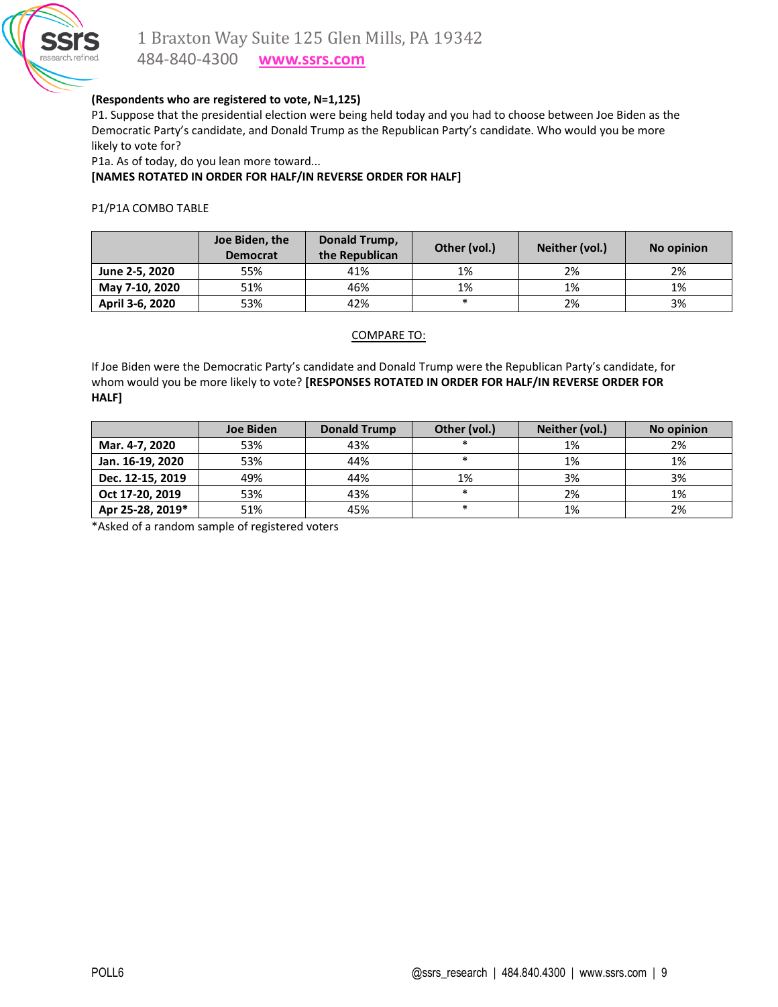

484-840-4300 **[www.ssrs.com](http://www.ssrs.com/)**

#### **(Respondents who are registered to vote, N=1,125)**

P1. Suppose that the presidential election were being held today and you had to choose between Joe Biden as the Democratic Party's candidate, and Donald Trump as the Republican Party's candidate. Who would you be more likely to vote for?

P1a. As of today, do you lean more toward...

#### **[NAMES ROTATED IN ORDER FOR HALF/IN REVERSE ORDER FOR HALF]**

#### P1/P1A COMBO TABLE

|                 | Joe Biden, the<br><b>Democrat</b> | Donald Trump,<br>the Republican | Other (vol.) | Neither (vol.) | No opinion |
|-----------------|-----------------------------------|---------------------------------|--------------|----------------|------------|
| June 2-5, 2020  | 55%                               | 41%                             | 1%           | 2%             | 2%         |
| May 7-10, 2020  | 51%                               | 46%                             | 1%           | 1%             | 1%         |
| April 3-6, 2020 | 53%                               | 42%                             | $\ast$       | 2%             | 3%         |

#### COMPARE TO:

If Joe Biden were the Democratic Party's candidate and Donald Trump were the Republican Party's candidate, for whom would you be more likely to vote? **[RESPONSES ROTATED IN ORDER FOR HALF/IN REVERSE ORDER FOR HALF]**

|                  | Joe Biden | <b>Donald Trump</b> | Other (vol.) | Neither (vol.) | No opinion |
|------------------|-----------|---------------------|--------------|----------------|------------|
| Mar. 4-7, 2020   | 53%       | 43%                 |              | 1%             | 2%         |
| Jan. 16-19, 2020 | 53%       | 44%                 |              | 1%             | 1%         |
| Dec. 12-15, 2019 | 49%       | 44%                 | 1%           | 3%             | 3%         |
| Oct 17-20, 2019  | 53%       | 43%                 | $\ast$       | 2%             | 1%         |
| Apr 25-28, 2019* | 51%       | 45%                 |              | 1%             | 2%         |

\*Asked of a random sample of registered voters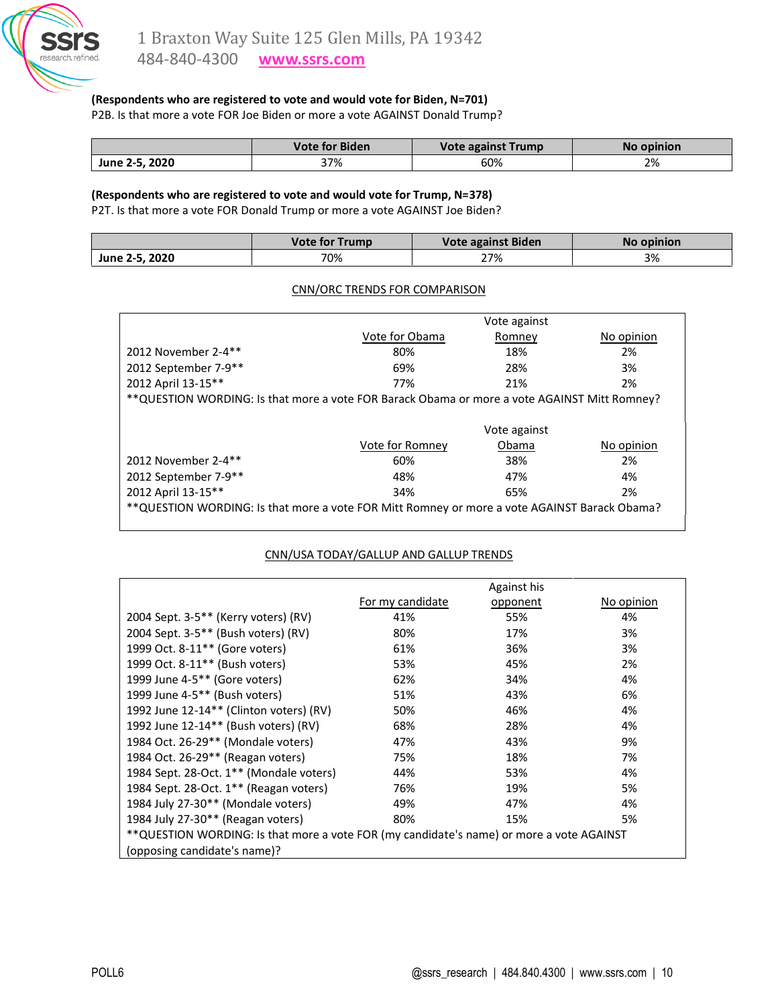

# **(Respondents who are registered to vote and would vote for Biden, N=701)**

P2B. Is that more a vote FOR Joe Biden or more a vote AGAINST Donald Trump?

|                | <b>Vote for Biden</b> | <b>Vote against Trump</b> | No opinion |
|----------------|-----------------------|---------------------------|------------|
| June 2-5, 2020 | 37%                   | 60%                       | 2%         |

#### **(Respondents who are registered to vote and would vote for Trump, N=378)**

P2T. Is that more a vote FOR Donald Trump or more a vote AGAINST Joe Biden?

|                | <b>Vote for Trump</b> | Vote against Biden | No opinion |  |
|----------------|-----------------------|--------------------|------------|--|
| June 2-5, 2020 | 70%                   | 27%                | 3%         |  |

#### CNN/ORC TRENDS FOR COMPARISON

|                                                                                               | Vote against    |              |            |  |  |  |  |
|-----------------------------------------------------------------------------------------------|-----------------|--------------|------------|--|--|--|--|
|                                                                                               | Vote for Obama  | Romney       | No opinion |  |  |  |  |
| 2012 November 2-4**                                                                           | 80%             | 18%          | 2%         |  |  |  |  |
| 2012 September 7-9**                                                                          | 69%             | 28%          | 3%         |  |  |  |  |
| 2012 April 13-15**                                                                            | 77%             | 21%          | 2%         |  |  |  |  |
| ** QUESTION WORDING: Is that more a vote FOR Barack Obama or more a vote AGAINST Mitt Romney? |                 |              |            |  |  |  |  |
|                                                                                               |                 |              |            |  |  |  |  |
|                                                                                               |                 | Vote against |            |  |  |  |  |
|                                                                                               | Vote for Romney | Obama        | No opinion |  |  |  |  |
| 2012 November 2-4**                                                                           | 60%             | 38%          | 2%         |  |  |  |  |
| 2012 September 7-9**                                                                          | 48%             | 47%          | 4%         |  |  |  |  |
| 2012 April 13-15**                                                                            | 34%             | 65%          | 2%         |  |  |  |  |
| ** QUESTION WORDING: Is that more a vote FOR Mitt Romney or more a vote AGAINST Barack Obama? |                 |              |            |  |  |  |  |

#### CNN/USA TODAY/GALLUP AND GALLUP TRENDS

|                                                                                           |                  | Against his |            |  |  |  |
|-------------------------------------------------------------------------------------------|------------------|-------------|------------|--|--|--|
|                                                                                           | For my candidate | opponent    | No opinion |  |  |  |
| 2004 Sept. 3-5 <sup>**</sup> (Kerry voters) (RV)                                          | 41%              | 55%         | 4%         |  |  |  |
| 2004 Sept. 3-5** (Bush voters) (RV)                                                       | 80%              | 17%         | 3%         |  |  |  |
| 1999 Oct. 8-11 <sup>**</sup> (Gore voters)                                                | 61%              | 36%         | 3%         |  |  |  |
| 1999 Oct. 8-11 <sup>**</sup> (Bush voters)                                                | 53%              | 45%         | 2%         |  |  |  |
| 1999 June 4-5 <sup>**</sup> (Gore voters)                                                 | 62%              | 34%         | 4%         |  |  |  |
| 1999 June 4-5 <sup>**</sup> (Bush voters)                                                 | 51%              | 43%         | 6%         |  |  |  |
| 1992 June 12-14** (Clinton voters) (RV)                                                   | 50%              | 46%         | 4%         |  |  |  |
| 1992 June 12-14** (Bush voters) (RV)                                                      | 68%              | 28%         | 4%         |  |  |  |
| 1984 Oct. 26-29** (Mondale voters)                                                        | 47%              | 43%         | 9%         |  |  |  |
| 1984 Oct. 26-29** (Reagan voters)                                                         | 75%              | 18%         | 7%         |  |  |  |
| 1984 Sept. 28-Oct. 1** (Mondale voters)                                                   | 44%              | 53%         | 4%         |  |  |  |
| 1984 Sept. 28-Oct. 1** (Reagan voters)                                                    | 76%              | 19%         | 5%         |  |  |  |
| 1984 July 27-30** (Mondale voters)                                                        | 49%              | 47%         | 4%         |  |  |  |
| 1984 July 27-30** (Reagan voters)                                                         | 80%              | 15%         | 5%         |  |  |  |
| ** QUESTION WORDING: Is that more a vote FOR (my candidate's name) or more a vote AGAINST |                  |             |            |  |  |  |
| (opposing candidate's name)?                                                              |                  |             |            |  |  |  |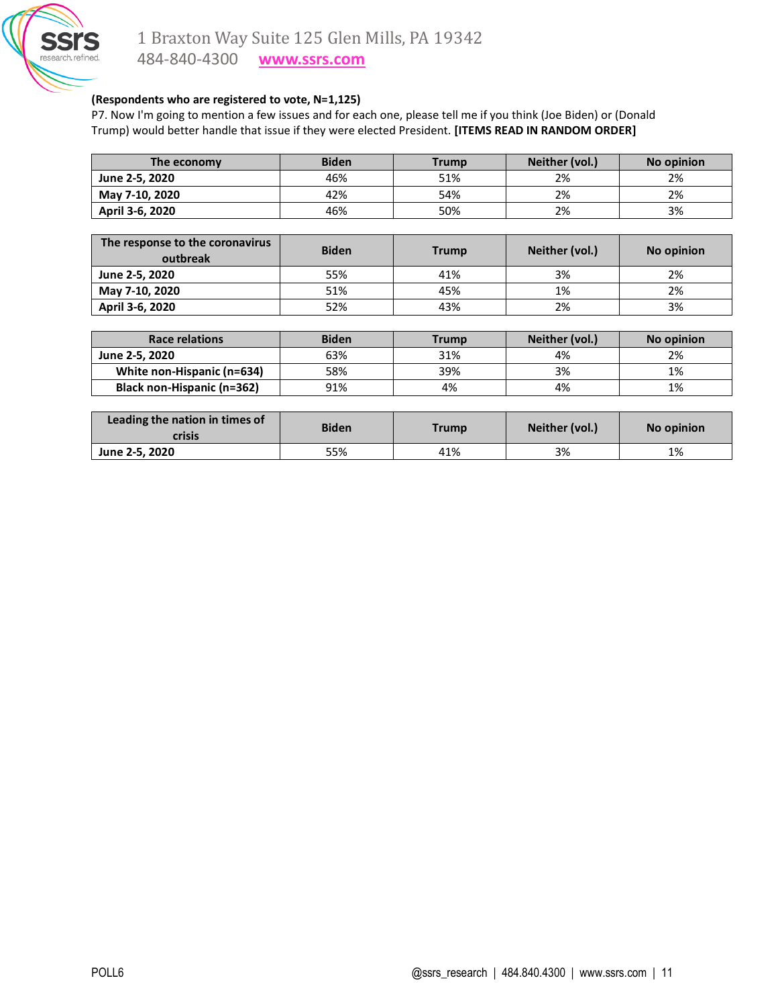

P7. Now I'm going to mention a few issues and for each one, please tell me if you think (Joe Biden) or (Donald Trump) would better handle that issue if they were elected President. **[ITEMS READ IN RANDOM ORDER]**

| The economy     | <b>Biden</b> | <b>Trump</b> | Neither (vol.) | No opinion |  |
|-----------------|--------------|--------------|----------------|------------|--|
| June 2-5, 2020  | 46%          | 51%          | 2%             | 2%         |  |
| May 7-10, 2020  | 42%          | 54%          | 2%             | 2%         |  |
| April 3-6, 2020 | 46%          | 50%          | 2%             | 3%         |  |

| The response to the coronavirus<br>outbreak | <b>Biden</b> | Trump | Neither (vol.) | No opinion |  |
|---------------------------------------------|--------------|-------|----------------|------------|--|
| June 2-5, 2020                              | 55%          | 41%   | 3%             | 2%         |  |
| May 7-10, 2020                              | 51%          | 45%   | 1%             | 2%         |  |
| April 3-6, 2020                             | 52%          | 43%   | 2%             | 3%         |  |

| <b>Race relations</b>             | <b>Biden</b> | Trump | Neither (vol.) | No opinion |
|-----------------------------------|--------------|-------|----------------|------------|
| June 2-5, 2020                    | 63%          | 31%   | 4%             | 2%         |
| White non-Hispanic (n=634)        | 58%          | 39%   | 3%             | 1%         |
| <b>Black non-Hispanic (n=362)</b> | 91%          | 4%    | 4%             | 1%         |

| Leading the nation in times of<br>crisis | <b>Biden</b> | Trump | Neither (vol.) | No opinion |
|------------------------------------------|--------------|-------|----------------|------------|
| June 2-5, 2020                           | 55%          | 41%   | 3%             | 1%         |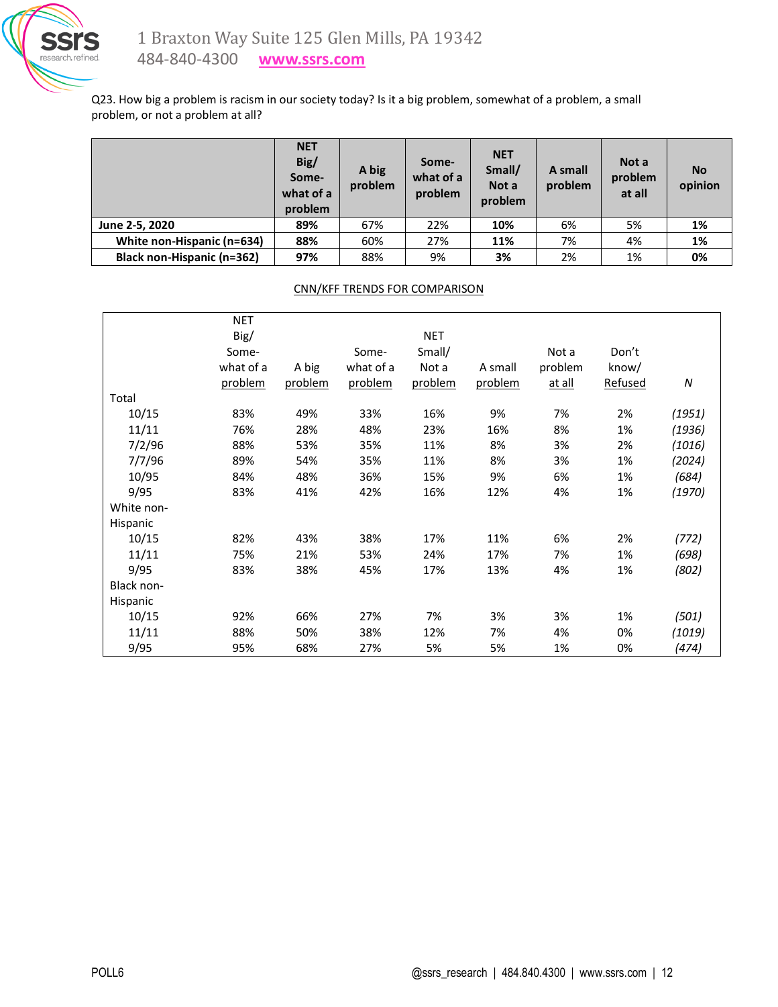

Q23. How big a problem is racism in our society today? Is it a big problem, somewhat of a problem, a small problem, or not a problem at all?

|                                   | <b>NET</b><br>Big/<br>Some-<br>what of a<br>problem | A big<br>problem | Some-<br>what of a<br>problem | <b>NET</b><br>Small/<br>Not a<br>problem | A small<br>problem | Not a<br>problem<br>at all | <b>No</b><br>opinion |
|-----------------------------------|-----------------------------------------------------|------------------|-------------------------------|------------------------------------------|--------------------|----------------------------|----------------------|
| June 2-5, 2020                    | 89%                                                 | 67%              | 22%                           | 10%                                      | 6%                 | 5%                         | 1%                   |
| White non-Hispanic (n=634)        | 88%                                                 | 60%              | 27%                           | 11%                                      | 7%                 | 4%                         | 1%                   |
| <b>Black non-Hispanic (n=362)</b> | 97%                                                 | 88%              | 9%                            | 3%                                       | 2%                 | 1%                         | 0%                   |

# CNN/KFF TRENDS FOR COMPARISON

|            | <b>NET</b> |         |           |            |         |               |         |            |
|------------|------------|---------|-----------|------------|---------|---------------|---------|------------|
|            | Big/       |         |           | <b>NET</b> |         |               |         |            |
|            | Some-      |         | Some-     | Small/     |         | Not a         | Don't   |            |
|            | what of a  | A big   | what of a | Not a      | A small | problem       | know/   |            |
|            | problem    | problem | problem   | problem    | problem | <u>at all</u> | Refused | ${\cal N}$ |
| Total      |            |         |           |            |         |               |         |            |
| 10/15      | 83%        | 49%     | 33%       | 16%        | 9%      | 7%            | 2%      | (1951)     |
| 11/11      | 76%        | 28%     | 48%       | 23%        | 16%     | 8%            | 1%      | (1936)     |
| 7/2/96     | 88%        | 53%     | 35%       | 11%        | 8%      | 3%            | 2%      | (1016)     |
| 7/7/96     | 89%        | 54%     | 35%       | 11%        | 8%      | 3%            | 1%      | (2024)     |
| 10/95      | 84%        | 48%     | 36%       | 15%        | 9%      | 6%            | 1%      | (684)      |
| 9/95       | 83%        | 41%     | 42%       | 16%        | 12%     | 4%            | 1%      | (1970)     |
| White non- |            |         |           |            |         |               |         |            |
| Hispanic   |            |         |           |            |         |               |         |            |
| 10/15      | 82%        | 43%     | 38%       | 17%        | 11%     | 6%            | 2%      | (772)      |
| 11/11      | 75%        | 21%     | 53%       | 24%        | 17%     | 7%            | 1%      | (698)      |
| 9/95       | 83%        | 38%     | 45%       | 17%        | 13%     | 4%            | 1%      | (802)      |
| Black non- |            |         |           |            |         |               |         |            |
| Hispanic   |            |         |           |            |         |               |         |            |
| 10/15      | 92%        | 66%     | 27%       | 7%         | 3%      | 3%            | 1%      | (501)      |
| 11/11      | 88%        | 50%     | 38%       | 12%        | 7%      | 4%            | 0%      | (1019)     |
| 9/95       | 95%        | 68%     | 27%       | 5%         | 5%      | 1%            | 0%      | (474)      |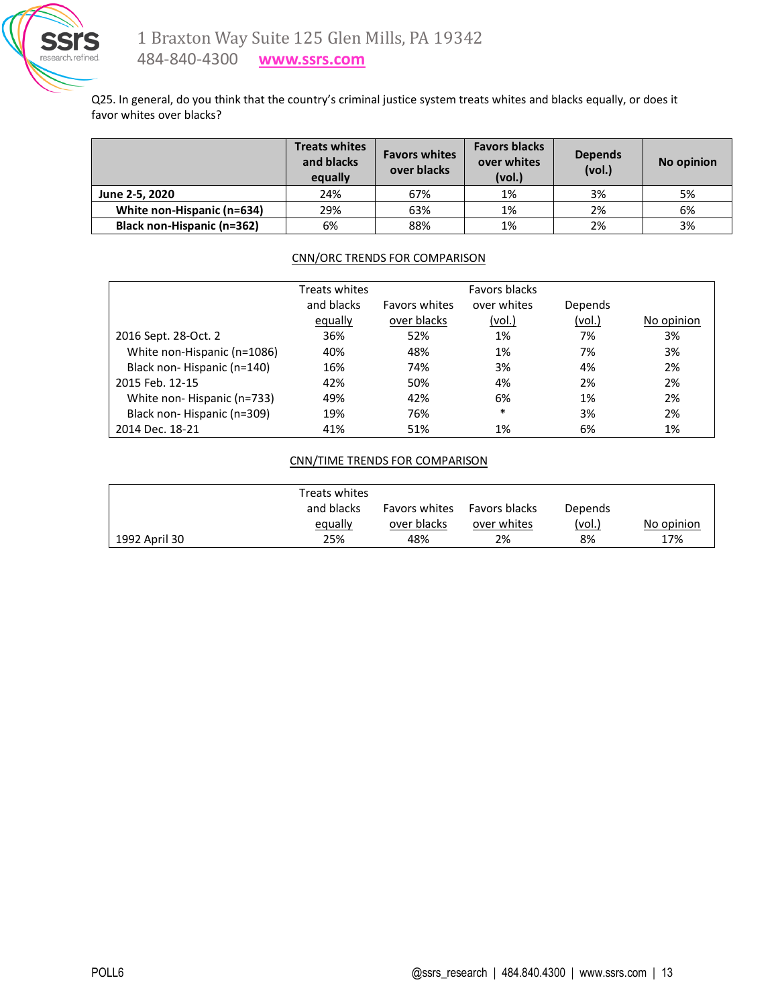

Q25. In general, do you think that the country's criminal justice system treats whites and blacks equally, or does it favor whites over blacks?

|                                   | <b>Treats whites</b><br>and blacks<br>equally | <b>Favors whites</b><br>over blacks | <b>Favors blacks</b><br>over whites<br>(vol.) | <b>Depends</b><br>(vol.) | <b>No opinion</b> |
|-----------------------------------|-----------------------------------------------|-------------------------------------|-----------------------------------------------|--------------------------|-------------------|
| June 2-5, 2020                    | 24%                                           | 67%                                 | 1%                                            | 3%                       | 5%                |
| White non-Hispanic (n=634)        | 29%                                           | 63%                                 | 1%                                            | 2%                       | 6%                |
| <b>Black non-Hispanic (n=362)</b> | 6%                                            | 88%                                 | 1%                                            | 2%                       | 3%                |

#### CNN/ORC TRENDS FOR COMPARISON

|                             | Treats whites<br>and blacks<br>equally | <b>Favors whites</b><br>over blacks | Favors blacks<br>over whites<br><u>(vol.)</u> | Depends<br>(vol.) | No opinion |
|-----------------------------|----------------------------------------|-------------------------------------|-----------------------------------------------|-------------------|------------|
| 2016 Sept. 28-Oct. 2        | 36%                                    | 52%                                 | 1%                                            | 7%                | 3%         |
| White non-Hispanic (n=1086) | 40%                                    | 48%                                 | 1%                                            | 7%                | 3%         |
| Black non-Hispanic (n=140)  | 16%                                    | 74%                                 | 3%                                            | 4%                | 2%         |
| 2015 Feb. 12-15             | 42%                                    | 50%                                 | 4%                                            | 2%                | 2%         |
| White non-Hispanic (n=733)  | 49%                                    | 42%                                 | 6%                                            | 1%                | 2%         |
| Black non-Hispanic (n=309)  | 19%                                    | 76%                                 | $\ast$                                        | 3%                | 2%         |
| 2014 Dec. 18-21             | 41%                                    | 51%                                 | 1%                                            | 6%                | 1%         |

# CNN/TIME TRENDS FOR COMPARISON

|               | Treats whites |               |               |         |            |
|---------------|---------------|---------------|---------------|---------|------------|
|               | and blacks    | Favors whites | Favors blacks | Depends |            |
|               | equally       | over blacks   | over whites   | (vol.)  | No opinion |
| 1992 April 30 | 25%           | 48%           | 2%            | 8%      | 17%        |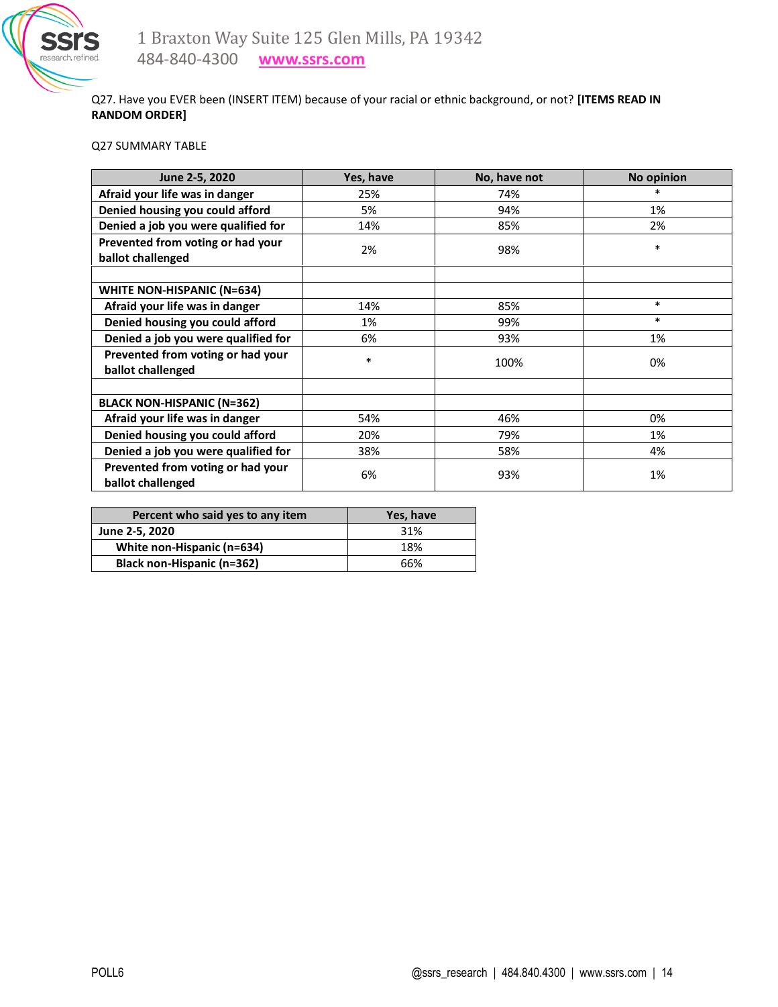

Q27. Have you EVER been (INSERT ITEM) because of your racial or ethnic background, or not? **[ITEMS READ IN RANDOM ORDER]**

#### Q27 SUMMARY TABLE

| June 2-5, 2020                      | Yes, have | No, have not | <b>No opinion</b> |
|-------------------------------------|-----------|--------------|-------------------|
| Afraid your life was in danger      | 25%       | 74%          | $\ast$            |
| Denied housing you could afford     | 5%        | 94%          | 1%                |
| Denied a job you were qualified for | 14%       | 85%          | 2%                |
| Prevented from voting or had your   | 2%        | 98%          | $\ast$            |
| ballot challenged                   |           |              |                   |
|                                     |           |              |                   |
| <b>WHITE NON-HISPANIC (N=634)</b>   |           |              |                   |
| Afraid your life was in danger      | 14%       | 85%          | $\ast$            |
| Denied housing you could afford     | 1%        | 99%          | $\ast$            |
| Denied a job you were qualified for | 6%        | 93%          | 1%                |
| Prevented from voting or had your   | $\ast$    | 100%         | 0%                |
| ballot challenged                   |           |              |                   |
|                                     |           |              |                   |
| <b>BLACK NON-HISPANIC (N=362)</b>   |           |              |                   |
| Afraid your life was in danger      | 54%       | 46%          | 0%                |
| Denied housing you could afford     | 20%       | 79%          | 1%                |
| Denied a job you were qualified for | 38%       | 58%          | 4%                |
| Prevented from voting or had your   | 6%        | 93%          | 1%                |
| ballot challenged                   |           |              |                   |

| Percent who said yes to any item  | Yes, have |
|-----------------------------------|-----------|
| June 2-5, 2020                    | 31%       |
| White non-Hispanic (n=634)        | 18%       |
| <b>Black non-Hispanic (n=362)</b> | 66%       |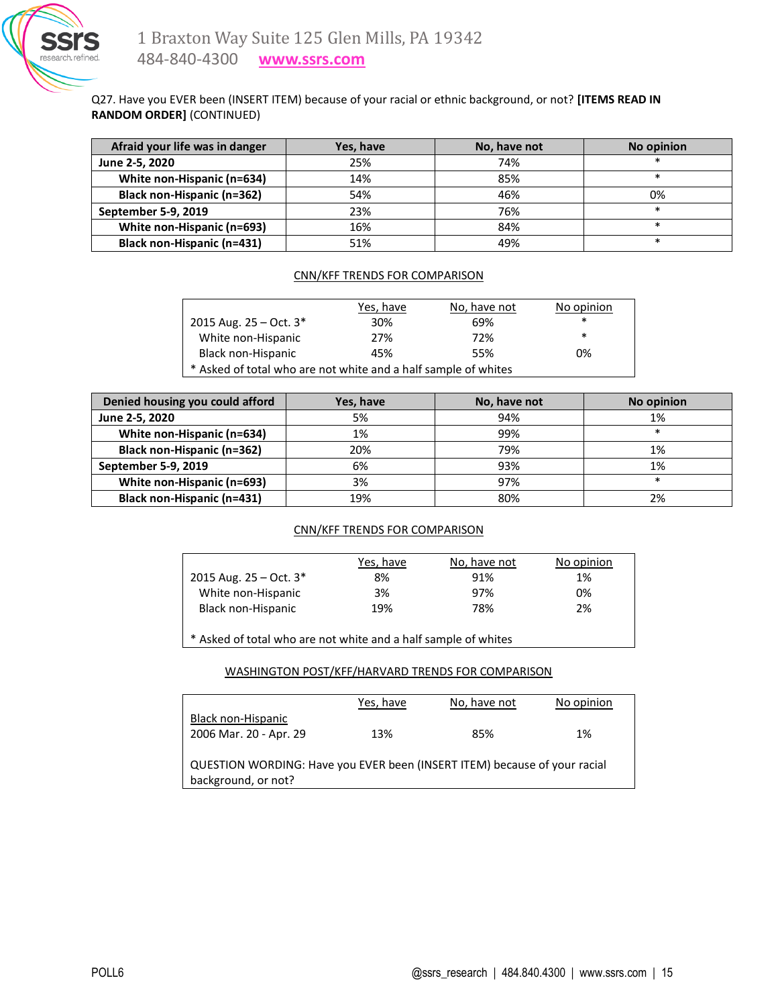

# Q27. Have you EVER been (INSERT ITEM) because of your racial or ethnic background, or not? **[ITEMS READ IN RANDOM ORDER]** (CONTINUED)

| Afraid your life was in danger | Yes, have | No, have not | No opinion |
|--------------------------------|-----------|--------------|------------|
| June 2-5, 2020                 | 25%       | 74%          | *          |
| White non-Hispanic (n=634)     | 14%       | 85%          | $\ast$     |
| Black non-Hispanic (n=362)     | 54%       | 46%          | 0%         |
| September 5-9, 2019            | 23%       | 76%          | *          |
| White non-Hispanic (n=693)     | 16%       | 84%          | $\ast$     |
| Black non-Hispanic (n=431)     | 51%       | 49%          | *          |

#### CNN/KFF TRENDS FOR COMPARISON

|                                                                | Yes, have | No, have not | No opinion |  |
|----------------------------------------------------------------|-----------|--------------|------------|--|
| 2015 Aug. $25 - Oct. 3*$                                       | 30%       | 69%          | $\ast$     |  |
| White non-Hispanic                                             | 27%       | 72%          | $\ast$     |  |
| <b>Black non-Hispanic</b>                                      | 45%       | 55%          | 0%         |  |
| * Asked of total who are not white and a half sample of whites |           |              |            |  |

| Denied housing you could afford   | Yes, have | No, have not | No opinion |
|-----------------------------------|-----------|--------------|------------|
| June 2-5, 2020                    | 5%        | 94%          | 1%         |
| White non-Hispanic (n=634)        | 1%        | 99%          | *          |
| <b>Black non-Hispanic (n=362)</b> | 20%       | 79%          | 1%         |
| September 5-9, 2019               | 6%        | 93%          | 1%         |
| White non-Hispanic (n=693)        | 3%        | 97%          | *          |
| Black non-Hispanic (n=431)        | 19%       | 80%          | 2%         |

# CNN/KFF TRENDS FOR COMPARISON

|                           | Yes, have | No, have not | No opinion |
|---------------------------|-----------|--------------|------------|
| 2015 Aug. $25 - Oct. 3*$  | 8%        | 91%          | 1%         |
| White non-Hispanic        | 3%        | 97%          | 0%         |
| <b>Black non-Hispanic</b> | 19%       | 78%          | 2%         |
|                           |           |              |            |

 $*$  Asked of total who are not white and a half sample of whites

# WASHINGTON POST/KFF/HARVARD TRENDS FOR COMPARISON

|                                                                           | Yes, have | No, have not | No opinion |
|---------------------------------------------------------------------------|-----------|--------------|------------|
| Black non-Hispanic                                                        |           |              |            |
| 2006 Mar. 20 - Apr. 29                                                    | 13%       | 85%          | 1%         |
|                                                                           |           |              |            |
| QUESTION WORDING: Have you EVER been (INSERT ITEM) because of your racial |           |              |            |
| background, or not?                                                       |           |              |            |
|                                                                           |           |              |            |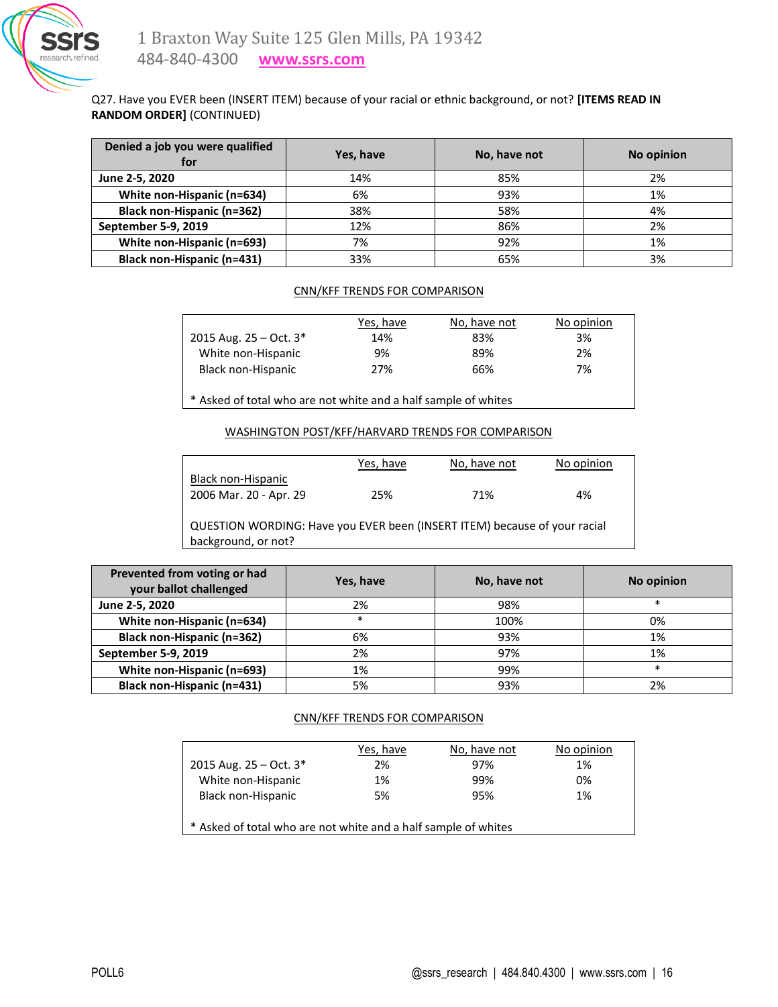

# Q27. Have you EVER been (INSERT ITEM) because of your racial or ethnic background, or not? **[ITEMS READ IN RANDOM ORDER]** (CONTINUED)

| Denied a job you were qualified<br>for | Yes, have | No, have not | No opinion |
|----------------------------------------|-----------|--------------|------------|
| June 2-5, 2020                         | 14%       | 85%          | 2%         |
| White non-Hispanic (n=634)             | 6%        | 93%          | 1%         |
| <b>Black non-Hispanic (n=362)</b>      | 38%       | 58%          | 4%         |
| September 5-9, 2019                    | 12%       | 86%          | 2%         |
| White non-Hispanic (n=693)             | 7%        | 92%          | 1%         |
| <b>Black non-Hispanic (n=431)</b>      | 33%       | 65%          | 3%         |

# CNN/KFF TRENDS FOR COMPARISON

| Yes, have                                                      | No, have not | No opinion |  |  |  |
|----------------------------------------------------------------|--------------|------------|--|--|--|
| 14%                                                            | 83%          | 3%         |  |  |  |
| 9%                                                             | 89%          | 2%         |  |  |  |
| 27%                                                            | 66%          | 7%         |  |  |  |
| * Asked of total who are not white and a half sample of whites |              |            |  |  |  |
|                                                                |              |            |  |  |  |

#### WASHINGTON POST/KFF/HARVARD TRENDS FOR COMPARISON

|                                                                           | Yes, have | No, have not | No opinion |
|---------------------------------------------------------------------------|-----------|--------------|------------|
| Black non-Hispanic                                                        |           |              |            |
| 2006 Mar. 20 - Apr. 29                                                    | 25%       | 71%          | 4%         |
|                                                                           |           |              |            |
| QUESTION WORDING: Have you EVER been (INSERT ITEM) because of your racial |           |              |            |
| background, or not?                                                       |           |              |            |

| Prevented from voting or had<br>your ballot challenged | Yes, have | No, have not | No opinion |
|--------------------------------------------------------|-----------|--------------|------------|
| June 2-5, 2020                                         | 2%        | 98%          | $\ast$     |
| White non-Hispanic (n=634)                             | $\ast$    | 100%         | 0%         |
| <b>Black non-Hispanic (n=362)</b>                      | 6%        | 93%          | 1%         |
| September 5-9, 2019                                    | 2%        | 97%          | 1%         |
| White non-Hispanic (n=693)                             | 1%        | 99%          | $\ast$     |
| <b>Black non-Hispanic (n=431)</b>                      | 5%        | 93%          | 2%         |

# CNN/KFF TRENDS FOR COMPARISON

|                                                                | Yes, have | No, have not | No opinion |
|----------------------------------------------------------------|-----------|--------------|------------|
| 2015 Aug. $25 - Oct. 3*$                                       | 2%        | 97%          | 1%         |
| White non-Hispanic                                             | 1%        | 99%          | 0%         |
| <b>Black non-Hispanic</b>                                      | 5%        | 95%          | 1%         |
| * Asked of total who are not white and a half sample of whites |           |              |            |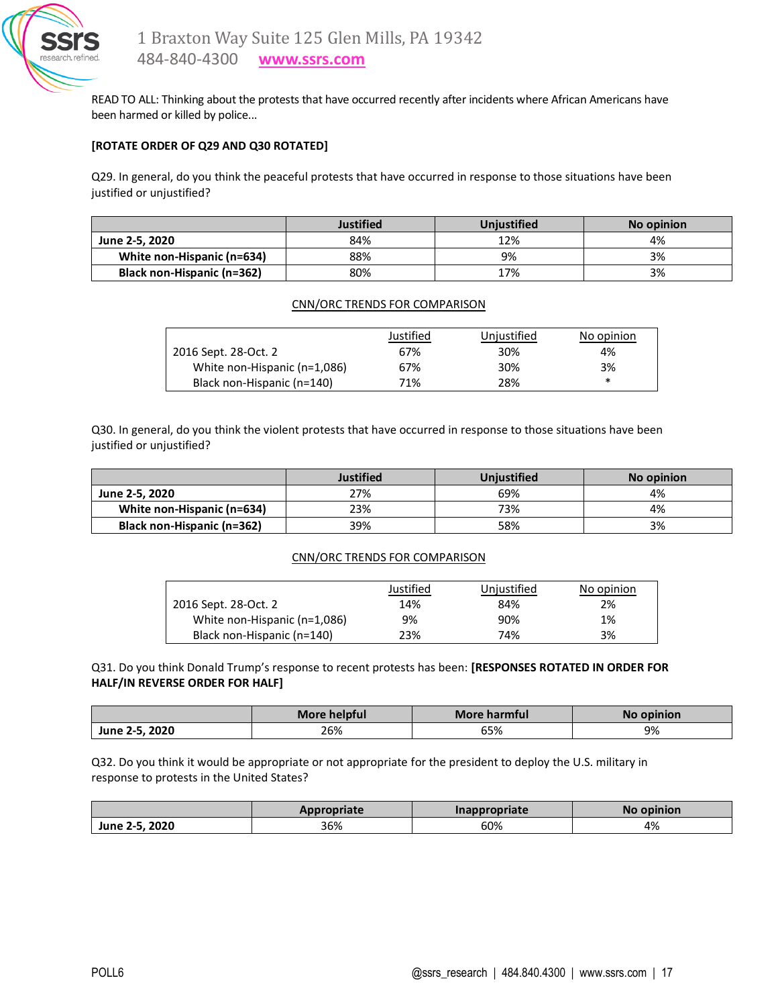

READ TO ALL: Thinking about the protests that have occurred recently after incidents where African Americans have been harmed or killed by police...

#### **[ROTATE ORDER OF Q29 AND Q30 ROTATED]**

Q29. In general, do you think the peaceful protests that have occurred in response to those situations have been justified or unjustified?

|                            | Justified | <b>Uniustified</b> | No opinion |
|----------------------------|-----------|--------------------|------------|
| June 2-5, 2020             | 84%       | 12%                | 4%         |
| White non-Hispanic (n=634) | 88%       | 9%                 | 3%         |
| Black non-Hispanic (n=362) | 80%       | 17%                | 3%         |

#### CNN/ORC TRENDS FOR COMPARISON

|                              | Justified | Unjustified | No opinion |
|------------------------------|-----------|-------------|------------|
| 2016 Sept. 28-Oct. 2         | 67%       | 30%         | 4%         |
| White non-Hispanic (n=1,086) | 67%       | 30%         | 3%         |
| Black non-Hispanic (n=140)   | 71%       | 28%         | $\ast$     |

Q30. In general, do you think the violent protests that have occurred in response to those situations have been justified or unjustified?

|                                   | <b>Justified</b> | <b>Uniustified</b> | No opinion |
|-----------------------------------|------------------|--------------------|------------|
| June 2-5, 2020                    | 27%              | 69%                | 4%         |
| White non-Hispanic (n=634)        | 23%              | 73%                | 4%         |
| <b>Black non-Hispanic (n=362)</b> | 39%              | 58%                | 3%         |

#### CNN/ORC TRENDS FOR COMPARISON

|                              | Justified | Unjustified | No opinion |
|------------------------------|-----------|-------------|------------|
| 2016 Sept. 28-Oct. 2         | 14%       | 84%         | 2%         |
| White non-Hispanic (n=1,086) | 9%        | 90%         | 1%         |
| Black non-Hispanic (n=140)   | 23%       | 74%         | 3%         |

Q31. Do you think Donald Trump's response to recent protests has been: **[RESPONSES ROTATED IN ORDER FOR HALF/IN REVERSE ORDER FOR HALF]**

|                | More helpful | More harmful | No opinion |
|----------------|--------------|--------------|------------|
| June 2-5, 2020 | 26%          | 65%          | 9%         |

Q32. Do you think it would be appropriate or not appropriate for the president to deploy the U.S. military in response to protests in the United States?

|                | Appropriate | <b>Inappropriate</b> | No opinion |  |  |
|----------------|-------------|----------------------|------------|--|--|
| June 2-5, 2020 | 36%         | 60%                  | 4%         |  |  |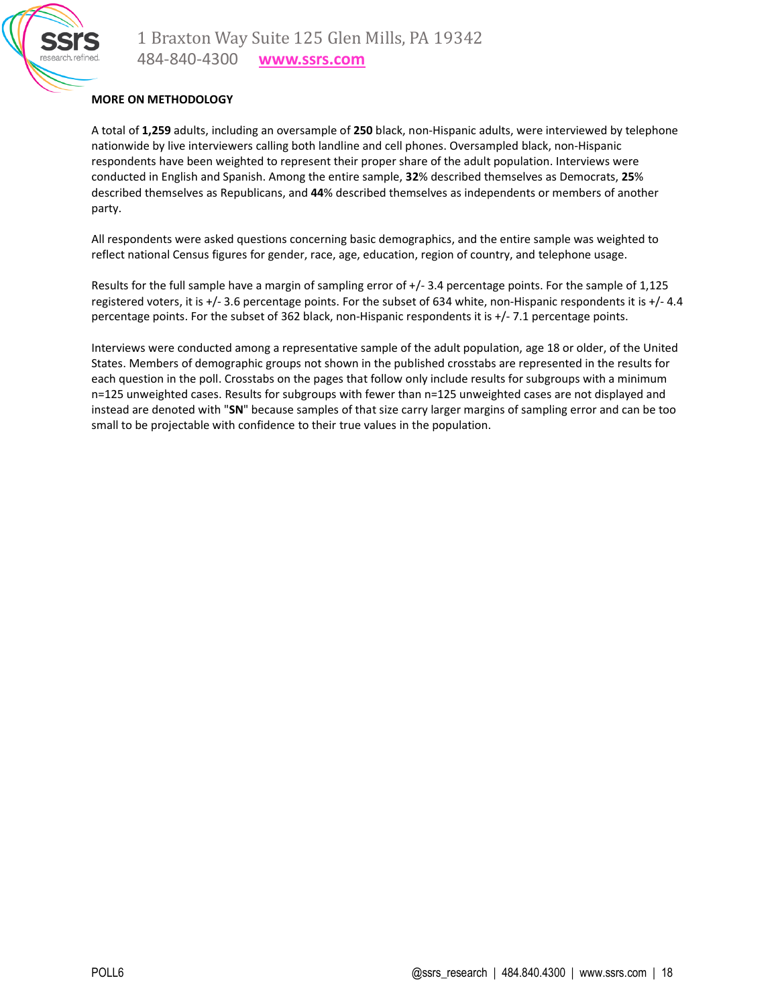

# **MORE ON METHODOLOGY**

A total of **1,259** adults, including an oversample of **250** black, non-Hispanic adults, were interviewed by telephone nationwide by live interviewers calling both landline and cell phones. Oversampled black, non-Hispanic respondents have been weighted to represent their proper share of the adult population. Interviews were conducted in English and Spanish. Among the entire sample, **32**% described themselves as Democrats, **25**% described themselves as Republicans, and **44**% described themselves as independents or members of another party.

All respondents were asked questions concerning basic demographics, and the entire sample was weighted to reflect national Census figures for gender, race, age, education, region of country, and telephone usage.

Results for the full sample have a margin of sampling error of  $+/-$  3.4 percentage points. For the sample of 1,125 registered voters, it is +/- 3.6 percentage points. For the subset of 634 white, non-Hispanic respondents it is +/- 4.4 percentage points. For the subset of 362 black, non-Hispanic respondents it is +/- 7.1 percentage points.

Interviews were conducted among a representative sample of the adult population, age 18 or older, of the United States. Members of demographic groups not shown in the published crosstabs are represented in the results for each question in the poll. Crosstabs on the pages that follow only include results for subgroups with a minimum n=125 unweighted cases. Results for subgroups with fewer than n=125 unweighted cases are not displayed and instead are denoted with "**SN**" because samples of that size carry larger margins of sampling error and can be too small to be projectable with confidence to their true values in the population.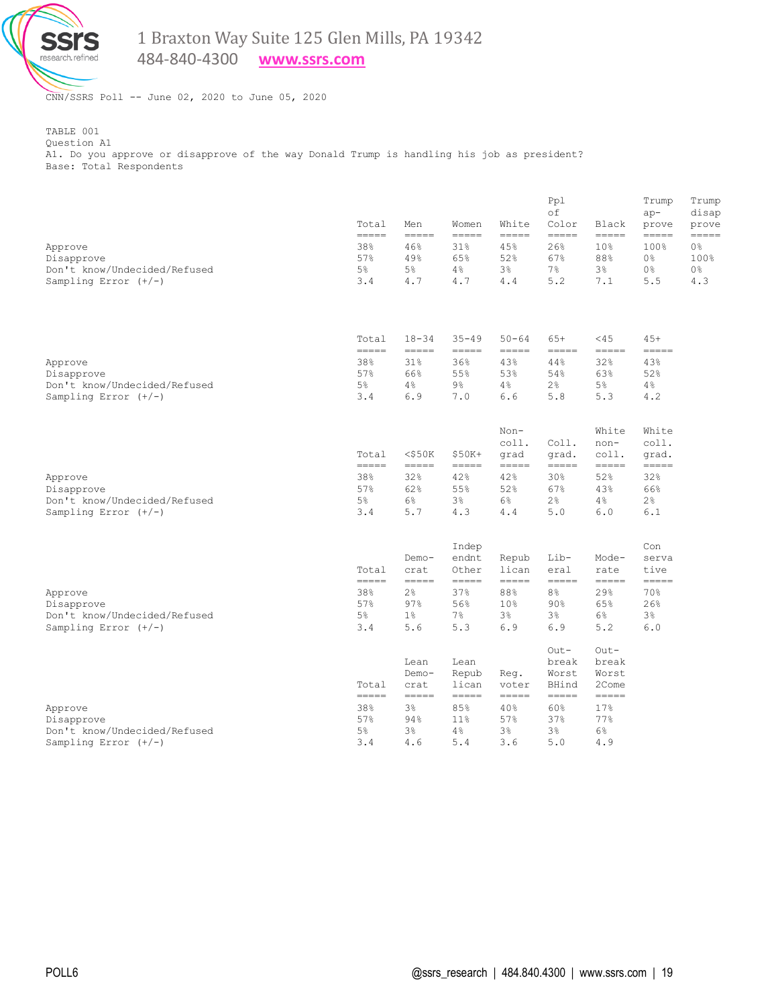

484-840-4300 **[www.ssrs.com](http://www.ssrs.com/)**

CNN/SSRS Poll -- June 02, 2020 to June 05, 2020

TABLE 001 Question A1 A1. Do you approve or disapprove of the way Donald Trump is handling his job as president? Base: Total Respondents

|                                                                                 | Total                                                           | Men                                                         | Women                                                               | White                                                      | Ppl<br>оf<br>Color                                              | Black                                                                                                                                                                                                                                                                                                                                                                                                                                                                                                                                                                                                          | Trump<br>$ap-$<br>prove                                                     | Trump<br>disap<br>prove                      |
|---------------------------------------------------------------------------------|-----------------------------------------------------------------|-------------------------------------------------------------|---------------------------------------------------------------------|------------------------------------------------------------|-----------------------------------------------------------------|----------------------------------------------------------------------------------------------------------------------------------------------------------------------------------------------------------------------------------------------------------------------------------------------------------------------------------------------------------------------------------------------------------------------------------------------------------------------------------------------------------------------------------------------------------------------------------------------------------------|-----------------------------------------------------------------------------|----------------------------------------------|
| Approve<br>Disapprove<br>Don't know/Undecided/Refused<br>Sampling Error $(+/-)$ | $=$ $=$ $=$ $=$<br>38%<br>57%<br>5 <sup>°</sup><br>3.4          | $=$ $=$ $=$ $=$<br>46%<br>49%<br>$5\%$<br>4.7               | $=$ $=$ $=$ $=$<br>31%<br>65%<br>4%<br>4.7                          | $=$ $=$ $=$ $=$<br>45%<br>52%<br>3%<br>4.4                 | $=$ $=$ $=$ $=$<br>26%<br>67%<br>$7\%$<br>5.2                   | $=$ $=$ $=$ $=$<br>10 <sup>°</sup><br>88%<br>$3\%$<br>7.1                                                                                                                                                                                                                                                                                                                                                                                                                                                                                                                                                      | $=$ $=$ $=$ $=$<br>100%<br>0%<br>0%<br>5.5                                  | =====<br>0 <sup>8</sup><br>100%<br>0%<br>4.3 |
| Approve<br>Disapprove<br>Don't know/Undecided/Refused<br>Sampling Error $(+/-)$ | Total<br>$=$ $=$ $=$ $=$<br>38%<br>57%<br>5 <sup>°</sup><br>3.4 | $18 - 34$<br>$=$ $=$ $=$ $=$<br>31%<br>66%<br>$4\%$<br>6.9  | $35 - 49$<br>$=$ $=$ $=$ $=$<br>36%<br>55%<br>$9\frac{6}{6}$<br>7.0 | $50 - 64$<br>$=====$<br>43%<br>53%<br>4%<br>6.6            | $65+$<br>$=$ $=$ $=$ $=$<br>44%<br>54%<br>2 <sup>°</sup><br>5.8 | $<$ 45<br>$=====$<br>32%<br>63%<br>$5\%$<br>5.3                                                                                                                                                                                                                                                                                                                                                                                                                                                                                                                                                                | $45+$<br>$=$ $=$ $=$ $=$<br>43%<br>52%<br>4%<br>4.2                         |                                              |
|                                                                                 | Total<br>$=$ $=$ $=$ $=$                                        | $<$ \$50 $K$<br>=====                                       | $$50K+$<br>$=$ $=$ $=$ $=$                                          | $Non-$<br>coll.<br>qrad<br>$=$ $=$ $=$ $=$                 | Coll.<br>grad.<br>$=$ $=$ $=$ $=$                               | White<br>non-<br>$\text{coll.}$<br>$=$ $=$ $=$ $=$                                                                                                                                                                                                                                                                                                                                                                                                                                                                                                                                                             | White<br>coll.<br>qrad.<br>=====                                            |                                              |
| Approve<br>Disapprove<br>Don't know/Undecided/Refused<br>Sampling Error $(+/-)$ | 38%<br>57%<br>$5\%$<br>3.4                                      | 32%<br>62%<br>6%<br>5.7                                     | 42%<br>55%<br>$3\frac{6}{6}$<br>4.3                                 | 42%<br>52%<br>$6\%$<br>4.4                                 | 30%<br>67%<br>2%<br>5.0                                         | 52%<br>43%<br>4%<br>6.0                                                                                                                                                                                                                                                                                                                                                                                                                                                                                                                                                                                        | 32%<br>66%<br>2%<br>6.1                                                     |                                              |
|                                                                                 | Total<br>=====                                                  | Demo-<br>crat<br>$\qquad \qquad \overline{\qquad \qquad }=$ | Indep<br>endnt<br>Other<br>$\begin{array}{c} - - - - - \end{array}$ | Repub<br>lican<br>$\begin{array}{c} - - - - - \end{array}$ | Lib-<br>eral                                                    | Mode-<br>rate<br>$\qquad \qquad \overline{\qquad \qquad }=\overline{\qquad \qquad }=\overline{\qquad \qquad }=\overline{\qquad \qquad }=\overline{\qquad \qquad }=\overline{\qquad \qquad }=\overline{\qquad \qquad }=\overline{\qquad \qquad }=\overline{\qquad \qquad }=\overline{\qquad \qquad }=\overline{\qquad \qquad }=\overline{\qquad \qquad }=\overline{\qquad \qquad }=\overline{\qquad \qquad }=\overline{\qquad \qquad }=\overline{\qquad \qquad }=\overline{\qquad \qquad }=\overline{\qquad \qquad }=\overline{\qquad \qquad }=\overline{\qquad \qquad }=\overline{\qquad \qquad }=\overline{\$ | Con<br>serva<br>tive<br>$\qquad \qquad \displaystyle =\qquad \qquad \qquad$ |                                              |
| Approve<br>Disapprove<br>Don't know/Undecided/Refused<br>Sampling Error $(+/-)$ | 38%<br>57%<br>5%<br>3.4                                         | 2 <sup>°</sup><br>97%<br>$1\%$<br>5.6                       | 37%<br>56%<br>7%<br>5.3                                             | 88%<br>10%<br>$3\,$<br>6.9                                 | 8 <sup>°</sup><br>90%<br>$3\,$<br>6.9                           | 29%<br>65%<br>$6\%$<br>5.2                                                                                                                                                                                                                                                                                                                                                                                                                                                                                                                                                                                     | 70%<br>26%<br>$3\%$<br>6.0                                                  |                                              |
|                                                                                 | Total<br>$=$ $=$ $=$ $=$                                        | Lean<br>$Demo-$<br>crat<br>$=$ $=$ $=$ $=$                  | Lean<br>Repub<br>lican<br>$=$ $=$ $=$ $=$                           | Reg.<br>voter<br>$=$ $=$ $=$ $=$                           | $Out-$<br>break<br>Worst<br>BHind<br>$=$ $=$ $=$ $=$            | $Out-$<br>break<br>Worst<br>2Come<br>=====                                                                                                                                                                                                                                                                                                                                                                                                                                                                                                                                                                     |                                                                             |                                              |
| Approve<br>Disapprove<br>Don't know/Undecided/Refused<br>Sampling Error $(+/-)$ | 38%<br>57%<br>5%<br>3.4                                         | $3\%$<br>94%<br>3%<br>4.6                                   | 85%<br>11 <sup>8</sup><br>4%<br>5.4                                 | 40%<br>57%<br>$3\,$<br>3.6                                 | 60%<br>37%<br>$3\,$<br>5.0                                      | 17%<br>77%<br>6%<br>4.9                                                                                                                                                                                                                                                                                                                                                                                                                                                                                                                                                                                        |                                                                             |                                              |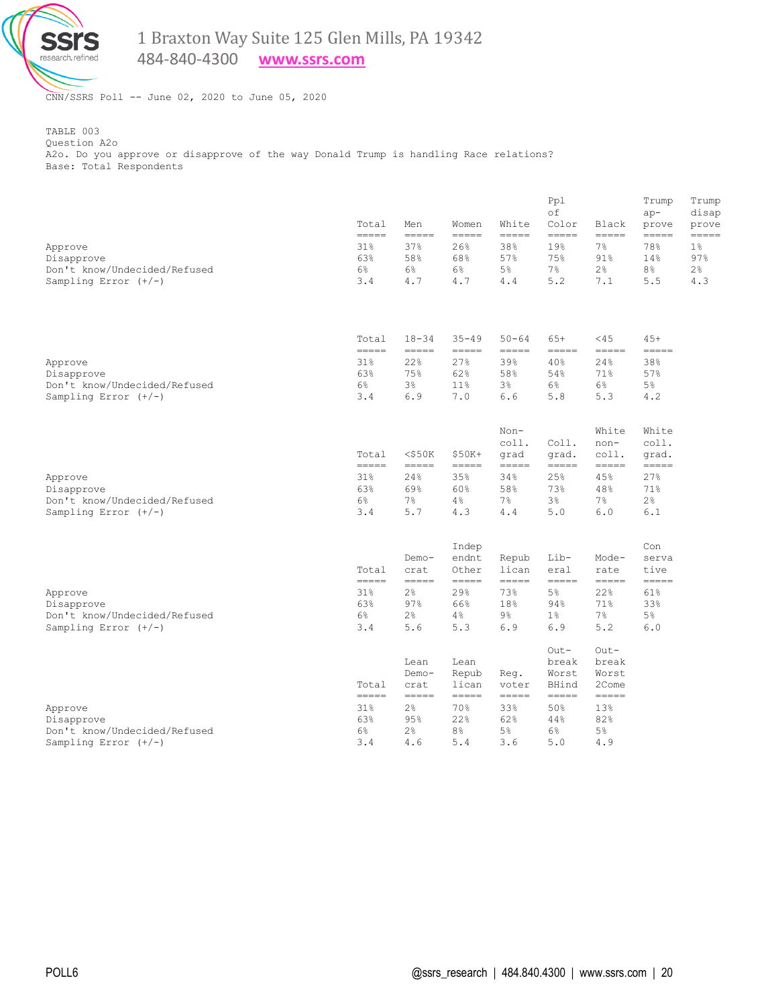

484-840-4300 **[www.ssrs.com](http://www.ssrs.com/)**

CNN/SSRS Poll -- June 02, 2020 to June 05, 2020

TABLE 003 Question A2o A2o. Do you approve or disapprove of the way Donald Trump is handling Race relations? Base: Total Respondents

|                                                                                 | Total                                                                             | Men                                                                                                    | Women                                                                 | White                                                 | Pp1<br>οf<br>Color                                                                                        | Black                                                                                                                                                                                                                                                                                                                                                                                                                                                                                                                                                                                                                   | Trump<br>$ap-$<br>prove                                                                                            | Trump<br>disap<br>prove            |
|---------------------------------------------------------------------------------|-----------------------------------------------------------------------------------|--------------------------------------------------------------------------------------------------------|-----------------------------------------------------------------------|-------------------------------------------------------|-----------------------------------------------------------------------------------------------------------|-------------------------------------------------------------------------------------------------------------------------------------------------------------------------------------------------------------------------------------------------------------------------------------------------------------------------------------------------------------------------------------------------------------------------------------------------------------------------------------------------------------------------------------------------------------------------------------------------------------------------|--------------------------------------------------------------------------------------------------------------------|------------------------------------|
| Approve<br>Disapprove<br>Don't know/Undecided/Refused<br>Sampling Error $(+/-)$ | $=$ $=$ $=$ $=$<br>31%<br>63%<br>$6\%$<br>3.4                                     | $=$ $=$ $=$ $=$<br>37%<br>58%<br>$6\%$<br>4.7                                                          | $=$ $=$ $=$ $=$<br>26%<br>68%<br>6%<br>4.7                            | =====<br>38%<br>57%<br>$5\%$<br>4.4                   | $=$ $=$ $=$ $=$<br>19%<br>75%<br>7%<br>5.2                                                                | $\qquad \qquad \overline{\qquad \qquad }=\overline{\qquad \qquad }=\overline{\qquad \qquad }=\overline{\qquad \qquad }=\overline{\qquad \qquad }=\overline{\qquad \qquad }=\overline{\qquad \qquad }=\overline{\qquad \qquad }=\overline{\qquad \qquad }=\overline{\qquad \qquad }=\overline{\qquad \qquad }=\overline{\qquad \qquad }=\overline{\qquad \qquad }=\overline{\qquad \qquad }=\overline{\qquad \qquad }=\overline{\qquad \qquad }=\overline{\qquad \qquad }=\overline{\qquad \qquad }=\overline{\qquad \qquad }=\overline{\qquad \qquad }=\overline{\qquad \qquad }=\overline{\$<br>7%<br>91%<br>2%<br>7.1 | -----<br>78%<br>14%<br>8 <sup>°</sup><br>5.5                                                                       | =====<br>$1\%$<br>97%<br>2%<br>4.3 |
| Approve<br>Disapprove<br>Don't know/Undecided/Refused<br>Sampling Error $(+/-)$ | Total<br>$=====$<br>31%<br>63%<br>$6\%$<br>3.4                                    | $18 - 34$<br>$=$ $=$ $=$ $=$<br>22%<br>75%<br>$3\%$<br>6.9                                             | $35 - 49$<br>$=$ $=$ $=$ $=$<br>27%<br>62%<br>11 <sup>°</sup><br>7.0  | $50 - 64$<br>$=====$<br>39%<br>58%<br>3%<br>6.6       | $65+$<br>$=$ $=$ $=$ $=$<br>40%<br>54%<br>$6\%$<br>5.8                                                    | $<$ 45<br>$=====$<br>24%<br>71%<br>$6\%$<br>5.3                                                                                                                                                                                                                                                                                                                                                                                                                                                                                                                                                                         | $45+$<br>$=$ $=$ $=$ $=$ $=$<br>38%<br>57%<br>$5\%$<br>4.2                                                         |                                    |
| Approve<br>Disapprove                                                           | Total<br>$=====$<br>31%<br>63%                                                    | $<$ \$50 $K$<br>$=$ $=$ $=$ $=$<br>24%<br>69%                                                          | $$50K+$<br>$=$ $=$ $=$ $=$<br>35%<br>60%                              | Non-<br>coll.<br>qrad<br>-----<br>34%<br>58%          | Coll.<br>grad.<br>$\qquad \qquad \displaystyle =\qquad \qquad \displaystyle =\qquad \qquad$<br>25%<br>73% | White<br>non-<br>$\text{coll.}$<br>$\qquad \qquad \displaystyle =\qquad \qquad \displaystyle =\qquad \qquad$<br>45%<br>48%                                                                                                                                                                                                                                                                                                                                                                                                                                                                                              | White<br>coll.<br>grad.<br>$\qquad \qquad \displaystyle =\qquad \qquad \displaystyle =\qquad \qquad$<br>27%<br>71% |                                    |
| Don't know/Undecided/Refused<br>Sampling Error $(+/-)$<br>Approve<br>Disapprove | $6\%$<br>3.4<br>Total<br>$\qquad \qquad \overline{\qquad \qquad }=$<br>31%<br>63% | $7\%$<br>5.7<br>$Demo-$<br>crat<br>$\qquad \qquad \overline{\qquad \qquad }=$<br>2 <sup>°</sup><br>97% | 4%<br>4.3<br>Indep<br>endnt<br>Other<br>$=$ $=$ $=$ $=$<br>29%<br>66% | $7\%$<br>4.4<br>Repub<br>lican<br>=====<br>73%<br>18% | $3\frac{6}{9}$<br>5.0<br>Lib-<br>eral<br>$=$ $=$ $=$ $=$<br>$5\%$<br>94%                                  | 7%<br>6.0<br>Mode-<br>rate<br>$=$ $=$ $=$ $=$<br>22%<br>71%                                                                                                                                                                                                                                                                                                                                                                                                                                                                                                                                                             | 2%<br>6.1<br>Con<br>serva<br>tive<br>=====<br>61%<br>33%                                                           |                                    |
| Don't know/Undecided/Refused<br>Sampling Error $(+/-)$<br>Approve               | $6\%$<br>3.4<br>Total<br>$=$ $=$ $=$ $=$<br>31%                                   | 2 <sup>°</sup><br>5.6<br>Lean<br>Demo-<br>crat<br>$=$ $=$ $=$ $=$<br>$2\%$                             | 4%<br>5.3<br>Lean<br>Repub<br>lican<br>$=$ $=$ $=$ $=$<br>70%         | 9%<br>6.9<br>Reg.<br>voter<br>-----<br>33%            | $1\%$<br>6.9<br>$Out-$<br>break<br>Worst<br>BHind<br>$=$ $=$ $=$ $=$<br>50%                               | $7\%$<br>5.2<br>$Out-$<br>break<br>Worst<br>2Come<br>=====<br>13%                                                                                                                                                                                                                                                                                                                                                                                                                                                                                                                                                       | $5\%$<br>6.0                                                                                                       |                                    |
| Disapprove<br>Don't know/Undecided/Refused<br>Sampling Error $(+/-)$            | 63%<br>$6\%$<br>3.4                                                               | 95%<br>2 <sup>°</sup><br>4.6                                                                           | 22%<br>8 <sup>°</sup><br>5.4                                          | 62%<br>5%<br>3.6                                      | 44%<br>$6\%$<br>5.0                                                                                       | 82%<br>$5\%$<br>4.9                                                                                                                                                                                                                                                                                                                                                                                                                                                                                                                                                                                                     |                                                                                                                    |                                    |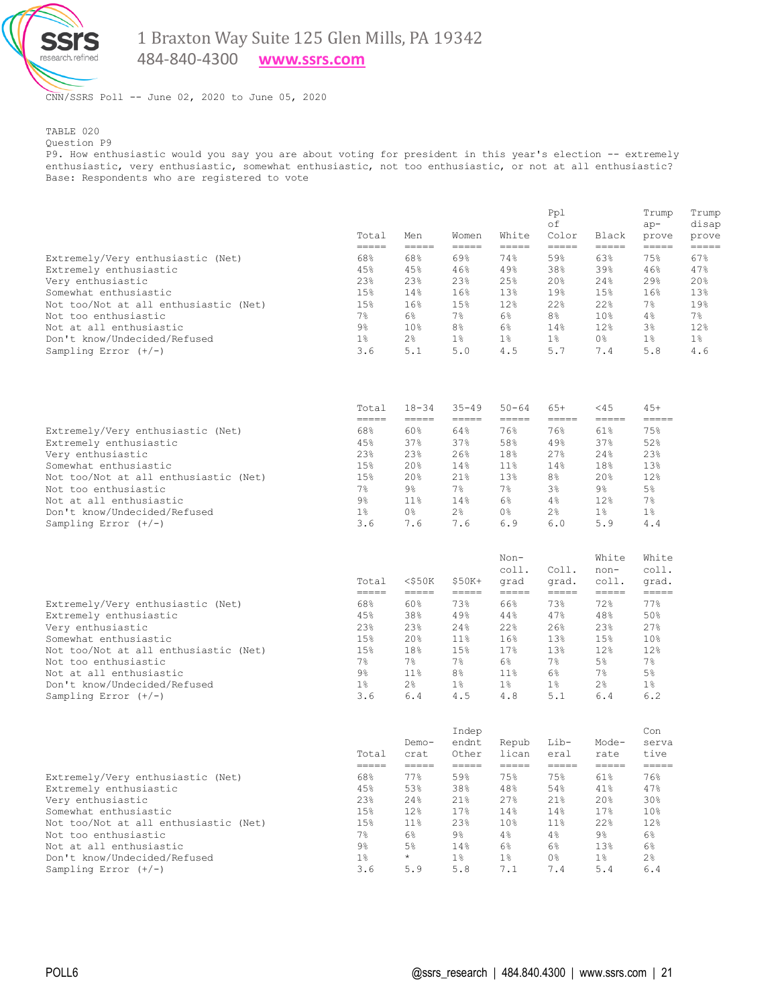

484-840-4300 **[www.ssrs.com](http://www.ssrs.com/)**

CNN/SSRS Poll -- June 02, 2020 to June 05, 2020

# TABLE 020

Question P9

P9. How enthusiastic would you say you are about voting for president in this year's election -- extremely enthusiastic, very enthusiastic, somewhat enthusiastic, not too enthusiastic, or not at all enthusiastic? Base: Respondents who are registered to vote

|                                       | Total                |                 |                |              | Pp1            |                 | Trump          | Trump          |
|---------------------------------------|----------------------|-----------------|----------------|--------------|----------------|-----------------|----------------|----------------|
|                                       |                      | Men             | Women          | White        | of<br>Color    | Black           | $ap-$<br>prove | disap<br>prove |
| Extremely/Very enthusiastic (Net)     | _____<br>____<br>68% | _____<br>68%    | ------<br>69%  | -----<br>74% | _____<br>59%   | _____<br>63%    | _____<br>75%   | =====<br>67%   |
| Extremely enthusiastic                | 45%                  | 45%             | 46%            | 49%          | 38%            | 39%             | 46%            | 47%            |
| Very enthusiastic                     | 23 <sup>8</sup>      | 23%             | 23%            | 25%          | 20%            | 24%             | 29%            | 20%            |
| Somewhat enthusiastic                 | 15%                  | 14%             | 16%            | 13%          | 19%            | 15%             | 16%            | 13%            |
| Not too/Not at all enthusiastic (Net) | 15%                  | 16%             | 15%            | 12%          | 22%            | 22%             | 7%             | 19%            |
| Not too enthusiastic                  | 7%                   | 6%              | 7%             | 6%           | 8 <sup>°</sup> | 10 <sub>8</sub> | 4%             | 7%             |
| Not at all enthusiastic               | $9\%$                | 10 <sub>8</sub> | 8 <sup>°</sup> | 6%           | 14%            | 12%             | 3%             | 12%            |
| Don't know/Undecided/Refused          | $1\%$                | 2 <sup>°</sup>  | $1\%$          | $1\%$        | $1\%$          | 0 <sup>°</sup>  | $1\%$          | $1\%$          |
| Sampling Error $(+/-)$                | 3.6                  | 5.1             | 5.0            | 4.5          | 5.7            | 7.4             | 5.8            | 4.6            |

|                                       | Total          |                 | $18 - 34$ | $35 - 49$       | $50 - 64$      | 65+            | $<$ 45 | $45+$ |
|---------------------------------------|----------------|-----------------|-----------|-----------------|----------------|----------------|--------|-------|
|                                       |                |                 |           |                 |                |                |        |       |
| Extremely/Very enthusiastic (Net)     | 68%            | 60%             | 64%       | 76%             | 76%            | 61%            | 75%    |       |
| Extremely enthusiastic                | 45%            | 37%             | 37%       | 58%             | 49%            | 37%            | 52%    |       |
| Very enthusiastic                     | 23%            | 23%             | 26%       | 18%             | 2.7%           | 24%            | 23%    |       |
| Somewhat enthusiastic                 | 15%            | 20%             | 14%       | 11 <sup>8</sup> | 14%            | 18%            | 13%    |       |
| Not too/Not at all enthusiastic (Net) | 15%            | 20%             | 21%       | 13%             | 8 <sup>°</sup> | 20%            | 12%    |       |
| Not too enthusiastic                  | 7%             | $9\%$           | 7%        | 7%              | 3 <sup>°</sup> | $9\%$          | 5%     |       |
| Not at all enthusiastic               | $9\%$          | 11 <sup>°</sup> | 14%       | 6%              | 4%             | 12.8           | 7%     |       |
| Don't know/Undecided/Refused          | 1 <sup>8</sup> | 0 <sup>°</sup>  | 2.8       | 0 <sup>°</sup>  | 2.8            | 1 <sup>°</sup> | $1\%$  |       |
| Sampling Error $(+/-)$                | 3.6            | 7.6             | 7.6       | 6.9             | 6.0            | 5.9            | 4.4    |       |

|                                       | Total           | $<$ \$50 $K$    | $$50K+$         | $Non-$<br>coll.<br>grad | Coll.<br>grad. | White<br>non-<br>coll. | White<br>coll.<br>grad. |
|---------------------------------------|-----------------|-----------------|-----------------|-------------------------|----------------|------------------------|-------------------------|
|                                       | _____<br>----   |                 |                 |                         |                |                        |                         |
| Extremely/Very enthusiastic (Net)     | 68%             | 60%             | 73%             | 66%                     | 73%            | 72%                    | 77%                     |
| Extremely enthusiastic                | 45%             | 38%             | 49%             | 44%                     | 47%            | 48%                    | 50%                     |
| Very enthusiastic                     | 23 <sup>8</sup> | 23%             | 24%             | 22%                     | 26%            | 23%                    | 27%                     |
| Somewhat enthusiastic                 | 15%             | 20 <sub>8</sub> | 11 <sup>°</sup> | 16%                     | 13%            | 15%                    | 10 <sup>°</sup>         |
| Not too/Not at all enthusiastic (Net) | 15%             | 18%             | 15%             | 17%                     | 1.3%           | 12%                    | 12%                     |
| Not too enthusiastic                  | 7%              | 7%              | 7%              | 6%                      | 7%             | 5%                     | 7%                      |
| Not at all enthusiastic               | $9\%$           | 11 <sup>°</sup> | 8 <sup>°</sup>  | 11 <sup>°</sup>         | 6%             | 7%                     | 5%                      |
| Don't know/Undecided/Refused          | $1\%$           | 2.8             | 1 <sup>8</sup>  | 1 <sub>8</sub>          | $1\%$          | 2 <sup>°</sup>         | $1\%$                   |
| Sampling Error $(+/-)$                | 3.6             | 6.4             | 4.5             | 4.8                     | 5.1            | 6.4                    | 6.2                     |

| Total                                        | $Demo-$<br>crat | Indep<br>endnt<br>Other | Repub<br>lican  | Lib-<br>eral    | Mode-<br>rate | Con<br>serva<br>tive |
|----------------------------------------------|-----------------|-------------------------|-----------------|-----------------|---------------|----------------------|
| _____                                        |                 |                         |                 |                 |               |                      |
| 68%<br>Extremely/Very enthusiastic (Net)     | 77%             | 59%                     | 75%             | 75%             | 61%           | 76%                  |
| 45%<br>Extremely enthusiastic                | 53%             | 38%                     | 48%             | 54%             | 41%           | 47%                  |
| 23%<br>Very enthusiastic                     | 24%             | 21%                     | 2.7%            | 21%             | 20%           | 30%                  |
| Somewhat enthusiastic<br>15%                 | 12%             | 17%                     | 14%             | 14%             | 17%           | 10 <sup>°</sup>      |
| 15%<br>Not too/Not at all enthusiastic (Net) | 11 <sup>°</sup> | 23%                     | 10 <sub>8</sub> | 11 <sub>8</sub> | 22.8          | 12%                  |
| 7%<br>Not too enthusiastic                   | 6%              | 9 <sub>8</sub>          | 4%              | 4%              | $9\%$         | 6%                   |
| $9\%$<br>Not at all enthusiastic             | $5\%$           | 14%                     | 6%              | 6%              | 13%           | 6%                   |
| $1\%$<br>Don't know/Undecided/Refused        | $\star$         | 1 <sub>8</sub>          | 1 <sup>8</sup>  | 0 <sup>°</sup>  | $1\%$         | 2 <sup>°</sup>       |
| 3.6<br>Sampling Error $(+/-)$                | 5.9             | 5.8                     | 7.1             | 7.4             | 5.4           | 6.4                  |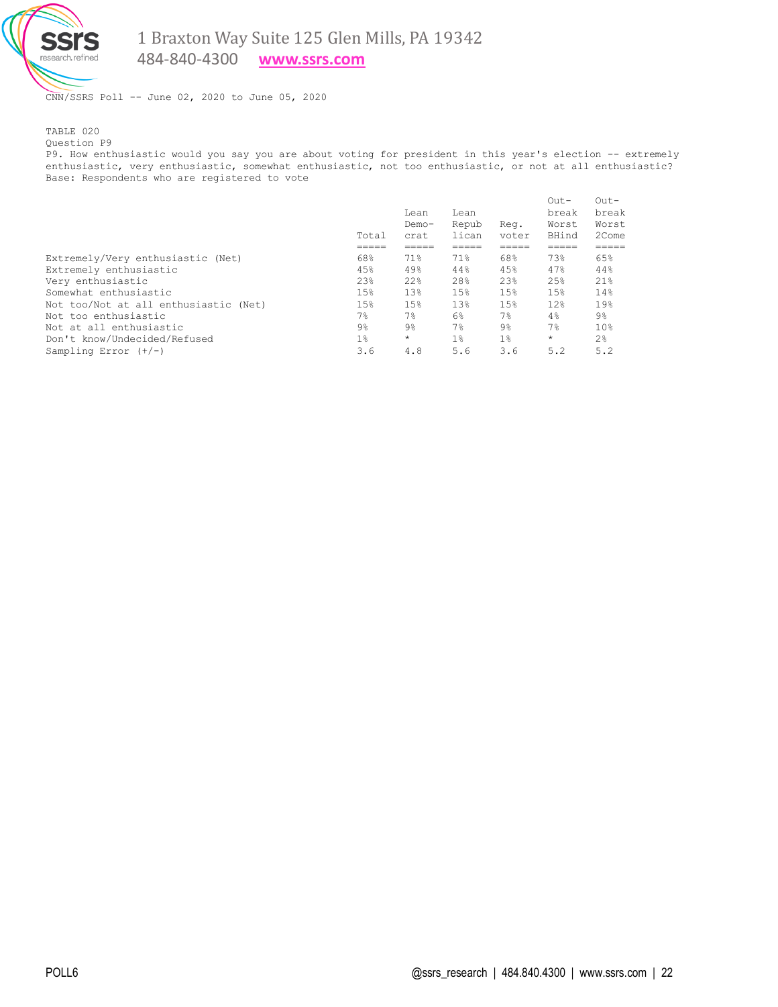

484-840-4300 **[www.ssrs.com](http://www.ssrs.com/)**

CNN/SSRS Poll -- June 02, 2020 to June 05, 2020

# TABLE 020

Question P9

P9. How enthusiastic would you say you are about voting for president in this year's election -- extremely enthusiastic, very enthusiastic, somewhat enthusiastic, not too enthusiastic, or not at all enthusiastic? Base: Respondents who are registered to vote

|                                       | Total<br>-----  | Lean<br>$Demo-$<br>crat | Lean<br>Repub<br>lican | Req.<br>voter | $Out-$<br>break<br>Worst<br>BHind | $Out-$<br>break<br>Worst<br>2Come |
|---------------------------------------|-----------------|-------------------------|------------------------|---------------|-----------------------------------|-----------------------------------|
| Extremely/Very enthusiastic (Net)     | 68%             | 71%                     | 71%                    | 68%           | 73%                               | 65%                               |
| Extremely enthusiastic                | 45%             | 49%                     | 44%                    | 45%           | 47%                               | 44%                               |
| Very enthusiastic                     | 23 <sup>8</sup> | 22%                     | 28%                    | 23%           | 25%                               | 21%                               |
| Somewhat enthusiastic                 | 15%             | 13%                     | 15%                    | 15%           | 15%                               | 14%                               |
| Not too/Not at all enthusiastic (Net) | 15%             | 15%                     | 13%                    | 15%           | 12%                               | 19%                               |
| Not too enthusiastic                  | 7%              | 7%                      | 6%                     | 7%            | 4%                                | 9%                                |
| Not at all enthusiastic               | $9\%$           | $9\%$                   | 7%                     | $9\%$         | 7%                                | 10 <sub>8</sub>                   |
| Don't know/Undecided/Refused          | $1\%$           | $\star$                 | 1 <sub>8</sub>         | $1\%$         | $\star$                           | 2 <sup>°</sup>                    |
| Sampling Error $(+/-)$                | 3.6             | 4.8                     | 5.6                    | 3.6           | 5.2                               | 5.2                               |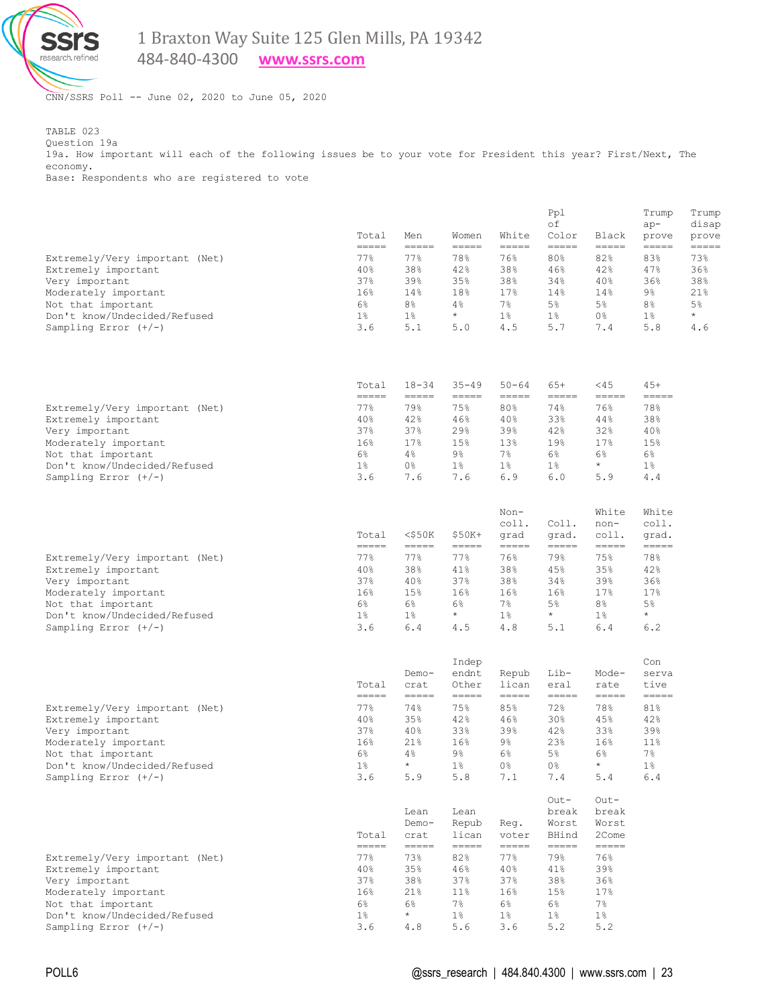

484-840-4300 **[www.ssrs.com](http://www.ssrs.com/)**

CNN/SSRS Poll -- June 02, 2020 to June 05, 2020

TABLE 023 Question 19a 19a. How important will each of the following issues be to your vote for President this year? First/Next, The economy. Base: Respondents who are registered to vote

|                                                                                                                                                                                 | Total<br>$=$ $=$ $=$ $=$                                          | Men<br>$=$ $=$ $=$ $=$                                            | Women<br>$=$ $=$ $=$ $=$                                               | White<br>$=$ $=$ $=$ $=$                                             | Ppl<br>οf<br>Color<br>$=$ $=$ $=$ $=$                                  | Black<br>$=$ $=$ $=$ $=$                                                      | Trump<br>ap-<br>prove<br>=====                            | Trump<br>disap<br>prove<br>$=$ $=$ $=$ $=$ $=$   |
|---------------------------------------------------------------------------------------------------------------------------------------------------------------------------------|-------------------------------------------------------------------|-------------------------------------------------------------------|------------------------------------------------------------------------|----------------------------------------------------------------------|------------------------------------------------------------------------|-------------------------------------------------------------------------------|-----------------------------------------------------------|--------------------------------------------------|
| Extremely/Very important (Net)<br>Extremely important<br>Very important<br>Moderately important<br>Not that important<br>Don't know/Undecided/Refused<br>Sampling Error $(+/-)$ | 77%<br>40%<br>37%<br>16%<br>$6\%$<br>$1\%$<br>3.6                 | 77%<br>38%<br>39%<br>14%<br>8 <sup>°</sup><br>$1\%$<br>5.1        | 78%<br>42%<br>35%<br>18%<br>4%<br>$\star$<br>5.0                       | 76%<br>38%<br>38%<br>17%<br>7%<br>$1\%$<br>4.5                       | 80%<br>46%<br>34%<br>14%<br>5%<br>$1\%$<br>5.7                         | 82%<br>42%<br>40%<br>14%<br>$5\%$<br>0 <sup>°</sup><br>7.4                    | 83%<br>47%<br>36%<br>$9\%$<br>8%<br>$1\%$<br>5.8          | 73%<br>36%<br>38%<br>21%<br>5%<br>$\star$<br>4.6 |
|                                                                                                                                                                                 | Total<br>$=$ $=$ $=$ $=$                                          | $18 - 34$<br>$\begin{array}{c} \text{---} \text{---} \end{array}$ | $35 - 49$<br>$=$ $=$ $=$ $=$                                           | $50 - 64$<br>$=$ $=$ $=$ $=$                                         | 65+<br>$=$ $=$ $=$ $=$                                                 | $<$ 45<br>=====                                                               | $45+$<br>=====                                            |                                                  |
| Extremely/Very important (Net)<br>Extremely important<br>Very important<br>Moderately important<br>Not that important<br>Don't know/Undecided/Refused<br>Sampling Error $(+/-)$ | 77%<br>40%<br>37%<br>16%<br>$6\%$<br>$1\%$<br>3.6                 | 79%<br>42%<br>37%<br>17%<br>4%<br>0%<br>7.6                       | 75%<br>46%<br>29%<br>15%<br>$9\%$<br>$1\%$<br>7.6                      | 80%<br>40%<br>39%<br>13%<br>$7\%$<br>$1\%$<br>6.9                    | 74%<br>33%<br>42%<br>19%<br>6%<br>$1\%$<br>6.0                         | 76%<br>44%<br>32%<br>17%<br>6%<br>$^{\star}$<br>5.9                           | 78%<br>38%<br>40%<br>15%<br>6%<br>$1\%$<br>4.4            |                                                  |
|                                                                                                                                                                                 | Total                                                             | $<$ \$50 $K$                                                      | $$50K+$                                                                | $Non-$<br>coll.<br>grad                                              | Coll.<br>qrad.                                                         | White<br>non-<br>coll.                                                        | White<br>coll.<br>qrad.                                   |                                                  |
| Extremely/Very important (Net)<br>Extremely important<br>Very important<br>Moderately important<br>Not that important<br>Don't know/Undecided/Refused<br>Sampling Error $(+/-)$ | $=$ $=$ $=$ $=$<br>77%<br>40%<br>37%<br>16%<br>6%<br>$1\%$<br>3.6 | $=$ $=$ $=$ $=$<br>77%<br>38%<br>40%<br>15%<br>6%<br>$1\%$<br>6.4 | $=$ $=$ $=$ $=$<br>77%<br>41%<br>37%<br>16%<br>$6\%$<br>$\star$<br>4.5 | $=$ $=$ $=$ $=$<br>76%<br>38%<br>38%<br>16%<br>$7\%$<br>$1\%$<br>4.8 | $=$ $=$ $=$ $=$<br>79%<br>45%<br>34%<br>16%<br>5%<br>$^{\star}$<br>5.1 | $=$ $=$ $=$ $=$<br>75%<br>35%<br>39%<br>17%<br>8 <sup>°</sup><br>$1\%$<br>6.4 | =====<br>78%<br>42%<br>36%<br>17%<br>5%<br>$\star$<br>6.2 |                                                  |
|                                                                                                                                                                                 | Total<br>$=$ $=$ $=$ $=$                                          | Demo-<br>crat<br>$=$ $=$ $=$ $=$                                  | Indep<br>endnt<br>Other<br>$=$ $=$ $=$ $=$                             | Repub<br>lican<br>$=$ $=$ $=$ $=$                                    | Lib-<br>eral<br>$=$ $=$ $=$ $=$                                        | Mode-<br>rate<br>$=$ $=$ $=$ $=$                                              | Con<br>serva<br>tive<br>$=$ $=$ $=$ $=$                   |                                                  |

| Extremely/Very important (Net) | 77%   | 74%     | 75%   | 85%   | 72% | 78%     | 81%             |
|--------------------------------|-------|---------|-------|-------|-----|---------|-----------------|
| Extremely important            | 40%   | 35%     | 42%   | 46%   | 30% | 45%     | 42%             |
| Very important                 | 37%   | 40%     | 33%   | 39%   | 42% | 33%     | 39%             |
| Moderately important           | 16%   | 21%     | 16%   | $9\%$ | 23% | 16%     | 11 <sup>°</sup> |
| Not that important             | $6\%$ | $4\%$   | $9\%$ | $6\%$ | 5%  | 6%      | 7%              |
| Don't know/Undecided/Refused   | $1\,$ | $\star$ | $1\%$ | 0%    | 0 % | $\star$ | $1\%$           |
| Sampling Error $(+/-)$         | 3.6   | 5.9     | 5.8   | 7.1   | 7.4 | 5.4     | 6.4             |

|                                |               | Lean            | Lean            |                | break          | break          |
|--------------------------------|---------------|-----------------|-----------------|----------------|----------------|----------------|
|                                | Total         | $Demo-$<br>crat | Repub<br>lican  | Req.<br>voter  | Worst<br>BHind | Worst<br>2Come |
|                                | _____<br>---- | -----           |                 |                |                | ----           |
| Extremely/Very important (Net) | 77%           | 73%             | 82%             | 77%            | 79%            | 76%            |
| Extremely important            | 40%           | 35%             | 46%             | 40%            | 41%            | 39%            |
| Very important                 | 37%           | 38%             | 37%             | 37%            | 38%            | 36%            |
| Moderately important           | 16%           | 21%             | 11 <sup>°</sup> | 16%            | 15%            | 17%            |
| Not that important             | 6%            | 6 <sup>°</sup>  | 7%              | 6%             | 6%             | $7\%$          |
| Don't know/Undecided/Refused   | $1\%$         | $\star$         | 1 <sup>8</sup>  | 1 <sub>8</sub> | 1 <sup>°</sup> | 1 <sup>°</sup> |
| Sampling Error $(+/-)$         | 3.6           | 4.8             | 5.6             | 3.6            | 5.2            | 5.2            |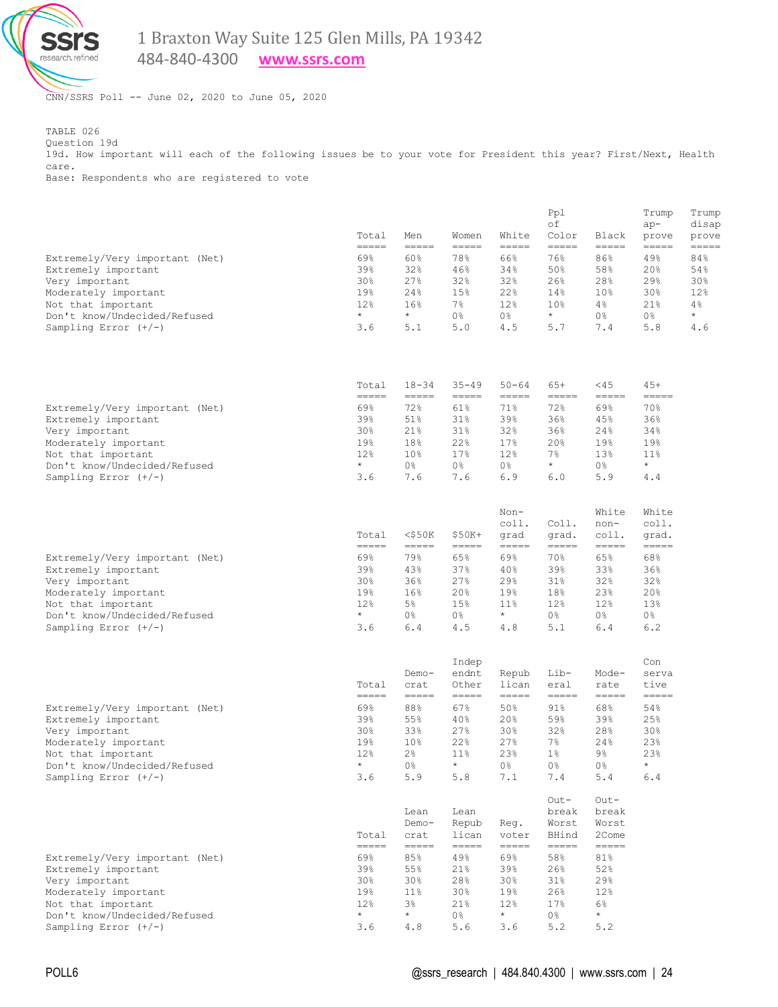

484-840-4300 **[www.ssrs.com](http://www.ssrs.com/)**

CNN/SSRS Poll -- June 02, 2020 to June 05, 2020

TABLE 026 Question 19d 19d. How important will each of the following issues be to your vote for President this year? First/Next, Health care. Base: Respondents who are registered to vote

|                                                                                                                                                                                 | Total<br>$=$ $=$ $=$ $=$                                                                                                                                                                                                                                                                                                                                                                                                                                      | Men<br>$=$ $=$ $=$ $=$                                         | Women<br>=====                                                       | White<br>$=$ $=$ $=$ $=$                                                         | Ppl<br>of<br>Color<br>=====                                                             | Black<br>=====                                                                   | Trump<br>$ap-$<br>prove<br>=====                                  | Trump<br>disap<br>prove<br>----- |
|---------------------------------------------------------------------------------------------------------------------------------------------------------------------------------|---------------------------------------------------------------------------------------------------------------------------------------------------------------------------------------------------------------------------------------------------------------------------------------------------------------------------------------------------------------------------------------------------------------------------------------------------------------|----------------------------------------------------------------|----------------------------------------------------------------------|----------------------------------------------------------------------------------|-----------------------------------------------------------------------------------------|----------------------------------------------------------------------------------|-------------------------------------------------------------------|----------------------------------|
| Extremely/Very important (Net)<br>Extremely important<br>Very important<br>Moderately important                                                                                 | 69%<br>39%<br>30%<br>19%                                                                                                                                                                                                                                                                                                                                                                                                                                      | 60%<br>32%<br>27%<br>24%                                       | 78%<br>46%<br>32%<br>15%                                             | 66%<br>34%<br>32%<br>22%                                                         | 76%<br>50%<br>26%<br>14%                                                                | 86%<br>58%<br>28%<br>10%                                                         | 49%<br>20%<br>29%<br>30%                                          | 84%<br>54%<br>30%<br>12%         |
| Not that important<br>Don't know/Undecided/Refused<br>Sampling Error $(+/-)$                                                                                                    | 12%<br>$\star$<br>3.6                                                                                                                                                                                                                                                                                                                                                                                                                                         | 16%<br>$\star$<br>5.1                                          | 7%<br>0 <sup>°</sup><br>5.0                                          | 12%<br>0 %<br>4.5                                                                | 10%<br>$\star$<br>5.7                                                                   | 4%<br>0 <sup>°</sup><br>7.4                                                      | 21%<br>0 %<br>5.8                                                 | 4%<br>$^{\star}$<br>4.6          |
|                                                                                                                                                                                 | Total<br>$=$ $=$ $=$ $=$                                                                                                                                                                                                                                                                                                                                                                                                                                      | $18 - 34$<br>$=$ $=$ $=$ $=$                                   | $35 - 49$<br>$=$ $=$ $=$ $=$                                         | $50 - 64$<br>$=$ $=$ $=$ $=$                                                     | $65+$<br>=====                                                                          | $<$ 45<br>=====                                                                  | $45+$<br>=====                                                    |                                  |
| Extremely/Very important (Net)<br>Extremely important<br>Very important                                                                                                         | 69%<br>39%<br>30%                                                                                                                                                                                                                                                                                                                                                                                                                                             | 72%<br>51%<br>21%                                              | 61%<br>31%<br>31%                                                    | 71%<br>39%<br>32%                                                                | 72%<br>36%<br>36%                                                                       | 69%<br>45%<br>24%                                                                | 70%<br>36%<br>34%                                                 |                                  |
| Moderately important<br>Not that important<br>Don't know/Undecided/Refused<br>Sampling Error $(+/-)$                                                                            | 19%<br>12%<br>$\star$<br>3.6                                                                                                                                                                                                                                                                                                                                                                                                                                  | 18%<br>10 <sub>8</sub><br>$0\%$<br>7.6                         | 22%<br>17%<br>$0\%$<br>7.6                                           | 17%<br>12%<br>0 <sup>°</sup><br>6.9                                              | 20%<br>$7\,$ %<br>$\star$<br>6.0                                                        | 19%<br>13%<br>$0\,$ %<br>5.9                                                     | 19%<br>11 <sup>8</sup><br>$^\star$<br>4.4                         |                                  |
|                                                                                                                                                                                 | Total                                                                                                                                                                                                                                                                                                                                                                                                                                                         | $<$ \$50 $K$                                                   | $$50K+$                                                              | $Non-$<br>coll.<br>grad                                                          | Coll.<br>grad.                                                                          | White<br>non-<br>coll.                                                           | White<br>coll.<br>grad.                                           |                                  |
| Extremely/Very important (Net)<br>Extremely important<br>Very important<br>Moderately important<br>Not that important<br>Don't know/Undecided/Refused<br>Sampling Error $(+/-)$ | $\frac{1}{1} \frac{1}{1} \frac{1}{1} \frac{1}{1} \frac{1}{1} \frac{1}{1} \frac{1}{1} \frac{1}{1} \frac{1}{1} \frac{1}{1} \frac{1}{1} \frac{1}{1} \frac{1}{1} \frac{1}{1} \frac{1}{1} \frac{1}{1} \frac{1}{1} \frac{1}{1} \frac{1}{1} \frac{1}{1} \frac{1}{1} \frac{1}{1} \frac{1}{1} \frac{1}{1} \frac{1}{1} \frac{1}{1} \frac{1}{1} \frac{1}{1} \frac{1}{1} \frac{1}{1} \frac{1}{1} \frac{$<br>69%<br>39%<br>30 <sub>8</sub><br>19%<br>12%<br>$\star$<br>3.6 | $=$ $=$ $=$ $=$<br>79%<br>43%<br>36%<br>16%<br>5%<br>0%<br>6.4 | $=$ $=$ $=$ $=$<br>65%<br>37%<br>27%<br>20%<br>15%<br>$0\,$ %<br>4.5 | $=$ $=$ $=$ $=$<br>69%<br>40%<br>29%<br>19%<br>11 <sup>°</sup><br>$\star$<br>4.8 | $=$ $=$ $=$ $=$<br>70%<br>39%<br>31%<br>18%<br>12 <sup>8</sup><br>0 <sup>°</sup><br>5.1 | $=$ $=$ $=$ $=$<br>65%<br>33%<br>32%<br>23%<br>12 <sub>8</sub><br>$0\,$ %<br>6.4 | =====<br>68%<br>36%<br>32%<br>20%<br>13%<br>0 <sup>°</sup><br>6.2 |                                  |
|                                                                                                                                                                                 | Total                                                                                                                                                                                                                                                                                                                                                                                                                                                         | $Demo-$<br>crat                                                | Indep<br>endnt<br>Other                                              | Repub<br>lican                                                                   | Lib-<br>eral                                                                            | Mode-<br>rate                                                                    | Con<br>serva<br>tive                                              |                                  |

| 69%     | 88%             | 67%     | 50%  | 91%            | 68%   | 54%     |
|---------|-----------------|---------|------|----------------|-------|---------|
| 39%     | 55%             | 40%     | 2.0% | 59%            | 39%   | 25%     |
| 30%     | 33%             | 2.7%    | 30%  | 32%            | 28%   | 30%     |
| 19%     | 10 <sup>°</sup> | 22%     | 2.7% | 7%             | 2.4%  | 23%     |
| 12%     | 2.8             | $11\%$  | 2.3% | 1%             | $9\%$ | 23%     |
| $\star$ | 0 <sup>°</sup>  | $\star$ | 0%   | 0 <sup>°</sup> | 0%    | $\star$ |
| 3.6     | 5.9             | 5.8     | 7.1  | 7.4            | 5.4   | 6.4     |
|         |                 |         |      |                |       |         |

|                                |         | Lean            | Lean           |               | break           | break          |
|--------------------------------|---------|-----------------|----------------|---------------|-----------------|----------------|
|                                | Total   | $Demo-$<br>crat | Repub<br>lican | Req.<br>voter | Worst<br>BHind  | Worst<br>2Come |
|                                | -----   |                 |                |               |                 |                |
| Extremely/Very important (Net) | 69%     | 85%             | 49%            | 69%           | 58%             | 81%            |
| Extremely important            | 39%     | 55%             | 21%            | 39%           | 26%             | 52%            |
| Very important                 | 30%     | 30 <sub>8</sub> | 28%            | 30%           | 31 <sub>8</sub> | 29%            |
| Moderately important           | 19%     | 11 <sup>°</sup> | 30%            | 19%           | 26%             | 12%            |
| Not that important             | 12.8    | 3%              | 21%            | 12%           | 17 <sup>8</sup> | 6%             |
| Don't know/Undecided/Refused   | $\star$ | $\star$         | 0 <sup>°</sup> | $\star$       | 0 <sup>°</sup>  | $\star$        |
| Sampling Error $(+/-)$         | 3.6     | 4.8             | 5.6            | 3.6           | 5.2             | 5.2            |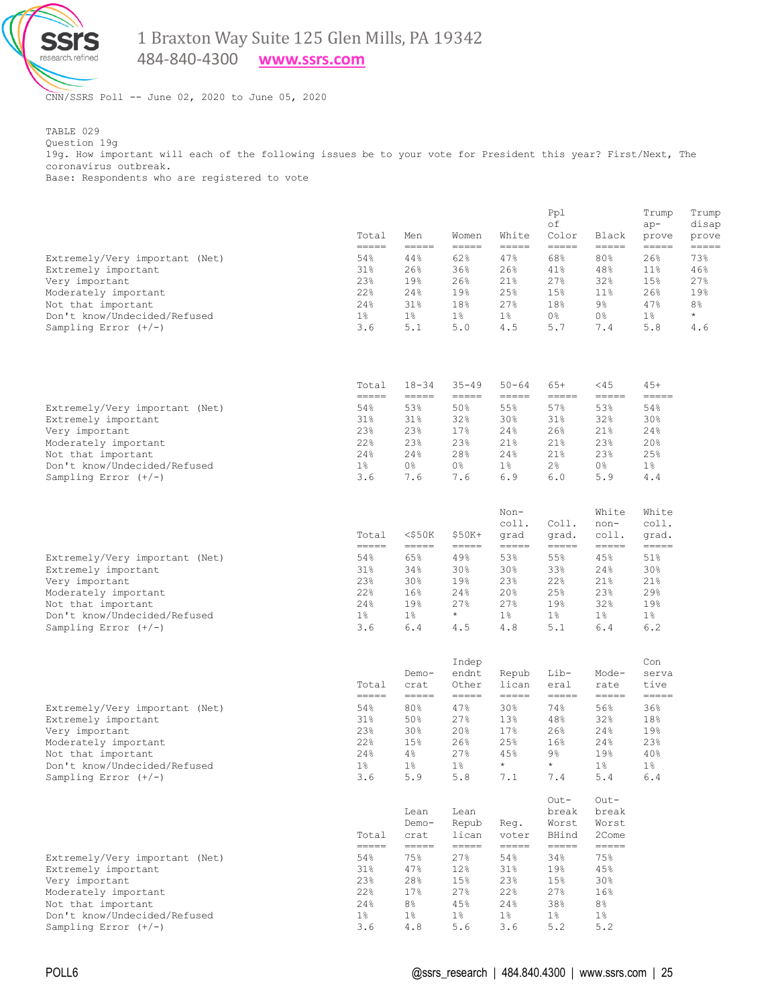

484-840-4300 **[www.ssrs.com](http://www.ssrs.com/)**

CNN/SSRS Poll -- June 02, 2020 to June 05, 2020

TABLE 029 Question 19g 19g. How important will each of the following issues be to your vote for President this year? First/Next, The coronavirus outbreak. Base: Respondents who are registered to vote

|                                | Total                                                                                                                                                                                                                                                                                                                                                                                               | Men                                                         | Women                  | White                   | Ppl<br>οf<br>Color     | Black                  | Trump<br>$ap-$<br>prove | Trump<br>disap<br>prove |
|--------------------------------|-----------------------------------------------------------------------------------------------------------------------------------------------------------------------------------------------------------------------------------------------------------------------------------------------------------------------------------------------------------------------------------------------------|-------------------------------------------------------------|------------------------|-------------------------|------------------------|------------------------|-------------------------|-------------------------|
| Extremely/Very important (Net) | $=$ $=$ $=$ $=$<br>54%                                                                                                                                                                                                                                                                                                                                                                              | $\begin{array}{c} \text{---} \text{---} \end{array}$<br>44% | $=$ $=$ $=$ $=$<br>62% | $=$ $=$ $=$ $=$<br>47%  | $=$ $=$ $=$ $=$<br>68% | =====<br>80%           | $=$ $=$ $=$ $=$<br>26%  | $=====$<br>73%          |
| Extremely important            | 31%                                                                                                                                                                                                                                                                                                                                                                                                 | 26%                                                         | 36%                    | 26%                     | 41%                    | 48%                    | 11 <sup>°</sup>         | 46%                     |
| Very important                 | 23%                                                                                                                                                                                                                                                                                                                                                                                                 | 19%                                                         | 26%                    | 21%                     | 27%                    | 32%                    | 15%                     | 27%                     |
| Moderately important           | 22%                                                                                                                                                                                                                                                                                                                                                                                                 | 24%                                                         | 19%                    | 25%                     | 15%                    | 11%                    | 26%                     | 19%                     |
| Not that important             | 24%                                                                                                                                                                                                                                                                                                                                                                                                 | 31 <sup>8</sup>                                             | 18%                    | 27%                     | 18%                    | $9\frac{6}{6}$         | 47%                     | 8%                      |
| Don't know/Undecided/Refused   | $1\%$                                                                                                                                                                                                                                                                                                                                                                                               | 1 <sup>°</sup>                                              | $1\%$                  | 1 <sup>°</sup>          | 0%                     | 0 <sup>°</sup>         | $1\%$                   | $\star$                 |
| Sampling Error $(+/-)$         | 3.6                                                                                                                                                                                                                                                                                                                                                                                                 | 5.1                                                         | 5.0                    | 4.5                     | 5.7                    | 7.4                    | 5.8                     | 4.6                     |
|                                | Total                                                                                                                                                                                                                                                                                                                                                                                               | $18 - 34$                                                   | $35 - 49$              | $50 - 64$               | $65+$                  | $<$ 45                 | $45+$                   |                         |
|                                | $\frac{1}{1} \frac{1}{1} \frac{1}{1} \frac{1}{1} \frac{1}{1} \frac{1}{1} \frac{1}{1} \frac{1}{1} \frac{1}{1} \frac{1}{1} \frac{1}{1} \frac{1}{1} \frac{1}{1} \frac{1}{1} \frac{1}{1} \frac{1}{1} \frac{1}{1} \frac{1}{1} \frac{1}{1} \frac{1}{1} \frac{1}{1} \frac{1}{1} \frac{1}{1} \frac{1}{1} \frac{1}{1} \frac{1}{1} \frac{1}{1} \frac{1}{1} \frac{1}{1} \frac{1}{1} \frac{1}{1} \frac{$        | $=$ $=$ $=$ $=$                                             | $=$ $=$ $=$ $=$        | $=$ $=$ $=$ $=$         | =====                  | =====                  | =====                   |                         |
| Extremely/Very important (Net) | 54%                                                                                                                                                                                                                                                                                                                                                                                                 | 53%                                                         | 50%                    | 55%                     | 57%                    | 53%                    | 54%                     |                         |
| Extremely important            | 31%                                                                                                                                                                                                                                                                                                                                                                                                 | 31%                                                         | 32%                    | 30%                     | 31%                    | 32%                    | 30%                     |                         |
| Very important                 | 23%                                                                                                                                                                                                                                                                                                                                                                                                 | 23 <sup>8</sup>                                             | 17%                    | 24%                     | 26%                    | 21%                    | 24%                     |                         |
| Moderately important           | 22%                                                                                                                                                                                                                                                                                                                                                                                                 | 23%                                                         | 23%                    | 21%                     | 21%                    | 23%                    | 20%                     |                         |
| Not that important             | 24%                                                                                                                                                                                                                                                                                                                                                                                                 | 2.4%                                                        | 28%                    | 24%                     | 21%                    | 23%                    | 25%                     |                         |
| Don't know/Undecided/Refused   | $1\%$                                                                                                                                                                                                                                                                                                                                                                                               | $0\%$                                                       | $0\,$ %                | 1 <sup>°</sup>          | 2 <sup>°</sup>         | 0%                     | $1\%$                   |                         |
| Sampling Error $(+/-)$         | 3.6                                                                                                                                                                                                                                                                                                                                                                                                 | 7.6                                                         | 7.6                    | 6.9                     | 6.0                    | 5.9                    | 4.4                     |                         |
|                                | Total                                                                                                                                                                                                                                                                                                                                                                                               | $<$ \$50 $K$                                                | $$50K+$                | $Non-$<br>coll.<br>qrad | Coll.<br>grad.         | White<br>non-<br>coll. | White<br>coll.<br>qrad. |                         |
| Extremely/Very important (Net) | $\frac{1}{1} \frac{1}{1} \frac{1}{1} \frac{1}{1} \frac{1}{1} \frac{1}{1} \frac{1}{1} \frac{1}{1} \frac{1}{1} \frac{1}{1} \frac{1}{1} \frac{1}{1} \frac{1}{1} \frac{1}{1} \frac{1}{1} \frac{1}{1} \frac{1}{1} \frac{1}{1} \frac{1}{1} \frac{1}{1} \frac{1}{1} \frac{1}{1} \frac{1}{1} \frac{1}{1} \frac{1}{1} \frac{1}{1} \frac{1}{1} \frac{1}{1} \frac{1}{1} \frac{1}{1} \frac{1}{1} \frac{$<br>54% | $=$ $=$ $=$ $=$<br>65%                                      | $=$ $=$ $=$ $=$<br>49% | =====<br>53%            | -----<br>55%           | $=$ $=$ $=$ $=$<br>45% | =====<br>51%            |                         |
| Extremely important            | 31%                                                                                                                                                                                                                                                                                                                                                                                                 | 34%                                                         | 30%                    | 30%                     | 33%                    | 24%                    | 30%                     |                         |
| Very important                 | 23%                                                                                                                                                                                                                                                                                                                                                                                                 | 30 <sub>8</sub>                                             | 19%                    | 23%                     | 22%                    | 21%                    | 21%                     |                         |
| Moderately important           | 22%                                                                                                                                                                                                                                                                                                                                                                                                 | 16%                                                         | 24%                    | 20%                     | 25%                    | 23%                    | 29%                     |                         |
| Not that important             | 24%                                                                                                                                                                                                                                                                                                                                                                                                 | 19%                                                         | 27%                    | 27%                     | 19%                    | 32%                    | 19%                     |                         |
| Don't know/Undecided/Refused   | $1\%$                                                                                                                                                                                                                                                                                                                                                                                               | $1\%$                                                       | $\star$                | $1\%$                   | $1\%$                  | $1\%$                  | $1\%$                   |                         |
| Sampling Error $(+/-)$         | 3.6                                                                                                                                                                                                                                                                                                                                                                                                 | 6.4                                                         | 4.5                    | 4.8                     | 5.1                    | 6.4                    | 6.2                     |                         |
|                                |                                                                                                                                                                                                                                                                                                                                                                                                     |                                                             | Indep                  |                         |                        |                        | Con                     |                         |

|                                | Total<br>-----<br>______ | $Demo-$<br>crat | endnt<br>Other | Repub<br>lican  | Lib-<br>eral | Mode-<br>rate | serva<br>tive |
|--------------------------------|--------------------------|-----------------|----------------|-----------------|--------------|---------------|---------------|
| Extremely/Very important (Net) | 54%                      | 80%             | 47%            | 30 <sub>8</sub> | 74%          | 56%           | 36%           |
| Extremely important            | 31 <sub>8</sub>          | 50%             | 27%            | 13%             | 48%          | 32%           | 18%           |
| Very important                 | 23 <sup>8</sup>          | 30 <sub>8</sub> | 20%            | 17.8            | 26%          | 24%           | 19%           |
| Moderately important           | 22 <sup>8</sup>          | 15%             | 26%            | 25%             | 16%          | 24%           | 23%           |
| Not that important             | 24%                      | 4%              | 27%            | 45%             | $9\%$        | 19%           | 40%           |
| Don't know/Undecided/Refused   | $1\%$                    | $1\%$           | 1 <sup>8</sup> | $\star$         | $\star$      | $1\%$         | $1\%$         |
| Sampling Error $(+/-)$         | 3.6                      | 5.9             | 5.8            | 7.1             | 7.4          | 5.4           | 6.4           |

|                                |                 | Lean           | Lean           |                | break          | break          |
|--------------------------------|-----------------|----------------|----------------|----------------|----------------|----------------|
|                                |                 | $Demo-$        | Repub          | Req.           | Worst          | Worst          |
|                                | Total           | crat           | lican          | voter          | BHind          | 2Come          |
| Extremely/Very important (Net) | 54%             | 75%            | 2.7%           | 54%            | 34%            | 75%            |
| Extremely important            | 31%             | 47%            | 12%            | 31%            | 19%            | 45%            |
| Very important                 | 23 <sup>8</sup> | 28%            | 15%            | 23%            | 15%            | 30%            |
| Moderately important           | 22 <sup>8</sup> | 17%            | 27%            | 22%            | 27%            | 16%            |
| Not that important             | 24%             | 8 <sup>°</sup> | 45%            | 2.4%           | 38%            | 8 <sup>°</sup> |
| Don't know/Undecided/Refused   | $1\%$           | 1 <sub>8</sub> | 1 <sub>8</sub> | 1 <sub>8</sub> | 1 <sup>8</sup> | 1 <sup>°</sup> |
| Sampling Error $(+/-)$         | 3.6             | 4.8            | 5.6            | 3.6            | 5.2            | 5.2            |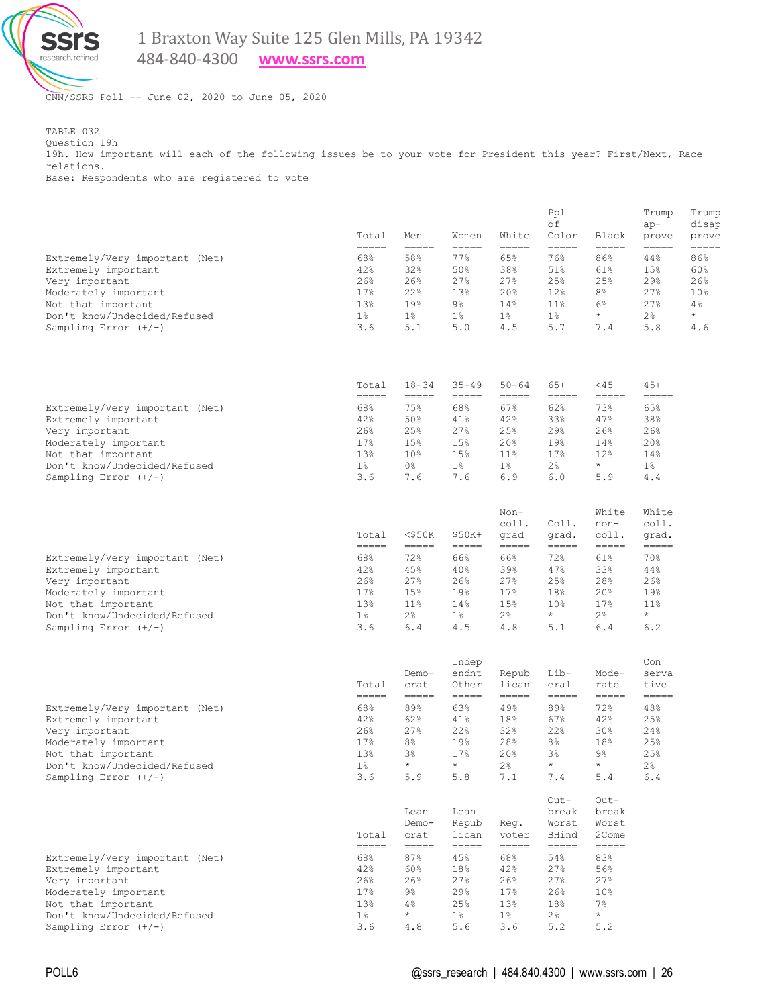

484-840-4300 **[www.ssrs.com](http://www.ssrs.com/)**

CNN/SSRS Poll -- June 02, 2020 to June 05, 2020

TABLE 032 Question 19h 19h. How important will each of the following issues be to your vote for President this year? First/Next, Race relations. Base: Respondents who are registered to vote

|                                | Total<br>$=$ $=$ $=$ $=$ | Men<br>$=$ $=$ $=$ $=$       | Women<br>$=$ $=$ $=$ $=$                                   | White<br>$=$ $=$ $=$ $=$                                                         | Pp1<br>of<br>Color<br>===== | Black<br>=====         | Trump<br>$ap-$<br>prove<br>===== | Trump<br>disap<br>prove<br>===== |
|--------------------------------|--------------------------|------------------------------|------------------------------------------------------------|----------------------------------------------------------------------------------|-----------------------------|------------------------|----------------------------------|----------------------------------|
| Extremely/Very important (Net) | 68%                      | 58%                          | 77%                                                        | 65%                                                                              | 76%                         | 86%                    | 44%                              | 86%                              |
| Extremely important            | 42%                      | 32%                          | 50%                                                        | 38%                                                                              | 51%                         | 61%                    | 15%                              | 60%                              |
| Very important                 | 26%                      | 26%                          | 27%                                                        | 27%                                                                              | 25%                         | 25%                    | 29%                              | 26%                              |
| Moderately important           | 17%                      | 22%                          | 13%                                                        | 20%                                                                              | 12%                         | 8 <sup>°</sup>         | 27%                              | 10%                              |
| Not that important             | 13%                      | 19%                          | $9\%$                                                      | 14%                                                                              | 11%                         | 6%                     | 27%                              | 4%                               |
| Don't know/Undecided/Refused   | $1\%$                    | $1\%$                        | $1\%$                                                      | $1\%$                                                                            | $1\%$                       | $\star$                | 2 <sup>°</sup>                   | $\star$                          |
| Sampling Error $(+/-)$         | 3.6                      | 5.1                          | 5.0                                                        | 4.5                                                                              | 5.7                         | 7.4                    | 5.8                              | 4.6                              |
|                                | Total<br>$=$ $=$ $=$ $=$ | $18 - 34$<br>$=$ $=$ $=$ $=$ | $35 - 49$                                                  | $50 - 64$                                                                        | $65+$<br>=====              | $<$ 45                 | $45+$                            |                                  |
| Extremely/Very important (Net) | 68%                      | 75%                          | $\qquad \qquad \displaystyle =\qquad \qquad \qquad$<br>68% | $\qquad \qquad \displaystyle =\qquad \qquad \displaystyle =\qquad \qquad$<br>67% | 62%                         | -----<br>73%           | $=$ $=$ $=$ $=$ $=$<br>65%       |                                  |
| Extremely important            | 42%                      | 50%                          | 41%                                                        | 42%                                                                              | 33%                         | 47%                    | 38%                              |                                  |
| Very important                 | 26%                      | 25%                          | 27%                                                        | 25%                                                                              | 29%                         | 26%                    | 26%                              |                                  |
| Moderately important           | 17%                      | 15%                          | 15%                                                        | 20%                                                                              | 19%                         | 14%                    | 20%                              |                                  |
| Not that important             | 13%                      | 10 <sub>8</sub>              | 15%                                                        | 11%                                                                              | 17%                         | 12%                    | 14%                              |                                  |
| Don't know/Undecided/Refused   | $1\%$                    | 0 <sup>°</sup>               | 1%                                                         | $1\%$                                                                            | 2 <sup>°</sup>              | $\star$                | $1\%$                            |                                  |
| Sampling Error $(+/-)$         | 3.6                      | 7.6                          | 7.6                                                        | 6.9                                                                              | 6.0                         | 5.9                    | 4.4                              |                                  |
|                                | Total<br>$=$ $=$ $=$ $=$ | $<$ \$50 $K$                 | $$50K+$                                                    | Non-<br>coll.<br>qrad                                                            | Coll.<br>qrad.              | White<br>non-<br>coll. | White<br>coll.<br>qrad.          |                                  |
| Extremely/Very important (Net) | 68%                      | $=$ $=$ $=$ $=$<br>72%       | $=$ $=$ $=$ $=$<br>66%                                     | $=$ $=$ $=$ $=$<br>66%                                                           | $=$ $=$ $=$ $=$<br>72%      | $=$ $=$ $=$ $=$<br>61% | $=$ $=$ $=$ $=$<br>70%           |                                  |
| Extremely important            | 42%                      | 45%                          | 40%                                                        | 39%                                                                              | 47%                         | 33%                    | 44%                              |                                  |
| Very important                 | 26%                      | 27%                          | 26%                                                        | 27%                                                                              | 25%                         | 28%                    | 26%                              |                                  |
| Moderately important           | 17%                      | 15%                          | 19%                                                        | 17%                                                                              | 18%                         | 20%                    | 19%                              |                                  |
| Not that important             | 13%                      | 11%                          | 14%                                                        | 15%                                                                              | 10%                         | 17%                    | 11 <sup>°</sup>                  |                                  |
| Don't know/Undecided/Refused   | $1\%$                    | 2 <sup>°</sup>               | $1\%$                                                      | 2 <sup>°</sup>                                                                   | $\star$                     | 2 <sup>°</sup>         | $\star$                          |                                  |
| Sampling Error $(+/-)$         | 3.6                      | 6.4                          | 4.5                                                        | 4.8                                                                              | 5.1                         | 6.4                    | 6.2                              |                                  |
|                                |                          |                              | Indep                                                      |                                                                                  |                             |                        | Con                              |                                  |
|                                |                          | $Demo-$                      | endnt                                                      | Repub                                                                            | Lib-                        | Mode-                  | serva                            |                                  |

|                                | Total           | crat           | Other   | lican | eral           | rate    | tive           |
|--------------------------------|-----------------|----------------|---------|-------|----------------|---------|----------------|
|                                |                 |                |         |       |                |         |                |
| Extremely/Very important (Net) | 68%             | 89%            | 63%     | 49%   | 89%            | 72%     | 48%            |
| Extremely important            | 42%             | 62%            | 41%     | 18%   | 67%            | 42%     | 25%            |
| Very important                 | 26%             | 27%            | 22%     | 32%   | 22%            | 30%     | 24%            |
| Moderately important           | 17 <sub>8</sub> | 8 <sup>°</sup> | 19%     | 28%   | 8 <sup>°</sup> | 18%     | 25%            |
| Not that important             | 13%             | 3%             | 17%     | 20%   | 3 <sup>°</sup> | $9\%$   | 25%            |
| Don't know/Undecided/Refused   | $1\,$           | $\star$        | $\star$ | 2.8   | $\star$        | $\star$ | 2 <sup>°</sup> |
| Sampling Error $(+/-)$         | 3.6             | 5.9            | 5.8     | 7.1   | 7.4            | 5.4     | 6.4            |

|                                |       | Lean    | Lean           |       | break          | break           |
|--------------------------------|-------|---------|----------------|-------|----------------|-----------------|
|                                |       | $Demo-$ | Repub          | Req.  | Worst          | Worst           |
|                                | Total | crat    | lican          | voter | BHind          | 2Come           |
|                                | ----- |         |                |       |                |                 |
| Extremely/Very important (Net) | 68%   | 87%     | 45%            | 68%   | 54%            | 83%             |
| Extremely important            | 42%   | 60%     | 18%            | 42%   | 2.7%           | 56%             |
| Very important                 | 26%   | 26%     | 2.7%           | 26%   | 2.7%           | 27%             |
| Moderately important           | 17%   | $9\%$   | 29%            | 17%   | 26%            | 10 <sub>8</sub> |
| Not that important             | 13%   | 4%      | 2.5%           | 13%   | 18%            | $7\%$           |
| Don't know/Undecided/Refused   | $1\%$ | $\star$ | 1 <sup>8</sup> | $1\%$ | 2 <sup>°</sup> | $\star$         |
| Sampling Error $(+/-)$         | 3.6   | 4.8     | 5.6            | 3.6   | 5.2            | 5.2             |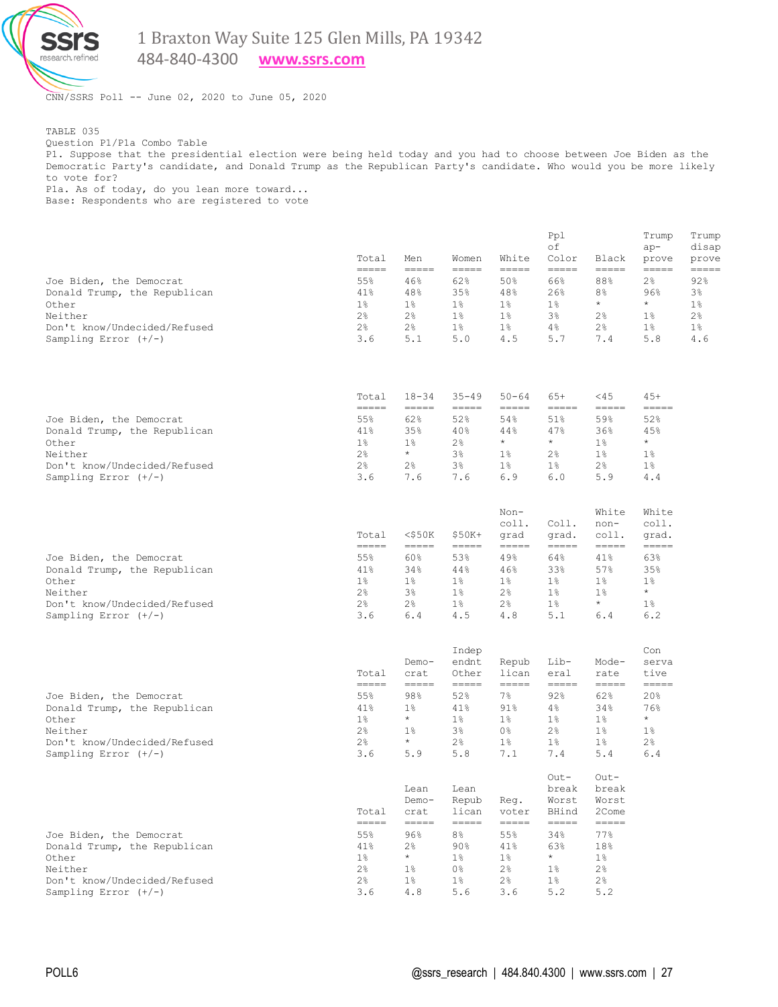

484-840-4300 **[www.ssrs.com](http://www.ssrs.com/)**

CNN/SSRS Poll -- June 02, 2020 to June 05, 2020

TABLE 035 Question P1/P1a Combo Table P1. Suppose that the presidential election were being held today and you had to choose between Joe Biden as the Democratic Party's candidate, and Donald Trump as the Republican Party's candidate. Who would you be more likely to vote for? P1a. As of today, do you lean more toward... Base: Respondents who are registered to vote

|                                       | Total                    | Men                                                                | Women                         | White                         | Ppl<br>of<br>Color            | Black                                    | Trump<br>$ap-$<br>prove | Trump<br>disap<br>prove |
|---------------------------------------|--------------------------|--------------------------------------------------------------------|-------------------------------|-------------------------------|-------------------------------|------------------------------------------|-------------------------|-------------------------|
| Joe Biden, the Democrat               | =====<br>55%<br>41%      | $\begin{array}{c} \text{---} \text{---} \end{array}$<br>46%<br>48% | $=$ $=$ $=$ $=$<br>62%<br>35% | $=$ $=$ $=$ $=$<br>50%<br>48% | $=$ $=$ $=$ $=$<br>66%<br>26% | $=$ $=$ $=$ $=$<br>88%<br>8 <sup>°</sup> | $=====$<br>2%<br>96%    | $=====$<br>92%<br>3%    |
| Donald Trump, the Republican<br>Other | $1\%$                    | 1 <sup>°</sup>                                                     | $1\%$                         | 1 <sup>°</sup>                | $1\%$                         | $\star$                                  | $\star$                 | 1 <sup>°</sup>          |
| Neither                               | 2 <sup>°</sup>           | 2 <sup>°</sup>                                                     | $1\%$                         | $1\%$                         | $3\%$                         | 2%                                       | $1\%$                   | 2%                      |
| Don't know/Undecided/Refused          | 2 <sup>°</sup>           | 2 <sup>°</sup>                                                     | 1 <sup>°</sup>                | $1\%$                         | 4%                            | 2 <sup>°</sup>                           | $1\%$                   | $1\%$                   |
| Sampling Error $(+/-)$                | 3.6                      | 5.1                                                                | 5.0                           | 4.5                           | 5.7                           | 7.4                                      | 5.8                     | 4.6                     |
|                                       | Total                    | $18 - 34$                                                          | $35 - 49$                     | $50 - 64$                     | $65+$                         | $<$ 45                                   | $45+$                   |                         |
| Joe Biden, the Democrat               | =====<br>55%             | $=$ $=$ $=$ $=$<br>62%                                             | $=$ $=$ $=$ $=$ $=$<br>52%    | $=$ $=$ $=$ $=$<br>54%        | $=$ $=$ $=$ $=$<br>51%        | $=$ $=$ $=$ $=$<br>59%                   | $=$ $=$ $=$ $=$<br>52%  |                         |
| Donald Trump, the Republican          | 41%                      | 35%                                                                | 40%                           | 44%                           | 47%                           | 36%                                      | 45%                     |                         |
| Other                                 | $1\%$                    | $1\%$                                                              | 2%                            | $\star$                       | $\star$                       | $1\%$                                    | $\star$                 |                         |
| Neither                               | 2 <sup>°</sup>           | $\star$                                                            | 3 <sup>°</sup>                | $1\%$                         | 2 <sup>°</sup>                | $1\%$                                    | 1 <sup>°</sup>          |                         |
| Don't know/Undecided/Refused          | 2 <sup>°</sup>           | $2\frac{6}{6}$                                                     | 3%                            | $1\%$                         | $1\%$                         | 2%                                       | $1\%$                   |                         |
| Sampling Error $(+/-)$                | 3.6                      | 7.6                                                                | 7.6                           | 6.9                           | 6.0                           | 5.9                                      | 4.4                     |                         |
|                                       |                          |                                                                    |                               | $Non-$<br>coll.               | Coll.                         | White<br>non-                            | White<br>coll.          |                         |
|                                       | Total<br>$=$ $=$ $=$ $=$ | $<$ \$50 $K$<br>$=$ $=$ $=$ $=$                                    | $$50K+$<br>$=$ $=$ $=$ $=$    | grad<br>$=$ $=$ $=$ $=$       | grad.<br>$=$ $=$ $=$ $=$      | coll.<br>$=$ $=$ $=$ $=$                 | grad.<br>$=====$        |                         |
| Joe Biden, the Democrat               | 55%                      | 60%                                                                | 53%                           | 49%                           | 64%                           | 41%                                      | 63%                     |                         |
| Donald Trump, the Republican          | 41%                      | 34%                                                                | 44%                           | 46%                           | 33%                           | 57%                                      | 35%                     |                         |
| Other                                 | $1\%$                    | $1\%$                                                              | $1\%$                         | $1\%$                         | $1\%$                         | $1\%$                                    | $1\%$                   |                         |
| Neither                               | 2.8                      | 3 <sup>°</sup>                                                     | $1\%$                         | 2 <sup>°</sup>                | 1 <sup>°</sup>                | 1 <sup>°</sup>                           | $\star$                 |                         |
| Don't know/Undecided/Refused          | 2 <sup>°</sup>           | 2 <sup>°</sup>                                                     | $1\%$                         | 2 <sup>°</sup>                | 1 <sup>°</sup>                | $\star$                                  | $1\%$                   |                         |
| Sampling Error $(+/-)$                | 3.6                      | 6.4                                                                | 4.5                           | 4.8                           | 5.1                           | 6.4                                      | 6.2                     |                         |
|                                       |                          |                                                                    | Indep                         |                               |                               |                                          | Con                     |                         |
|                                       |                          | Demo-                                                              | endnt                         | Repub                         | Lib-                          | Mode-                                    | serva                   |                         |
|                                       | Total                    | crat                                                               | Other                         | lican                         | eral                          | rate                                     | tive                    |                         |

| Joe Biden, the Democrat      | 55%            | 98%     | 52%   | 7 <sup>°</sup> | 92%   | 62%   | 20%            |
|------------------------------|----------------|---------|-------|----------------|-------|-------|----------------|
| Donald Trump, the Republican | 41%            | $1\%$   | 41%   | 91%            | 4%    | 34%   | 76%            |
| Other                        | $1\%$          | $\star$ | $1\%$ | 1 응            | $1\%$ | 1%    | $\star$        |
| Neither                      | 2 <sup>°</sup> | $1\%$   | 3%    | 0%             | 2%    | 1%    | $1\%$          |
| Don't know/Undecided/Refused | 2 <sup>°</sup> | $\star$ | 2.8   | $1\%$          | $1\%$ | $1\%$ | 2 <sup>°</sup> |
| Sampling Error $(+/-)$       | 3.6            | 5.9     | 5.8   | 7.1            | 7.4   | 5.4   | 6.4            |
|                              |                |         |       |                |       |       |                |

|                              | Total<br>----- | Lean<br>Demo-<br>crat | Lean<br>Repub<br>lican | Req.<br>voter  | $Out-$<br>break<br>Worst<br>BHind | $Out-$<br>break<br>Worst<br>2Come |
|------------------------------|----------------|-----------------------|------------------------|----------------|-----------------------------------|-----------------------------------|
| Joe Biden, the Democrat      | 55%            | 96%                   | 8 <sup>°</sup>         | 55%            | 34%                               | 77%                               |
| Donald Trump, the Republican | 41%            | 2 <sup>°</sup>        | 90%                    | 41%            | 63%                               | 18%                               |
| Other                        | $1\%$          | $\star$               | 1 <sub>8</sub>         | 1 <sub>8</sub> | $\star$                           | 1 <sup>°</sup>                    |
| Neither                      | 2 <sup>°</sup> | $1\%$                 | 0 <sup>°</sup>         | 2.8            | 1 <sup>8</sup>                    | 2.8                               |
| Don't know/Undecided/Refused | 2.8            | $1\%$                 | $1\%$                  | 2 <sup>°</sup> | 1 <sup>8</sup>                    | 2 <sup>°</sup>                    |
| Sampling Error $(+/-)$       | 3.6            | 4.8                   | 5.6                    | 3.6            | 5.2                               | 5.2                               |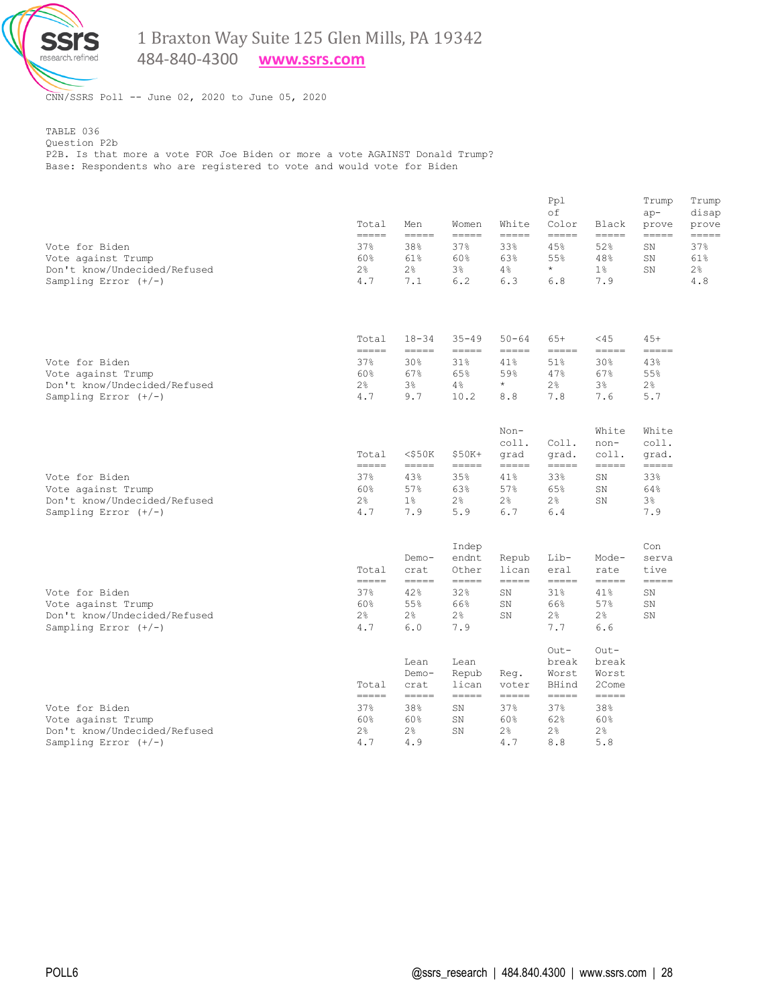

484-840-4300 **[www.ssrs.com](http://www.ssrs.com/)**

CNN/SSRS Poll -- June 02, 2020 to June 05, 2020

TABLE 036 Question P2b P2B. Is that more a vote FOR Joe Biden or more a vote AGAINST Donald Trump? Base: Respondents who are registered to vote and would vote for Biden

|                                                                                                | Total<br>$\qquad \qquad \overline{\qquad \qquad }=$                                                                                                                                                                                                                                                                                                                                                   | Men<br>$\frac{1}{1}$                | Women<br>$=$ $=$ $=$ $=$                   | White<br>$\qquad \qquad \doteq \qquad \qquad \doteq \qquad \qquad \doteq \qquad \qquad \doteq \qquad \qquad \doteq \qquad \qquad \doteq \qquad \qquad \doteq \qquad \qquad \doteq \qquad \qquad \doteq \qquad \qquad \doteq \qquad \qquad \doteq \qquad \qquad \doteq \qquad \qquad \doteq \qquad \qquad \doteq \qquad \qquad \doteq \qquad \qquad \doteq \qquad \qquad \doteq \qquad \qquad \doteq \qquad \qquad \doteq \qquad \qquad \doteq \qquad \qquad \doteq \qquad \qquad \doteq$ | Ppl<br>оf<br>Color<br>$\qquad \qquad \displaystyle =\qquad \qquad \qquad$ | Black<br>$\begin{array}{c} - - - - - \end{array}$                                                                                                                                                                                                                                                                                                                                                                                                                                                                                                                                          | Trump<br>$ap-$<br>prove<br>$=$ $=$ $=$ $=$ | Trump<br>disap<br>prove<br>===== |
|------------------------------------------------------------------------------------------------|-------------------------------------------------------------------------------------------------------------------------------------------------------------------------------------------------------------------------------------------------------------------------------------------------------------------------------------------------------------------------------------------------------|-------------------------------------|--------------------------------------------|------------------------------------------------------------------------------------------------------------------------------------------------------------------------------------------------------------------------------------------------------------------------------------------------------------------------------------------------------------------------------------------------------------------------------------------------------------------------------------------|---------------------------------------------------------------------------|--------------------------------------------------------------------------------------------------------------------------------------------------------------------------------------------------------------------------------------------------------------------------------------------------------------------------------------------------------------------------------------------------------------------------------------------------------------------------------------------------------------------------------------------------------------------------------------------|--------------------------------------------|----------------------------------|
| Vote for Biden<br>Vote against Trump<br>Don't know/Undecided/Refused<br>Sampling Error $(+/-)$ | 37%<br>60%<br>$2\frac{6}{6}$<br>4.7                                                                                                                                                                                                                                                                                                                                                                   | 38%<br>61%<br>2 <sup>°</sup><br>7.1 | 37%<br>60%<br>$3\%$<br>6.2                 | 33%<br>63%<br>$4\,$<br>6.3                                                                                                                                                                                                                                                                                                                                                                                                                                                               | 45%<br>55%<br>$\star$<br>6.8                                              | 52%<br>48%<br>$1\%$<br>7.9                                                                                                                                                                                                                                                                                                                                                                                                                                                                                                                                                                 | SN<br>SN<br>SN                             | 37%<br>61%<br>2%<br>4.8          |
| Vote for Biden                                                                                 | Total<br>$=====$<br>37%                                                                                                                                                                                                                                                                                                                                                                               | $18 - 34$<br>=====<br>30%           | $35 - 49$<br>=====<br>31%                  | $50 - 64$<br>$=$ $=$ $=$ $=$<br>41%                                                                                                                                                                                                                                                                                                                                                                                                                                                      | $65+$<br>$=$ $=$ $=$ $=$<br>51%                                           | $<$ 45<br>$=$ $=$ $=$ $=$<br>30%                                                                                                                                                                                                                                                                                                                                                                                                                                                                                                                                                           | $45+$<br>$=$ $=$ $=$ $=$ $=$<br>43%        |                                  |
| Vote against Trump<br>Don't know/Undecided/Refused<br>Sampling Error $(+/-)$                   | 60%<br>2 <sup>°</sup><br>4.7                                                                                                                                                                                                                                                                                                                                                                          | 67%<br>3%<br>9.7                    | 65%<br>4%<br>10.2                          | 59%<br>$\star$<br>8.8                                                                                                                                                                                                                                                                                                                                                                                                                                                                    | 47%<br>2%<br>7.8                                                          | 67%<br>$3\%$<br>7.6                                                                                                                                                                                                                                                                                                                                                                                                                                                                                                                                                                        | 55%<br>2%<br>5.7                           |                                  |
|                                                                                                | Total<br>$=$ $=$ $=$ $=$                                                                                                                                                                                                                                                                                                                                                                              | $<$ \$50 $K$<br>=====               | $$50K+$<br>=====                           | Non-<br>coll.<br>grad<br>=====                                                                                                                                                                                                                                                                                                                                                                                                                                                           | Coll.<br>qrad.<br>$=$ $=$ $=$ $=$                                         | White<br>$non-$<br>$\text{coll.}$<br>$=$ $=$ $=$ $=$                                                                                                                                                                                                                                                                                                                                                                                                                                                                                                                                       | White<br>coll.<br>qrad.<br>$=$ $=$ $=$ $=$ |                                  |
| Vote for Biden<br>Vote against Trump<br>Don't know/Undecided/Refused<br>Sampling Error $(+/-)$ | 37%<br>60%<br>2 <sup>°</sup><br>4.7                                                                                                                                                                                                                                                                                                                                                                   | 43%<br>57%<br>$1\%$<br>7.9          | 35%<br>63%<br>$2\frac{6}{5}$<br>5.9        | 41%<br>57%<br>2 <sup>°</sup><br>6.7                                                                                                                                                                                                                                                                                                                                                                                                                                                      | 33%<br>65%<br>2 <sup>°</sup><br>6.4                                       | SN<br>SN<br>SN                                                                                                                                                                                                                                                                                                                                                                                                                                                                                                                                                                             | 33%<br>64%<br>3 <sup>°</sup><br>7.9        |                                  |
|                                                                                                | Total<br>$=$ $=$ $=$ $=$                                                                                                                                                                                                                                                                                                                                                                              | Demo-<br>crat<br>$=$ $=$ $=$ $=$    | Indep<br>endnt<br>Other<br>$=$ $=$ $=$ $=$ | Repub<br>lican<br>$=$ $=$ $=$ $=$                                                                                                                                                                                                                                                                                                                                                                                                                                                        | Lib-<br>eral<br>$=$ $=$ $=$ $=$                                           | Mode-<br>rate<br>$=====$                                                                                                                                                                                                                                                                                                                                                                                                                                                                                                                                                                   | Con<br>serva<br>tive<br>$=$ $=$ $=$ $=$    |                                  |
| Vote for Biden<br>Vote against Trump<br>Don't know/Undecided/Refused<br>Sampling Error $(+/-)$ | 37%<br>60%<br>$2\frac{6}{5}$<br>4.7                                                                                                                                                                                                                                                                                                                                                                   | 42%<br>55%<br>$2\frac{6}{5}$<br>6.0 | 32%<br>66%<br>2%<br>7.9                    | SN<br>SN<br>SN                                                                                                                                                                                                                                                                                                                                                                                                                                                                           | 31%<br>66%<br>2%<br>7.7                                                   | 41%<br>57%<br>2%<br>6.6                                                                                                                                                                                                                                                                                                                                                                                                                                                                                                                                                                    | SN<br>SN<br>SN                             |                                  |
|                                                                                                | Total<br>$\frac{1}{1} \frac{1}{1} \frac{1}{1} \frac{1}{1} \frac{1}{1} \frac{1}{1} \frac{1}{1} \frac{1}{1} \frac{1}{1} \frac{1}{1} \frac{1}{1} \frac{1}{1} \frac{1}{1} \frac{1}{1} \frac{1}{1} \frac{1}{1} \frac{1}{1} \frac{1}{1} \frac{1}{1} \frac{1}{1} \frac{1}{1} \frac{1}{1} \frac{1}{1} \frac{1}{1} \frac{1}{1} \frac{1}{1} \frac{1}{1} \frac{1}{1} \frac{1}{1} \frac{1}{1} \frac{1}{1} \frac{$ | Lean<br>Demo-<br>crat<br>=====      | Lean<br>Repub<br>lican<br>$=$ $=$ $=$ $=$  | Reg.<br>voter<br>$=$ $=$ $=$ $=$                                                                                                                                                                                                                                                                                                                                                                                                                                                         | $Out-$<br>break<br>Worst<br>BHind<br>$=$ $=$ $=$ $=$                      | $Out-$<br>break<br>Worst<br>2Come<br>$\begin{array}{c} \begin{array}{c} \begin{array}{c} \begin{array}{c} \end{array}\\ \end{array} \end{array} \end{array} \end{array} \end{array} \end{array} \begin{array}{c} \begin{array}{c} \begin{array}{c} \end{array} \end{array} \end{array} \end{array} \begin{array}{c} \begin{array}{c} \begin{array}{c} \end{array} \end{array} \end{array} \end{array} \begin{array}{c} \begin{array}{c} \begin{array}{c} \end{array} \end{array} \end{array} \end{array} \begin{array}{c} \begin{array}{c} \begin{array}{c} \end{array} \end{array} \end{$ |                                            |                                  |
| Vote for Biden<br>Vote against Trump<br>Don't know/Undecided/Refused<br>Sampling Error $(+/-)$ | 37 <sub>8</sub><br>60%<br>$2\frac{6}{5}$<br>4.7                                                                                                                                                                                                                                                                                                                                                       | 38%<br>60%<br>$2\frac{6}{6}$<br>4.9 | SN<br>SΝ<br>SN                             | 37%<br>60%<br>2%<br>4.7                                                                                                                                                                                                                                                                                                                                                                                                                                                                  | 37%<br>62%<br>2%<br>8.8                                                   | 38%<br>60%<br>$2\,$<br>5.8                                                                                                                                                                                                                                                                                                                                                                                                                                                                                                                                                                 |                                            |                                  |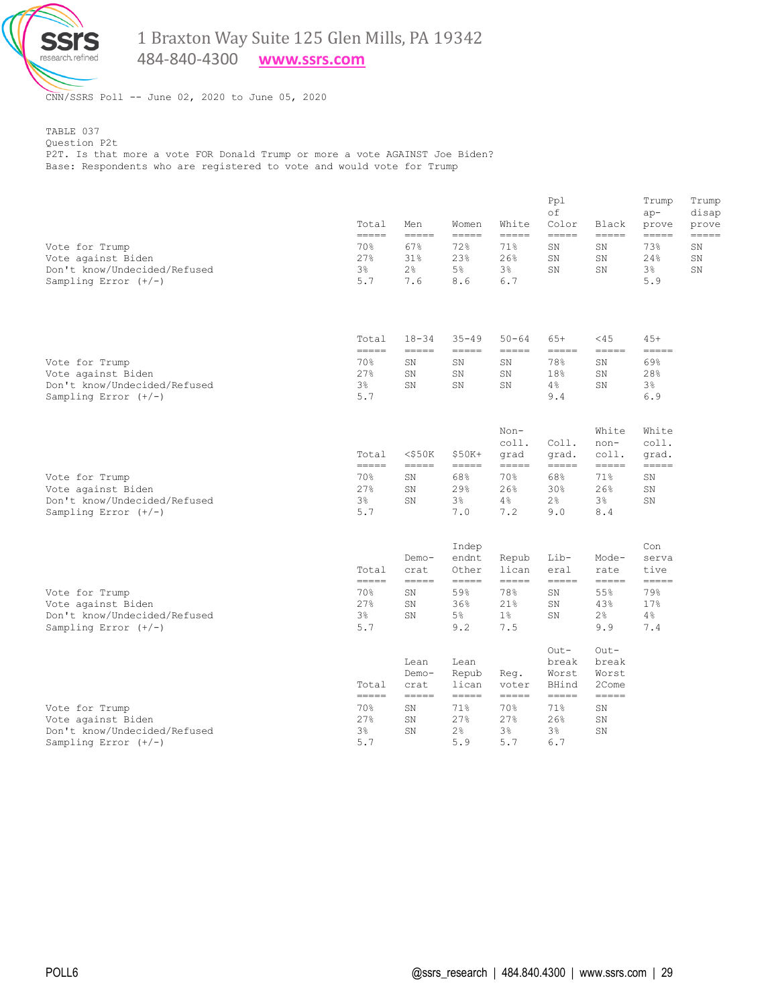

484-840-4300 **[www.ssrs.com](http://www.ssrs.com/)**

CNN/SSRS Poll -- June 02, 2020 to June 05, 2020

TABLE 037 Question P2t P2T. Is that more a vote FOR Donald Trump or more a vote AGAINST Joe Biden? Base: Respondents who are registered to vote and would vote for Trump

|                                                                                                | Total                                                                                                                                                                                                                                                                                                                                                                                                                                        | Men                                              | Women                                                                    | White                                                           | Ppl<br>оf<br>Color                                                                          | Black                                                                               | Trump<br>$ap-$<br>prove                                                                              | Trump<br>disap<br>prove |
|------------------------------------------------------------------------------------------------|----------------------------------------------------------------------------------------------------------------------------------------------------------------------------------------------------------------------------------------------------------------------------------------------------------------------------------------------------------------------------------------------------------------------------------------------|--------------------------------------------------|--------------------------------------------------------------------------|-----------------------------------------------------------------|---------------------------------------------------------------------------------------------|-------------------------------------------------------------------------------------|------------------------------------------------------------------------------------------------------|-------------------------|
| Vote for Trump<br>Vote against Biden<br>Don't know/Undecided/Refused<br>Sampling Error $(+/-)$ | $=$ $=$ $=$ $=$<br>70%<br>27%<br>$3\%$<br>5.7                                                                                                                                                                                                                                                                                                                                                                                                | =====<br>67%<br>$31\%$<br>2 <sup>°</sup><br>7.6  | =====<br>72%<br>23%<br>5%<br>8.6                                         | =====<br>71%<br>26%<br>$3\frac{6}{9}$<br>6.7                    | $=$ $=$ $=$ $=$<br>SN<br>SN<br>SN                                                           | $=$ $=$ $=$ $=$<br>SN<br>SN<br>SN                                                   | -----<br>73%<br>24%<br>$3\%$<br>5.9                                                                  | -----<br>SΝ<br>SN<br>SN |
|                                                                                                | Total<br>$=====$                                                                                                                                                                                                                                                                                                                                                                                                                             | $18 - 34$<br>=====                               | $35 - 49$<br>-----                                                       | $50 - 64$<br>$=$ $=$ $=$ $=$ $=$                                | $65+$<br>$=$ $=$ $=$ $=$ $=$                                                                | $<$ 45<br>$\qquad \qquad \displaystyle =\qquad \qquad \displaystyle =\qquad \qquad$ | $45+$<br>$\qquad \qquad \displaystyle =\qquad \qquad \displaystyle =\qquad \qquad$                   |                         |
| Vote for Trump<br>Vote against Biden<br>Don't know/Undecided/Refused<br>Sampling Error $(+/-)$ | 70%<br>27%<br>$3\%$<br>5.7                                                                                                                                                                                                                                                                                                                                                                                                                   | SN<br>SN<br>SN                                   | SN<br>SΝ<br>SΝ                                                           | SΝ<br>SN<br>SN                                                  | 78%<br>18%<br>4%<br>9.4                                                                     | SN<br>SN<br>SN                                                                      | 69%<br>28%<br>$3\%$<br>6.9                                                                           |                         |
|                                                                                                | Total<br>$=====$                                                                                                                                                                                                                                                                                                                                                                                                                             | <\$50K<br>=====                                  | $$50K+$<br>=====                                                         | $Non-$<br>coll.<br>qrad<br>-----                                | Coll.<br>qrad.<br>$\qquad \qquad \displaystyle =\qquad \qquad \displaystyle =\qquad \qquad$ | White<br>$non-$<br>coll.<br>$=$ $=$ $=$ $=$                                         | White<br>coll.<br>grad.<br>$\qquad \qquad \displaystyle =\qquad \qquad \displaystyle =\qquad \qquad$ |                         |
| Vote for Trump<br>Vote against Biden<br>Don't know/Undecided/Refused<br>Sampling Error $(+/-)$ | 70%<br>27%<br>$3\%$<br>5.7                                                                                                                                                                                                                                                                                                                                                                                                                   | SN<br>SN<br>SN                                   | 68%<br>29%<br>3%<br>7.0                                                  | 70%<br>26%<br>4%<br>7.2                                         | 68%<br>30%<br>$2\,$<br>9.0                                                                  | 71%<br>26%<br>$3\,$<br>8.4                                                          | SN<br>SN<br>SN                                                                                       |                         |
| Vote for Trump<br>Vote against Biden<br>Don't know/Undecided/Refused<br>Sampling Error $(+/-)$ | Total<br>$\frac{1}{1} \frac{1}{1} \frac{1}{1} \frac{1}{1} \frac{1}{1} \frac{1}{1} \frac{1}{1} \frac{1}{1} \frac{1}{1} \frac{1}{1} \frac{1}{1} \frac{1}{1} \frac{1}{1} \frac{1}{1} \frac{1}{1} \frac{1}{1} \frac{1}{1} \frac{1}{1} \frac{1}{1} \frac{1}{1} \frac{1}{1} \frac{1}{1} \frac{1}{1} \frac{1}{1} \frac{1}{1} \frac{1}{1} \frac{1}{1} \frac{1}{1} \frac{1}{1} \frac{1}{1} \frac{1}{1} \frac{$<br>70%<br>27%<br>3 <sup>°</sup><br>5.7 | Demo-<br>crat<br>$\frac{1}{1}$<br>SN<br>SN<br>SN | Indep<br>endnt<br>Other<br>$=$ $=$ $=$ $=$<br>59%<br>36%<br>$5\%$<br>9.2 | Repub<br>lican<br>$=$ $=$ $=$ $=$<br>78%<br>21%<br>$1\%$<br>7.5 | $Lib-$<br>eral<br>$=$ $=$ $=$ $=$<br>SN<br>SN<br>SN                                         | Mode-<br>rate<br>$=$ $=$ $=$ $=$<br>55%<br>43%<br>2%<br>9.9                         | Con<br>serva<br>tive<br>$=$ $=$ $=$ $=$<br>79%<br>17 <sup>°</sup><br>4%<br>7.4                       |                         |
|                                                                                                | Total<br>$\qquad \qquad \displaystyle =\qquad \qquad \displaystyle =\qquad \qquad$                                                                                                                                                                                                                                                                                                                                                           | Lean<br>Demo-<br>crat                            | Lean<br>Repub<br>lican<br>=====                                          | Reg.<br>voter<br>$=$ $=$ $=$ $=$                                | $Out-$<br>break<br>Worst<br>BHind<br>$=$ $=$ $=$ $=$                                        | $Out-$<br>break<br>Worst<br>2Come<br>$=$ $=$ $=$ $=$                                |                                                                                                      |                         |
| Vote for Trump<br>Vote against Biden<br>Don't know/Undecided/Refused<br>Sampling Error $(+/-)$ | 70%<br>27%<br>3 <sup>°</sup><br>5.7                                                                                                                                                                                                                                                                                                                                                                                                          | $=$ $=$ $=$ $=$<br>SN<br>SN<br>SN                | 71%<br>27%<br>2%<br>5.9                                                  | 70%<br>27%<br>3%<br>5.7                                         | 71%<br>26%<br>3%<br>6.7                                                                     | SN<br>SN<br>SN                                                                      |                                                                                                      |                         |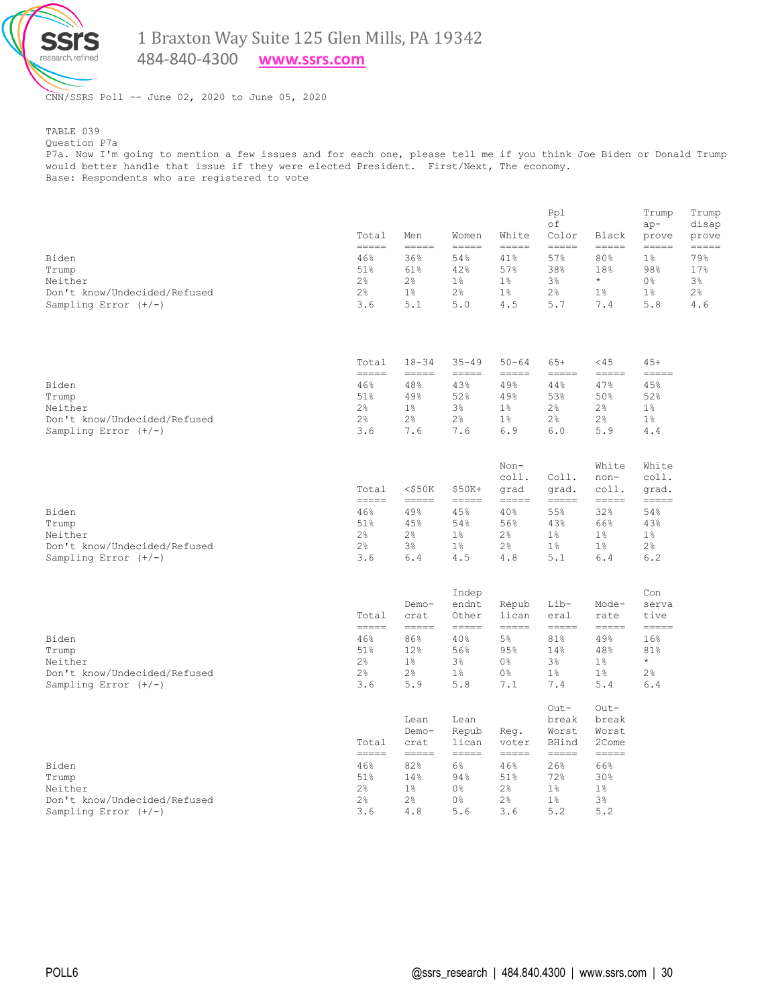

484-840-4300 **[www.ssrs.com](http://www.ssrs.com/)**

CNN/SSRS Poll -- June 02, 2020 to June 05, 2020

TABLE 039 Question P7a

P7a. Now I'm going to mention a few issues and for each one, please tell me if you think Joe Biden or Donald Trump would better handle that issue if they were elected President. First/Next, The economy.

Base: Respondents who are registered to vote

|                                                        | Total<br>$=$ $=$ $=$ $=$                                                           | Men<br>$\qquad \qquad \displaystyle =\qquad \qquad \displaystyle =\qquad \qquad$          | Women<br>-----           | White<br>$\qquad \qquad \displaystyle =\qquad \qquad \displaystyle =\qquad \qquad$         | Ppl<br>оf<br>Color<br>----- | Black<br>----- | Trump<br>$ap-$<br>prove<br>$\qquad \qquad \displaystyle =\qquad \qquad \displaystyle =\qquad \qquad$ | Trump<br>disap<br>prove<br>----- |
|--------------------------------------------------------|------------------------------------------------------------------------------------|-------------------------------------------------------------------------------------------|--------------------------|--------------------------------------------------------------------------------------------|-----------------------------|----------------|------------------------------------------------------------------------------------------------------|----------------------------------|
| Biden                                                  | 46%                                                                                | 36%                                                                                       | 54%                      | 41%                                                                                        | 57%                         | 80%            | $1\%$                                                                                                | 79%                              |
| Trump                                                  | 51%                                                                                | 61%                                                                                       | 42%                      | 57%                                                                                        | 38%                         | 18%            | 98%                                                                                                  | 17%                              |
| Neither                                                | $2\%$                                                                              | $2\%$                                                                                     | $1\%$                    | $1\%$                                                                                      | 3%                          | $\star$        | 0%                                                                                                   | $3\%$                            |
| Don't know/Undecided/Refused<br>Sampling Error $(+/-)$ | 2%<br>3.6                                                                          | $1\%$<br>5.1                                                                              | 2%<br>5.0                | $1\%$<br>4.5                                                                               | 2%<br>5.7                   | $1\%$<br>7.4   | $1\%$<br>5.8                                                                                         | 2%<br>4.6                        |
|                                                        |                                                                                    |                                                                                           |                          |                                                                                            |                             |                |                                                                                                      |                                  |
|                                                        | Total                                                                              | $18 - 34$                                                                                 | $35 - 49$                | $50 - 64$                                                                                  | $65+$                       | $<$ 45         | $45+$                                                                                                |                                  |
| Biden                                                  | $=$ $=$ $=$ $=$<br>46%                                                             | =====<br>48%                                                                              | =====<br>43%             | =====<br>49%                                                                               | =====<br>44%                | =====<br>47%   | $=$ $=$ $=$ $=$<br>45%                                                                               |                                  |
| Trump                                                  | 51%                                                                                | 49%                                                                                       | 52%                      | 49%                                                                                        | 53%                         | 50%            | 52%                                                                                                  |                                  |
| Neither                                                | 2 <sup>°</sup>                                                                     | 1 <sup>°</sup>                                                                            | 3 <sup>°</sup>           | 1 <sup>8</sup>                                                                             | 2%                          | 2%             | 1 <sup>°</sup>                                                                                       |                                  |
| Don't know/Undecided/Refused                           | $2\%$                                                                              | $2\frac{6}{5}$                                                                            | 2%                       | $1\%$                                                                                      | 2%                          | 2%             | $1\%$                                                                                                |                                  |
| Sampling Error $(+/-)$                                 | 3.6                                                                                | 7.6                                                                                       | 7.6                      | 6.9                                                                                        | 6.0                         | 5.9            | 4.4                                                                                                  |                                  |
|                                                        |                                                                                    |                                                                                           |                          | $Non-$                                                                                     |                             | White          | White                                                                                                |                                  |
|                                                        |                                                                                    |                                                                                           |                          | coll.                                                                                      | Coll.                       | non-           | coll.                                                                                                |                                  |
|                                                        | Total<br>$=$ $=$ $=$ $=$                                                           | $<$ \$50 $K$<br>$\qquad \qquad \displaystyle =\qquad \qquad \displaystyle =\qquad \qquad$ | \$50K+<br>-----          | grad<br>$\qquad \qquad \displaystyle =\qquad \qquad \displaystyle =\qquad \qquad$          | qrad.<br>-----              | coll.<br>----- | qrad.<br>$\qquad \qquad \displaystyle =\qquad \qquad \displaystyle =\qquad \qquad$                   |                                  |
| Biden                                                  | 46%                                                                                | 49%                                                                                       | 45%                      | 40%                                                                                        | 55%                         | 32%            | 54%                                                                                                  |                                  |
| Trump                                                  | 51%                                                                                | 45%                                                                                       | 54%                      | 56%                                                                                        | 43%                         | 66%            | 43%                                                                                                  |                                  |
| Neither                                                | 2 <sup>°</sup>                                                                     | 2 <sup>°</sup>                                                                            | $1\%$                    | 2 <sup>°</sup>                                                                             | 1 <sup>°</sup>              | $1\%$          | $1\%$                                                                                                |                                  |
| Don't know/Undecided/Refused<br>Sampling Error $(+/-)$ | 2 <sup>°</sup><br>3.6                                                              | 3%<br>6.4                                                                                 | $1\%$<br>4.5             | $2\frac{6}{9}$<br>4.8                                                                      | $1\%$<br>5.1                | $1\%$<br>6.4   | 2%<br>6.2                                                                                            |                                  |
|                                                        |                                                                                    |                                                                                           |                          |                                                                                            |                             |                |                                                                                                      |                                  |
|                                                        |                                                                                    | $Demo-$                                                                                   | Indep<br>endnt           | Repub                                                                                      | Lib-                        | Mode-          | Con<br>serva                                                                                         |                                  |
|                                                        | Total<br>$=====$                                                                   | crat<br>$=$ $=$ $=$ $=$                                                                   | Other<br>$\frac{1}{1}$   | lican<br>$=$ $=$ $=$ $=$                                                                   | eral<br>=====               | rate<br>=====  | tive<br>$=$ $=$ $=$ $=$                                                                              |                                  |
| Biden                                                  | 46%                                                                                | 86%                                                                                       | 40%                      | 5%                                                                                         | 81%                         | 49%            | 16%                                                                                                  |                                  |
| Trump                                                  | 51%                                                                                | 12%                                                                                       | 56%                      | 95%                                                                                        | 14%                         | 48%            | 81%                                                                                                  |                                  |
| Neither<br>Don't know/Undecided/Refused                | $2\frac{6}{6}$<br>$2\%$                                                            | $1\%$<br>$2\frac{6}{5}$                                                                   | 3%<br>1%                 | 0 <sup>°</sup><br>0%                                                                       | 3%<br>$1\%$                 | $1\%$<br>$1\%$ | $\star$<br>2%                                                                                        |                                  |
| Sampling Error $(+/-)$                                 | 3.6                                                                                | 5.9                                                                                       | 5.8                      | 7.1                                                                                        | 7.4                         | 5.4            | 6.4                                                                                                  |                                  |
|                                                        |                                                                                    |                                                                                           |                          |                                                                                            | $Out-$                      | $Out-$         |                                                                                                      |                                  |
|                                                        |                                                                                    | Lean<br>Demo-                                                                             | Lean<br>Repub            |                                                                                            | break<br>Worst              | break<br>Worst |                                                                                                      |                                  |
|                                                        | Total<br>$\qquad \qquad \displaystyle =\qquad \qquad \displaystyle =\qquad \qquad$ | crat<br>$\qquad \qquad \displaystyle =\qquad \qquad \displaystyle =\qquad \qquad$         | lican<br>$=$ $=$ $=$ $=$ | Reg.<br>voter<br>$\qquad \qquad \displaystyle =\qquad \qquad \displaystyle =\qquad \qquad$ | BHind<br>-----              | 2Come<br>===== |                                                                                                      |                                  |
| Biden                                                  | 46%                                                                                | 82%                                                                                       | $6\%$                    | 46%                                                                                        | 26%                         | 66%            |                                                                                                      |                                  |
| Trump<br>Neither                                       | 51%<br>$2\frac{6}{6}$                                                              | 14%<br>$1\%$                                                                              | 94%<br>0 <sup>°</sup>    | 51%<br>2%                                                                                  | 72%<br>$1\%$                | 30%<br>$1\%$   |                                                                                                      |                                  |
| Don't know/Undecided/Refused                           | $2\%$                                                                              | $2\,$                                                                                     | 0%                       | $2\%$                                                                                      | $1\%$                       | 3%             |                                                                                                      |                                  |
| Sampling Error $(+/-)$                                 | 3.6                                                                                | 4.8                                                                                       | 5.6                      | 3.6                                                                                        | 5.2                         | 5.2            |                                                                                                      |                                  |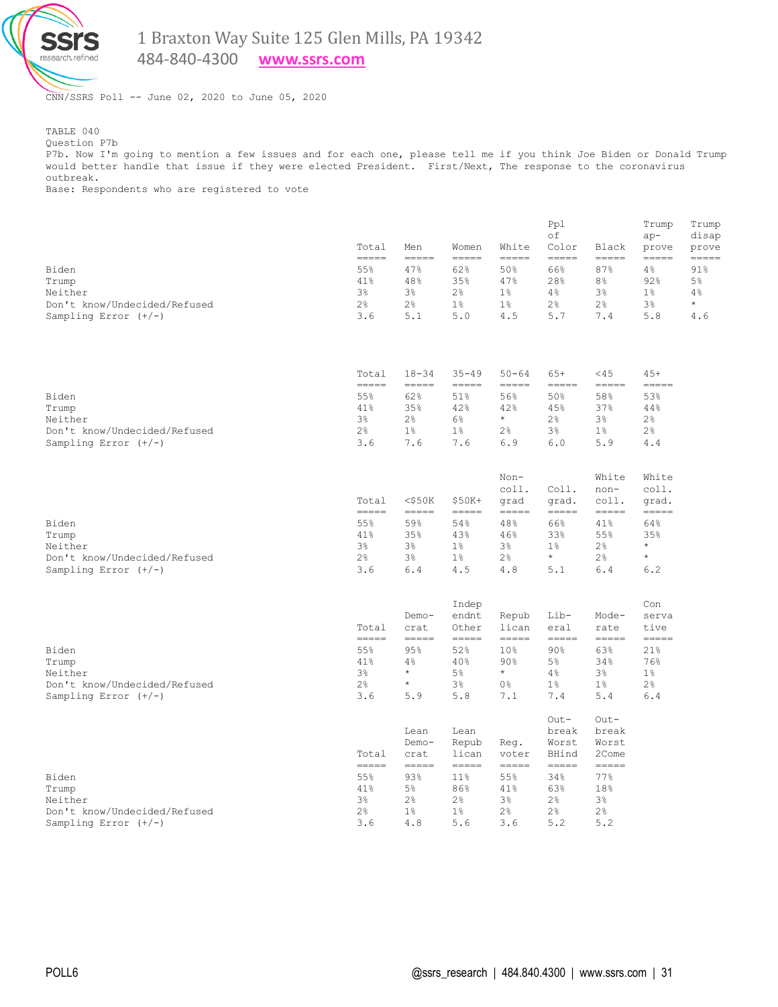

484-840-4300 **[www.ssrs.com](http://www.ssrs.com/)**

CNN/SSRS Poll -- June 02, 2020 to June 05, 2020

TABLE 040 Question P7b P7b. Now I'm going to mention a few issues and for each one, please tell me if you think Joe Biden or Donald Trump would better handle that issue if they were elected President. First/Next, The response to the coronavirus outbreak. Base: Respondents who are registered to vote

|                              | Total                    | Men                   | Women               | White                                      | Pp1<br>of<br>Color                | Black                                     | Trump<br>$ap-$<br>prove                    | Trump<br>disap<br>prove |
|------------------------------|--------------------------|-----------------------|---------------------|--------------------------------------------|-----------------------------------|-------------------------------------------|--------------------------------------------|-------------------------|
| Biden                        | =====<br>55%<br>41%      | =====<br>47%<br>48%   | =====<br>62%<br>35% | =====<br>50%<br>47%                        | =====<br>66%<br>28%               | $=$ $=$ $=$ $=$<br>87%<br>8 <sup>°</sup>  | $=====$<br>4%<br>92%                       | $=====$<br>91%<br>5%    |
| Trump<br>Neither             | 3 <sup>°</sup>           | 3 <sup>°</sup>        | 2%                  | 1 <sup>°</sup>                             | 4%                                | 3%                                        | $1\%$                                      | 4%                      |
| Don't know/Undecided/Refused | 2 <sup>°</sup>           | 2 <sup>°</sup>        | 1 <sup>°</sup>      | $1\%$                                      | 2%                                | 2%                                        | 3%                                         | $^\star$                |
| Sampling Error $(+/-)$       | 3.6                      | 5.1                   | 5.0                 | 4.5                                        | 5.7                               | 7.4                                       | 5.8                                        | 4.6                     |
|                              | Total<br>$=$ $=$ $=$ $=$ | $18 - 34$<br>=====    | $35 - 49$           | $50 - 64$<br>$=$ $=$ $=$ $=$               | $65+$<br>=====                    | $<$ 45<br>$=====$                         | $45+$<br>$=$ $=$ $=$ $=$                   |                         |
| Biden                        | 55%                      | 62%                   | =====<br>51%        | 56%                                        | 50%                               | 58%                                       | 53%                                        |                         |
| Trump                        | 41%                      | 35%                   | 42%                 | 42%                                        | 45%                               | 37%                                       | 44%                                        |                         |
| Neither                      | 3 <sup>°</sup>           | 2 <sup>°</sup>        | 6%                  | $\star$                                    | 2 <sup>°</sup>                    | 3 <sup>°</sup>                            | 2%                                         |                         |
| Don't know/Undecided/Refused | 2 <sup>°</sup>           | $1\%$                 | 1 <sup>°</sup>      | 2 <sup>°</sup>                             | 3 <sup>°</sup>                    | $1\%$                                     | 2%                                         |                         |
| Sampling Error $(+/-)$       | 3.6                      | 7.6                   | 7.6                 | 6.9                                        | 6.0                               | 5.9                                       | 4.4                                        |                         |
|                              | Total<br>=====           | $<$ \$50 $K$<br>===== | $$50K+$<br>=====    | $Non-$<br>coll.<br>grad<br>$=$ $=$ $=$ $=$ | Coll.<br>qrad.<br>$=$ $=$ $=$ $=$ | White<br>non-<br>coll.<br>$=$ $=$ $=$ $=$ | White<br>coll.<br>qrad.<br>$=$ $=$ $=$ $=$ |                         |
| Biden                        | 55%                      | 59%                   | 54%                 | 48%                                        | 66%                               | 41%                                       | 64%                                        |                         |
| Trump                        | 41%                      | 35%                   | 43%                 | 46%                                        | 33%                               | 55%                                       | 35%                                        |                         |
| Neither                      | 3 <sup>°</sup>           | 3 <sup>°</sup>        | $1\%$               | $3\%$                                      | $1\%$                             | 2 <sup>°</sup>                            | $\star$                                    |                         |
| Don't know/Undecided/Refused | 2 <sup>°</sup>           | 3%                    | $1\%$               | 2%                                         | $\star$                           | 2 <sup>°</sup>                            | $\star$                                    |                         |
| Sampling Error $(+/-)$       | 3.6                      | 6.4                   | 4.5                 | 4.8                                        | 5.1                               | 6.4                                       | 6.2                                        |                         |
|                              |                          |                       |                     |                                            |                                   |                                           |                                            |                         |

|                              | Total<br>------<br>____ | $Demo-$<br>crat | Indep<br>endnt<br>Other | Repub<br>lican<br>------ | Lib-<br>eral    | Mode-<br>rate<br>===== | Con<br>serva<br>tive |
|------------------------------|-------------------------|-----------------|-------------------------|--------------------------|-----------------|------------------------|----------------------|
| Biden                        | 55%                     | 95%             | 52%                     | 10 <sub>8</sub>          | 90 <sub>8</sub> | 63%                    | 21%                  |
| Trump                        | 41%                     | 4%              | 40%                     | 90%                      | $5\%$           | 34%                    | 76%                  |
| Neither                      | 3 <sup>°</sup>          | $\star$         | 5%                      | $\star$                  | 4%              | 3 <sup>°</sup>         | $1\%$                |
| Don't know/Undecided/Refused | 2 <sup>°</sup>          | $\star$         | 3 <sup>°</sup>          | 0 <sup>°</sup>           | $1\%$           | $1\%$                  | 2 <sup>°</sup>       |
| Sampling Error $(+/-)$       | 3.6                     | 5.9             | 5.8                     | 7.1                      | 7.4             | 5.4                    | 6.4                  |
|                              |                         |                 |                         |                          | $Out-$          | $Out-$                 |                      |

|                              | Total          | Lean<br>Demo-<br>crat | Lean<br>Repub<br>lican | Req.<br>voter  | break<br>Worst<br>BHind | break<br>Worst<br>2Come |
|------------------------------|----------------|-----------------------|------------------------|----------------|-------------------------|-------------------------|
| Biden                        | 55%            | 93%                   | 11 <sup>°</sup>        | 55%            | 34%                     | 77%                     |
| Trump                        | 41%            | 5%                    | 86%                    | 41%            | 63%                     | 18%                     |
| Neither                      | 3%             | 2 <sup>°</sup>        | 2.8                    | 3 <sup>°</sup> | 2 <sup>°</sup>          | 3%                      |
| Don't know/Undecided/Refused | 2 <sup>°</sup> | $1\%$                 | $1\%$                  | 2 <sup>°</sup> | 2 <sup>°</sup>          | 2 <sup>°</sup>          |
| Sampling Error $(+/-)$       | 3.6            | 4.8                   | 5.6                    | 3.6            | 5.2                     | 5.2                     |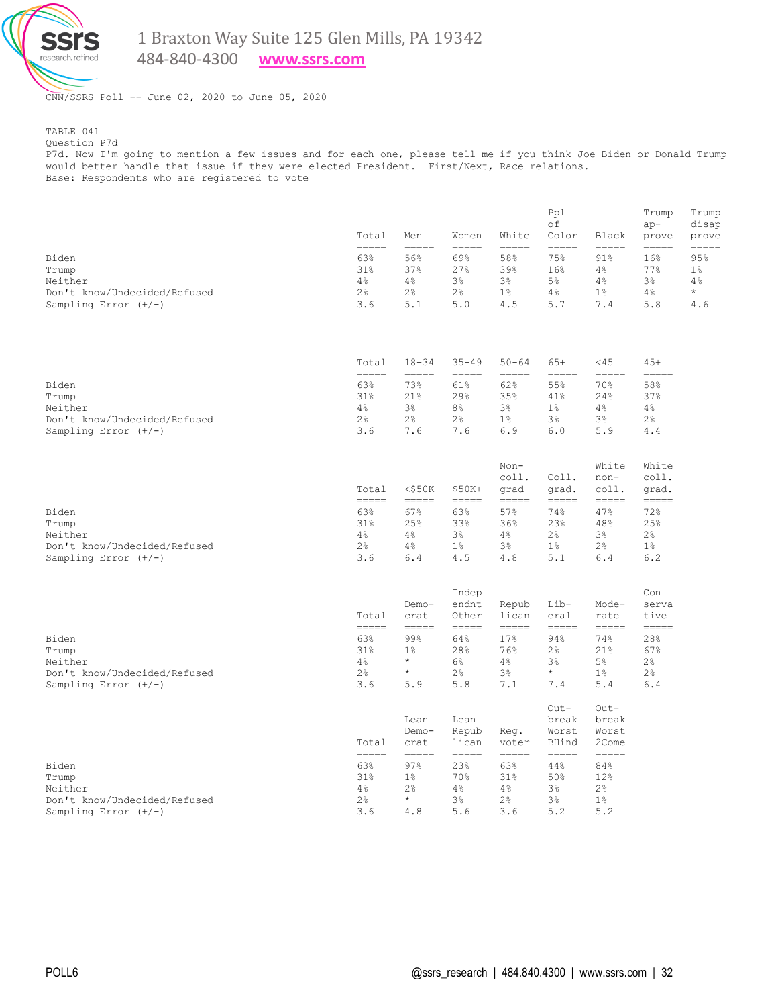

484-840-4300 **[www.ssrs.com](http://www.ssrs.com/)**

CNN/SSRS Poll -- June 02, 2020 to June 05, 2020

TABLE 041 Question P7d

P7d. Now I'm going to mention a few issues and for each one, please tell me if you think Joe Biden or Donald Trump would better handle that issue if they were elected President. First/Next, Race relations. Base: Respondents who are registered to vote

 Ppl Trump Trump of ap- disap<br>Color Black prove prove Total Men Women White Color Black prove prove ===== ===== ===== ===== ===== ===== ===== ===== Biden 63% 56% 69% 58% 75% 91% 16% 95% Trump 31% 37% 27% 39% 16% 4% 77% 1% Neither 4% 4% 3% 3% 5% 4% 3% 4% Don't know/Undecided/Refused 2% 2% 2% 1% 4% 1% 4% \* Sampling Error (+/-)  $\begin{array}{cccccccc} 3.6 & 5.1 & 5.0 & 4.5 & 5.7 & 7.4 & 5.8 & 4.6 \end{array}$  Total 18-34 35-49 50-64 65+ <45 45+ ===== ===== ===== ===== ===== ===== ===== Biden 63% 73% 61% 62% 55% 70% 58% Trump 31% 21% 29% 35% 41% 24% 37% Neither 4% 3% 8% 3% 1% 4% 4% Don't know/Undecided/Refused 2% 2% 2% 1% 3% 3% 2% Sampling Error (+/-) 3.6 7.6 7.6 6.9 6.0 5.9 4.4 Non- White White coll. Coll. non- coll. Total <\$50K \$50K+ grad grad. coll. grad. ===== ===== ===== ===== ===== ===== ===== Biden 63% 67% 63% 57% 74% 47% 72% Trump 31% 25% 33% 36% 23% 48% 25% Neither 4% 4% 3% 4% 2% 3% 2% Don't know/Undecided/Refused 2% 4% 1% 3% 1% 2% 1% Sampling Error (+/-)  $\begin{array}{cccccccc} 3.6 & 6.4 & 4.5 & 4.8 & 5.1 & 6.4 & 6.2 \end{array}$ example of the contract of the contract of the contract of the contract of the contract of the contract of the contract of the contract of the contract of the contract of the contract of the contract of the contract of the Demo- endnt Repub Lib- Mode- serva Total crat Other lican eral rate tive ===== ===== ===== ===== ===== ===== ===== Biden 63% 99% 64% 17% 94% 74% 28% Trump 31% 1% 28% 76% 2% 21% 67% Neither 4% \* 6% 4% 3% 5% 2% Don't know/Undecided/Refused 2% \* 2% 3% \* 1% 2% Sampling Error (+/-) 3.6 5.9 5.8 7.1 7.4 5.4 6.4 out-contract of the contract of the contract of the contract of the contract of the contract of the contract of the contract of the contract of the contract of the contract of the contract of the contract of the contract o Lean Lean break break Demo- Repub Reg. Worst Worst Total crat lican voter BHind 2Come ===== ===== ===== ===== ===== ===== Biden 63% 97% 23% 63% 44% 84% Trump 31% 1% 70% 31% 50% 12% Neither 4% 2% 4% 4% 3% 2% Don't know/Undecided/Refused 2% \* 3% 2% 3% 1% Sampling Error (+/-)  $\begin{array}{cccccccc} 3.6 & 4.8 & 5.6 & 3.6 & 5.2 & 5.2 \end{array}$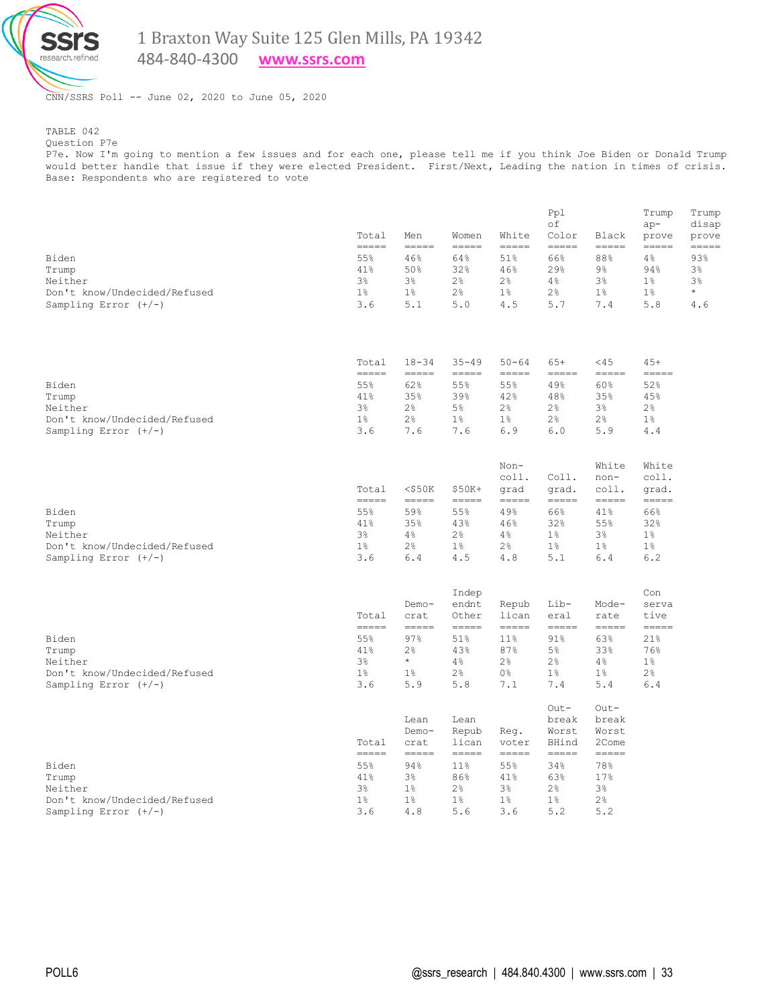

484-840-4300 **[www.ssrs.com](http://www.ssrs.com/)**

CNN/SSRS Poll -- June 02, 2020 to June 05, 2020

TABLE 042 Question P7e

P7e. Now I'm going to mention a few issues and for each one, please tell me if you think Joe Biden or Donald Trump would better handle that issue if they were elected President. First/Next, Leading the nation in times of crisis. Base: Respondents who are registered to vote

|                                                        | Total<br>$=$ $=$ $=$ $=$ | Men<br>$=$ $=$ $=$ $=$       | Women<br>$=$ $=$ $=$ $=$     | White<br>$=$ $=$ $=$ $=$                                                           | Ppl<br>оf<br>Color<br>$=$ $=$ $=$ $=$ | Black<br>$=$ $=$ $=$ $=$ | Trump<br>$ap-$<br>prove<br>$=$ $=$ $=$ $=$ $=$ | Trump<br>disap<br>prove<br>$=$ $=$ $=$ $=$ $=$ |
|--------------------------------------------------------|--------------------------|------------------------------|------------------------------|------------------------------------------------------------------------------------|---------------------------------------|--------------------------|------------------------------------------------|------------------------------------------------|
| Biden<br>Trump                                         | 55%<br>41%               | 46%<br>50%                   | 64%<br>32%                   | 51%<br>46%                                                                         | 66%<br>29%                            | 88%<br>$9\frac{6}{6}$    | 4%<br>94%                                      | 93%<br>3 <sup>°</sup>                          |
| Neither<br>Don't know/Undecided/Refused                | 3 <sup>°</sup><br>$1\%$  | $3\%$<br>$1\%$               | 2%<br>2%                     | $2\frac{6}{6}$<br>$1\%$                                                            | 4%<br>2%                              | $3\,$<br>$1\%$           | $1\%$<br>$1\%$                                 | 3%<br>$\star$                                  |
| Sampling Error $(+/-)$                                 | 3.6                      | 5.1                          | 5.0                          | 4.5                                                                                | 5.7                                   | 7.4                      | 5.8                                            | 4.6                                            |
|                                                        |                          |                              |                              |                                                                                    |                                       |                          |                                                |                                                |
|                                                        | Total<br>$=$ $=$ $=$ $=$ | $18 - 34$<br>$=$ $=$ $=$ $=$ | $35 - 49$<br>$=$ $=$ $=$ $=$ | $50 - 64$<br>$=$ $=$ $=$ $=$                                                       | $65+$<br>$=$ $=$ $=$ $=$              | $<$ 45<br>=====          | $45+$<br>=====                                 |                                                |
| Biden                                                  | 55%                      | 62%                          | 55%                          | 55%                                                                                | 49%                                   | 60%                      | 52%                                            |                                                |
| Trump                                                  | 41%                      | 35%                          | 39%                          | 42%                                                                                | 48%                                   | 35%                      | 45%                                            |                                                |
| Neither<br>Don't know/Undecided/Refused                | 3 <sup>°</sup><br>$1\%$  | 2 <sup>°</sup><br>$2\%$      | 5%<br>$1\%$                  | 2%<br>$1\%$                                                                        | $2\%$<br>$2\%$                        | $3\%$<br>$2\,$           | 2%<br>$1\%$                                    |                                                |
| Sampling Error $(+/-)$                                 | 3.6                      | 7.6                          | 7.6                          | 6.9                                                                                | 6.0                                   | 5.9                      | $4.4$                                          |                                                |
|                                                        |                          |                              |                              |                                                                                    |                                       |                          |                                                |                                                |
|                                                        |                          |                              |                              | Non-                                                                               |                                       | White                    | White                                          |                                                |
|                                                        | Total                    | $<$ \$50 $K$                 | $$50K+$                      | coll.<br>grad                                                                      | Coll.<br>qrad.                        | non-<br>coll.            | coll.<br>qrad.                                 |                                                |
|                                                        | $=$ $=$ $=$ $=$          | $=$ $=$ $=$ $=$              | $=====$                      | $=$ $=$ $=$ $=$ $=$                                                                | -----                                 | $=$ $=$ $=$ $=$ $=$      | aaaaa                                          |                                                |
| Biden                                                  | 55%                      | 59%                          | 55%                          | 49%                                                                                | 66%                                   | 41%                      | 66%                                            |                                                |
| Trump                                                  | 41%                      | 35%                          | 43%                          | 46%                                                                                | 32%                                   | 55%                      | 32%                                            |                                                |
| Neither<br>Don't know/Undecided/Refused                | $3\%$<br>$1\%$           | $4\%$<br>2 <sup>°</sup>      | $2\%$<br>$1\%$               | 4%<br>2 <sup>°</sup>                                                               | $1\%$<br>$1\%$                        | $3\,$<br>$1\%$           | $1\%$<br>$1\%$                                 |                                                |
| Sampling Error $(+/-)$                                 | 3.6                      | 6.4                          | 4.5                          | 4.8                                                                                | 5.1                                   | 6.4                      | 6.2                                            |                                                |
|                                                        |                          |                              |                              |                                                                                    |                                       |                          |                                                |                                                |
|                                                        |                          |                              | Indep                        |                                                                                    |                                       |                          | Con                                            |                                                |
|                                                        |                          | $Demo-$                      | endnt                        | Repub                                                                              | Lib-                                  | Mode-                    | serva                                          |                                                |
|                                                        | Total<br>$=$ $=$ $=$ $=$ | crat<br>$=$ $=$ $=$ $=$      | Other<br>=====               | lican<br>$\qquad \qquad \displaystyle =\qquad \qquad \displaystyle =\qquad \qquad$ | eral<br>$=$ $=$ $=$ $=$               | rate<br>=====            | tive<br>=====                                  |                                                |
| Biden                                                  | 55%                      | 97%                          | 51%                          | 11 <sub>8</sub>                                                                    | 91%                                   | 63%                      | 21%                                            |                                                |
| Trump                                                  | 41%                      | $2\frac{6}{9}$               | 43%                          | 87%                                                                                | $5\%$                                 | 33%                      | 76%                                            |                                                |
| Neither                                                | 3 <sup>°</sup>           | $\star$                      | 4%                           | 2 <sup>°</sup>                                                                     | 2 <sup>°</sup>                        | 4%                       | $1\%$                                          |                                                |
| Don't know/Undecided/Refused<br>Sampling Error $(+/-)$ | $1\%$<br>3.6             | $1\%$<br>5.9                 | 2%<br>5.8                    | 0 %<br>7.1                                                                         | $1\%$<br>7.4                          | $1\%$<br>5.4             | 2%<br>6.4                                      |                                                |
|                                                        |                          |                              |                              |                                                                                    |                                       |                          |                                                |                                                |
|                                                        |                          | Lean                         | Lean                         |                                                                                    | $Out-$<br>break                       | $Out-$<br>break          |                                                |                                                |
|                                                        |                          | $Demo-$                      | Repub                        | Reg.                                                                               | Worst                                 | Worst                    |                                                |                                                |
|                                                        | Total                    | crat                         | lican                        | voter                                                                              | BHind                                 | 2Come                    |                                                |                                                |
|                                                        | $=$ $=$ $=$ $=$          | $=$ $=$ $=$ $=$              | $=$ $=$ $=$ $=$              | $=$ $=$ $=$ $=$                                                                    | $=$ $=$ $=$ $=$                       | $=$ $=$ $=$ $=$          |                                                |                                                |
| Biden                                                  | 55%                      | 94%                          | $11\%$                       | 55%                                                                                | 34%                                   | 78%                      |                                                |                                                |
| Trump<br>Neither                                       | 41%<br>3 <sup>°</sup>    | 3 <sup>°</sup><br>$1\%$      | 86%<br>2%                    | 41%<br>$3\%$                                                                       | 63%<br>2%                             | 17%<br>$3\,$             |                                                |                                                |
| Don't know/Undecided/Refused                           | $1\%$                    | $1\%$                        | $1\%$                        | $1\%$                                                                              | $1\%$                                 | 2 <sup>°</sup>           |                                                |                                                |
| Sampling Error $(+/-)$                                 | 3.6                      | 4.8                          | 5.6                          | 3.6                                                                                | 5.2                                   | 5.2                      |                                                |                                                |
|                                                        |                          |                              |                              |                                                                                    |                                       |                          |                                                |                                                |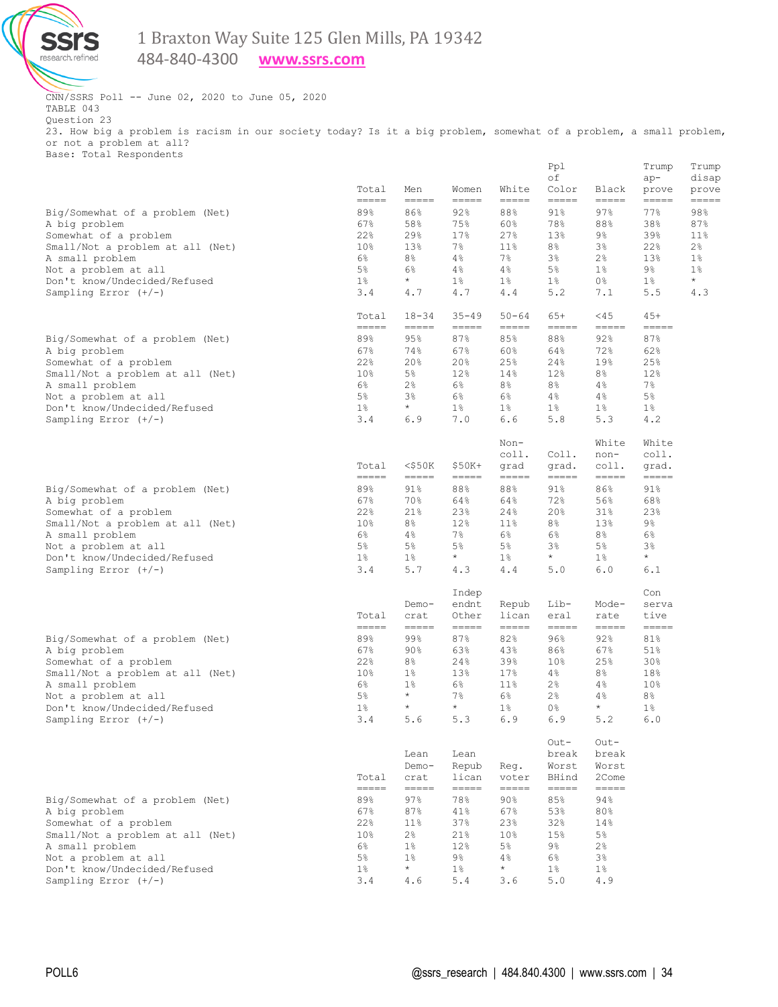research. refined.

# 1 Braxton Way Suite 125 Glen Mills, PA 19342

484-840-4300 **[www.ssrs.com](http://www.ssrs.com/)**

CNN/SSRS Poll -- June 02, 2020 to June 05, 2020 TABLE 043 Question 23 23. How big a problem is racism in our society today? Is it a big problem, somewhat of a problem, a small problem, or not a problem at all? Base: Total Respondents

|                                                                                                                                                                                                                    | Total<br>$=$ $=$ $=$ $=$                                                           | Men<br>$\qquad \qquad \overline{\qquad \qquad }=\overline{\qquad \qquad }=\overline{\qquad \qquad }=\overline{\qquad \qquad }=\overline{\qquad \qquad }=\overline{\qquad \qquad }=\overline{\qquad \qquad }=\overline{\qquad \qquad }=\overline{\qquad \qquad }=\overline{\qquad \qquad }=\overline{\qquad \qquad }=\overline{\qquad \qquad }=\overline{\qquad \qquad }=\overline{\qquad \qquad }=\overline{\qquad \qquad }=\overline{\qquad \qquad }=\overline{\qquad \qquad }=\overline{\qquad \qquad }=\overline{\qquad \qquad }=\overline{\qquad \qquad }=\overline{\qquad \qquad }=\overline{\$ | Women<br>$\qquad \qquad \overline{\qquad \qquad }=\overline{\qquad \qquad }=\overline{\qquad \qquad }=\overline{\qquad \qquad }=\overline{\qquad \qquad }=\overline{\qquad \qquad }=\overline{\qquad \qquad }=\overline{\qquad \qquad }=\overline{\qquad \qquad }=\overline{\qquad \qquad }=\overline{\qquad \qquad }=\overline{\qquad \qquad }=\overline{\qquad \qquad }=\overline{\qquad \qquad }=\overline{\qquad \qquad }=\overline{\qquad \qquad }=\overline{\qquad \qquad }=\overline{\qquad \qquad }=\overline{\qquad \qquad }=\overline{\qquad \qquad }=\overline{\qquad \qquad }=\overline{\$ | White<br>$\qquad \qquad \displaystyle =\qquad \qquad \displaystyle =\qquad \qquad$                                                                                                                                                                                                                                                                                                                                                                                                                                                                                          | Ppl<br>оf<br>Color<br>$=$ $=$ $=$ $=$ $=$                                                   | Black<br>$\qquad \qquad \displaystyle =\qquad \qquad \displaystyle =\qquad \qquad$                    | Trump<br>$ap-$<br>prove<br>=====                                              | Trump<br>disap<br>prove<br>=====                                  |
|--------------------------------------------------------------------------------------------------------------------------------------------------------------------------------------------------------------------|------------------------------------------------------------------------------------|------------------------------------------------------------------------------------------------------------------------------------------------------------------------------------------------------------------------------------------------------------------------------------------------------------------------------------------------------------------------------------------------------------------------------------------------------------------------------------------------------------------------------------------------------------------------------------------------------|--------------------------------------------------------------------------------------------------------------------------------------------------------------------------------------------------------------------------------------------------------------------------------------------------------------------------------------------------------------------------------------------------------------------------------------------------------------------------------------------------------------------------------------------------------------------------------------------------------|-----------------------------------------------------------------------------------------------------------------------------------------------------------------------------------------------------------------------------------------------------------------------------------------------------------------------------------------------------------------------------------------------------------------------------------------------------------------------------------------------------------------------------------------------------------------------------|---------------------------------------------------------------------------------------------|-------------------------------------------------------------------------------------------------------|-------------------------------------------------------------------------------|-------------------------------------------------------------------|
| Big/Somewhat of a problem (Net)<br>A big problem<br>Somewhat of a problem<br>Small/Not a problem at all (Net)<br>A small problem<br>Not a problem at all<br>Don't know/Undecided/Refused<br>Sampling Error $(+/-)$ | 89%<br>67%<br>22%<br>10%<br>$6\%$<br>$5\%$<br>$1\%$<br>3.4                         | 86%<br>58%<br>29%<br>13 <sub>8</sub><br>8 <sup>°</sup><br>6%<br>$\star$<br>4.7                                                                                                                                                                                                                                                                                                                                                                                                                                                                                                                       | 92%<br>75%<br>17 <sub>8</sub><br>$7\%$<br>$4\%$<br>$4\%$<br>$1\%$<br>4.7                                                                                                                                                                                                                                                                                                                                                                                                                                                                                                                               | 88%<br>60%<br>27%<br>11 <sub>8</sub><br>$7\%$<br>$4\%$<br>$1\%$<br>4.4                                                                                                                                                                                                                                                                                                                                                                                                                                                                                                      | 91%<br>78%<br>13%<br>8 <sup>°</sup><br>3%<br>$5\%$<br>$1\%$<br>5.2                          | 97%<br>88%<br>9%<br>38<br>$2\frac{6}{6}$<br>$1\%$<br>$0\,$ %<br>7.1                                   | 77%<br>38%<br>39%<br>22%<br>13%<br>9%<br>$1\%$<br>5.5                         | 98%<br>87%<br>11%<br>$2\,$<br>$1\%$<br>$1\%$<br>$^{\star}$<br>4.3 |
|                                                                                                                                                                                                                    | Total<br>$\qquad \qquad \displaystyle =\qquad \qquad \displaystyle =\qquad \qquad$ | $18 - 34$<br>$=$ $=$ $=$ $=$                                                                                                                                                                                                                                                                                                                                                                                                                                                                                                                                                                         | $35 - 49$<br>$=$ $=$ $=$ $=$                                                                                                                                                                                                                                                                                                                                                                                                                                                                                                                                                                           | $50 - 64$<br>$\qquad \qquad \displaystyle =\qquad \qquad \displaystyle =\qquad \qquad$                                                                                                                                                                                                                                                                                                                                                                                                                                                                                      | $65+$<br>$=$ $=$ $=$ $=$ $=$                                                                | $<$ 45<br>$\qquad \qquad \displaystyle =\qquad \qquad \displaystyle =\qquad \qquad$                   | $45+$<br>$=$ $=$ $=$ $=$ $=$                                                  |                                                                   |
| Big/Somewhat of a problem (Net)<br>A big problem<br>Somewhat of a problem<br>Small/Not a problem at all (Net)<br>A small problem<br>Not a problem at all<br>Don't know/Undecided/Refused<br>Sampling Error $(+/-)$ | 89%<br>67%<br>22%<br>10%<br>$6\%$<br>$5\%$<br>$1\%$<br>3.4                         | 95%<br>74%<br>20%<br>$5\%$<br>$2\frac{6}{6}$<br>3%<br>$\star$<br>6.9                                                                                                                                                                                                                                                                                                                                                                                                                                                                                                                                 | 87%<br>67%<br>20%<br>12%<br>$6\%$<br>$6\%$<br>$1\%$<br>7.0                                                                                                                                                                                                                                                                                                                                                                                                                                                                                                                                             | 85%<br>60%<br>25%<br>14%<br>8 <sup>°</sup><br>$6\%$<br>$1\%$<br>6.6                                                                                                                                                                                                                                                                                                                                                                                                                                                                                                         | 88%<br>64%<br>24%<br>12 <sub>8</sub><br>8 <sup>°</sup><br>$4\,$<br>$1\%$<br>5.8             | 92%<br>72%<br>19%<br>8 <sup>°</sup><br>4%<br>4%<br>$1\%$<br>5.3                                       | 87%<br>62%<br>25%<br>12%<br>$7\%$<br>$5\%$<br>$1\%$<br>4.2                    |                                                                   |
|                                                                                                                                                                                                                    | Total<br>$=$ $=$ $=$ $=$                                                           | $<$ \$50 $K$<br>$\qquad \qquad \displaystyle =\qquad \qquad \displaystyle =\qquad \qquad$                                                                                                                                                                                                                                                                                                                                                                                                                                                                                                            | $$50K+$<br>$\qquad \qquad \displaystyle =\qquad \qquad \qquad$                                                                                                                                                                                                                                                                                                                                                                                                                                                                                                                                         | Non-<br>coll.<br>grad<br>$\qquad \qquad \displaystyle =\qquad \qquad \qquad$                                                                                                                                                                                                                                                                                                                                                                                                                                                                                                | Coll.<br>grad.<br>$\qquad \qquad \displaystyle =\qquad \qquad \displaystyle =\qquad \qquad$ | White<br>non-<br>coll.<br>$\qquad \qquad \doteq\qquad \qquad \doteq\qquad \qquad \doteq\qquad \qquad$ | White<br>coll.<br>grad.<br>=====                                              |                                                                   |
| Big/Somewhat of a problem (Net)<br>A big problem<br>Somewhat of a problem<br>Small/Not a problem at all (Net)<br>A small problem<br>Not a problem at all<br>Don't know/Undecided/Refused<br>Sampling Error $(+/-)$ | 89%<br>67%<br>22%<br>10%<br>$6\%$<br>$5\%$<br>$1\%$<br>3.4                         | 91%<br>70%<br>21%<br>8 <sup>°</sup><br>$4\%$<br>$5\%$<br>$1\%$<br>5.7                                                                                                                                                                                                                                                                                                                                                                                                                                                                                                                                | 88%<br>64%<br>23%<br>12%<br>$7\%$<br>$5\%$<br>$\star$<br>4.3                                                                                                                                                                                                                                                                                                                                                                                                                                                                                                                                           | 88%<br>64%<br>24%<br>11 <sub>8</sub><br>$6\%$<br>$5\%$<br>$1\%$<br>4.4                                                                                                                                                                                                                                                                                                                                                                                                                                                                                                      | 91%<br>72%<br>20%<br>8 <sup>°</sup><br>$6\%$<br>3%<br>$\star$<br>5.0                        | 86%<br>56%<br>31%<br>13%<br>$8\,$<br>5%<br>$1\%$<br>6.0                                               | 91%<br>68%<br>23%<br>9%<br>$6\%$<br>$3\frac{6}{9}$<br>$\star$<br>6.1          |                                                                   |
|                                                                                                                                                                                                                    | Total<br>-----                                                                     | Demo-<br>crat<br>$\qquad \qquad \displaystyle =\qquad \qquad \displaystyle =\qquad \qquad$                                                                                                                                                                                                                                                                                                                                                                                                                                                                                                           | Indep<br>endnt<br>Other<br>$=$ $=$ $=$ $=$                                                                                                                                                                                                                                                                                                                                                                                                                                                                                                                                                             | Repub<br>lican<br>$\qquad \qquad \overline{\qquad \qquad }= \qquad \overline{\qquad \qquad }= \qquad \overline{\qquad \qquad }= \qquad \overline{\qquad \qquad }= \qquad \overline{\qquad \qquad }= \qquad \overline{\qquad \qquad }= \qquad \overline{\qquad \qquad }= \qquad \overline{\qquad \qquad }= \qquad \overline{\qquad \qquad }= \qquad \overline{\qquad \qquad }= \qquad \overline{\qquad \qquad }= \qquad \overline{\qquad \qquad }= \qquad \overline{\qquad \qquad }= \qquad \overline{\qquad \qquad }= \qquad \overline{\qquad \qquad }= \qquad \overline{\$ | Lib-<br>eral<br>$=$ $=$ $=$ $=$                                                             | Mode-<br>rate<br>$=====$                                                                              | Con<br>serva<br>tive<br>$=$ $=$ $=$ $=$ $=$                                   |                                                                   |
| Big/Somewhat of a problem (Net)<br>A big problem<br>Somewhat of a problem<br>Small/Not a problem at all (Net)<br>A small problem<br>Not a problem at all<br>Don't know/Undecided/Refused<br>Sampling Error $(+/-)$ | 89%<br>67%<br>22%<br>10%<br>$6\%$<br>$5\%$<br>$1\%$<br>3.4                         | 99%<br>$90\%$<br>8%<br>$1\%$<br>$1\%$<br>$\star$<br>$\star$<br>5.6                                                                                                                                                                                                                                                                                                                                                                                                                                                                                                                                   | 87%<br>63%<br>24%<br>13%<br>$6\%$<br>$7\%$<br>$\star$<br>5.3                                                                                                                                                                                                                                                                                                                                                                                                                                                                                                                                           | 82%<br>43%<br>39%<br>17%<br>11 <sup>°</sup><br>6%<br>$1\%$<br>6.9                                                                                                                                                                                                                                                                                                                                                                                                                                                                                                           | 96%<br>86%<br>10 <sub>8</sub><br>4%<br>$2\,$<br>$2\frac{6}{6}$<br>0%<br>6.9                 | 92%<br>67%<br>25%<br>8%<br>4%<br>$4\,$<br>$\star$<br>5.2                                              | 81%<br>51%<br>30%<br>18%<br>10 <sup>°</sup><br>8 <sup>°</sup><br>$1\%$<br>6.0 |                                                                   |
|                                                                                                                                                                                                                    | Total<br>=====                                                                     | Lean<br>Demo-<br>crat<br>-----                                                                                                                                                                                                                                                                                                                                                                                                                                                                                                                                                                       | Lean<br>Repub<br>lican<br>$=$ $=$ $=$ $=$                                                                                                                                                                                                                                                                                                                                                                                                                                                                                                                                                              | Req.<br>voter<br>$\qquad \qquad \overline{\qquad \qquad }= \qquad \overline{\qquad \qquad }= \qquad \overline{\qquad \qquad }= \qquad \overline{\qquad \qquad }= \qquad \overline{\qquad \qquad }= \qquad \overline{\qquad \qquad }= \qquad \overline{\qquad \qquad }= \qquad \overline{\qquad \qquad }= \qquad \overline{\qquad \qquad }= \qquad \overline{\qquad \qquad }= \qquad \overline{\qquad \qquad }= \qquad \overline{\qquad \qquad }= \qquad \overline{\qquad \qquad }= \qquad \overline{\qquad \qquad }= \qquad \overline{\qquad \qquad }= \qquad \overline{\$  | $Out-$<br>break<br>Worst<br>BHind<br>-----                                                  | $Out-$<br>break<br>Worst<br>2Come<br>$=====$                                                          |                                                                               |                                                                   |
| Big/Somewhat of a problem (Net)<br>A big problem<br>Somewhat of a problem<br>Small/Not a problem at all (Net)<br>A small problem<br>Not a problem at all<br>Don't know/Undecided/Refused<br>Sampling Error $(+/-)$ | 89%<br>67%<br>22%<br>10 <sup>°</sup><br>6%<br>$5\%$<br>$1\%$<br>3.4                | 97%<br>87%<br>$11\%$<br>$2\frac{6}{5}$<br>$1\%$<br>$1\%$<br>$\star$<br>4.6                                                                                                                                                                                                                                                                                                                                                                                                                                                                                                                           | 78%<br>$41\%$<br>37%<br>21%<br>12%<br>9%<br>$1\%$<br>5.4                                                                                                                                                                                                                                                                                                                                                                                                                                                                                                                                               | $90\%$<br>67%<br>23%<br>10 <sub>8</sub><br>$5\%$<br>$4\,$<br>$\star$<br>3.6                                                                                                                                                                                                                                                                                                                                                                                                                                                                                                 | 85%<br>53%<br>32%<br>15%<br>9%<br>6%<br>$1\%$<br>5.0                                        | 94%<br>80%<br>14%<br>$5\%$<br>2%<br>3%<br>$1\%$<br>4.9                                                |                                                                               |                                                                   |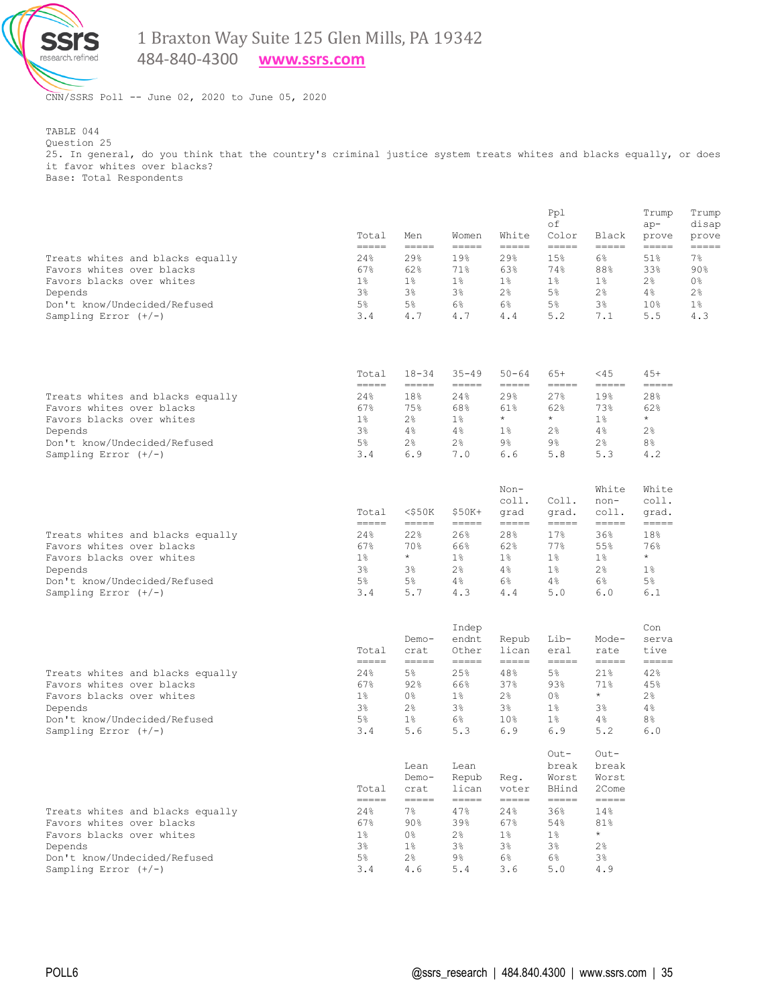

484-840-4300 **[www.ssrs.com](http://www.ssrs.com/)**

CNN/SSRS Poll -- June 02, 2020 to June 05, 2020

TABLE 044 Question 25 25. In general, do you think that the country's criminal justice system treats whites and blacks equally, or does it favor whites over blacks? Base: Total Respondents

|                                                                                                                                                                 | Total<br>$=$ $=$ $=$ $=$                                                           | Men<br>$\qquad \qquad \overline{\qquad \qquad }= \qquad \quad \overline{\qquad \qquad }= \qquad \quad \overline{\qquad \qquad }= \qquad \qquad$                                                                                                                                                                                                                                                                                                                                                                                                                                    | Women<br>$\qquad \qquad \displaystyle =\qquad \qquad \qquad$                           | White<br>$\qquad \qquad \overline{\qquad \qquad }==-\frac{1}{2}$                                                                                                                                                                                                                                                                                                                                                                                                                                                                                                           | Ppl<br>οf<br>Color<br>$=$ $=$ $=$ $=$ $=$                | Black<br>=====                                 | Trump<br>$ap-$<br>prove<br>-----               | Trump<br>disap<br>prove<br>$=$ $=$ $=$ $=$        |
|-----------------------------------------------------------------------------------------------------------------------------------------------------------------|------------------------------------------------------------------------------------|------------------------------------------------------------------------------------------------------------------------------------------------------------------------------------------------------------------------------------------------------------------------------------------------------------------------------------------------------------------------------------------------------------------------------------------------------------------------------------------------------------------------------------------------------------------------------------|----------------------------------------------------------------------------------------|----------------------------------------------------------------------------------------------------------------------------------------------------------------------------------------------------------------------------------------------------------------------------------------------------------------------------------------------------------------------------------------------------------------------------------------------------------------------------------------------------------------------------------------------------------------------------|----------------------------------------------------------|------------------------------------------------|------------------------------------------------|---------------------------------------------------|
| Treats whites and blacks equally<br>Favors whites over blacks<br>Favors blacks over whites<br>Depends<br>Don't know/Undecided/Refused<br>Sampling Error $(+/-)$ | 24%<br>67%<br>$1\%$<br>3 <sup>°</sup><br>$5\%$<br>3.4                              | 29%<br>62%<br>$1\%$<br>$3\%$<br>5%<br>4.7                                                                                                                                                                                                                                                                                                                                                                                                                                                                                                                                          | 19%<br>71%<br>$1\%$<br>$3\%$<br>$6\%$<br>4.7                                           | 29%<br>63%<br>$1\%$<br>2 <sup>°</sup><br>6%<br>4.4                                                                                                                                                                                                                                                                                                                                                                                                                                                                                                                         | 15%<br>74%<br>$1\%$<br>5%<br>5%<br>5.2                   | $6\%$<br>88%<br>$1\%$<br>$2\,$<br>3%<br>7.1    | 51%<br>33%<br>$2\,$<br>4%<br>$10\%$<br>5.5     | 7%<br>90%<br>0%<br>$2\frac{6}{6}$<br>$1\%$<br>4.3 |
|                                                                                                                                                                 | Total<br>$\qquad \qquad \displaystyle =\qquad \qquad \displaystyle =\qquad \qquad$ | $18 - 34$<br>$\qquad \qquad \displaystyle =\qquad \qquad \displaystyle =\qquad \qquad$                                                                                                                                                                                                                                                                                                                                                                                                                                                                                             | $35 - 49$<br>$\qquad \qquad \displaystyle =\qquad \qquad \displaystyle =\qquad \qquad$ | $50 - 64$<br>$\qquad \qquad \displaystyle =\qquad \qquad \displaystyle =\qquad \qquad$                                                                                                                                                                                                                                                                                                                                                                                                                                                                                     | $65+$<br>=====                                           | $<$ 45<br>-----                                | $45+$<br>-----                                 |                                                   |
| Treats whites and blacks equally<br>Favors whites over blacks<br>Favors blacks over whites<br>Depends<br>Don't know/Undecided/Refused<br>Sampling Error $(+/-)$ | 24%<br>67%<br>$1\%$<br>$3\%$<br>$5\%$<br>3.4                                       | 18%<br>75%<br>$2\frac{6}{9}$<br>$4\%$<br>$2\frac{6}{9}$<br>6.9                                                                                                                                                                                                                                                                                                                                                                                                                                                                                                                     | 24%<br>68%<br>$1\%$<br>4%<br>$2\frac{6}{6}$<br>7.0                                     | 29%<br>61%<br>$\star$<br>$1\%$<br>9%<br>6.6                                                                                                                                                                                                                                                                                                                                                                                                                                                                                                                                | 27%<br>62%<br>$\star$<br>2%<br>9%<br>5.8                 | 19%<br>73%<br>$1\%$<br>$4\%$<br>$2\,$<br>5.3   | 28%<br>62%<br>$\star$<br>$2\,$<br>$8\,$<br>4.2 |                                                   |
|                                                                                                                                                                 | Total<br>$=====$                                                                   | $<$ \$50 $K$<br>$=$ $=$ $=$ $=$                                                                                                                                                                                                                                                                                                                                                                                                                                                                                                                                                    | $$50K+$<br>$=$ $=$ $=$ $=$                                                             | $Non-$<br>coll.<br>qrad<br>$\qquad \qquad \displaystyle =\qquad \qquad \displaystyle =\qquad \qquad$                                                                                                                                                                                                                                                                                                                                                                                                                                                                       | Coll.<br>grad.<br>=====                                  | White<br>non-<br>coll.<br>=====                | White<br>coll.<br>grad.<br>-----               |                                                   |
| Treats whites and blacks equally<br>Favors whites over blacks<br>Favors blacks over whites<br>Depends<br>Don't know/Undecided/Refused<br>Sampling Error $(+/-)$ | 24%<br>67%<br>$1\%$<br>3 <sup>°</sup><br>$5\%$<br>3.4                              | 22%<br>70%<br>$\star$<br>$3\%$<br>$5\%$<br>5.7                                                                                                                                                                                                                                                                                                                                                                                                                                                                                                                                     | 26%<br>66%<br>$1\%$<br>$2\frac{6}{6}$<br>4%<br>4.3                                     | 28%<br>62%<br>$1\%$<br>4%<br>6%<br>4.4                                                                                                                                                                                                                                                                                                                                                                                                                                                                                                                                     | 17 <sub>8</sub><br>77%<br>$1\%$<br>$1\%$<br>$4\%$<br>5.0 | 36%<br>55%<br>$1\%$<br>$2\,$<br>6%<br>6.0      | 18%<br>76%<br>$\star$<br>$1\%$<br>5%<br>6.1    |                                                   |
|                                                                                                                                                                 | Total<br>$=$ $=$ $=$ $=$                                                           | Demo-<br>crat<br>$=$ $=$ $=$ $=$                                                                                                                                                                                                                                                                                                                                                                                                                                                                                                                                                   | Indep<br>endnt<br>Other<br>=====                                                       | Repub<br>lican<br>$=$ $=$ $=$ $=$                                                                                                                                                                                                                                                                                                                                                                                                                                                                                                                                          | Lib-<br>eral<br>=====                                    | Mode-<br>rate<br>=====                         | Con<br>serva<br>tive<br>-----                  |                                                   |
| Treats whites and blacks equally<br>Favors whites over blacks<br>Favors blacks over whites<br>Depends<br>Don't know/Undecided/Refused<br>Sampling Error $(+/-)$ | 24%<br>67%<br>$1\%$<br>$3\%$<br>$5\%$<br>3.4                                       | $5\%$<br>92%<br>0%<br>$2\frac{6}{6}$<br>$1\%$<br>5.6                                                                                                                                                                                                                                                                                                                                                                                                                                                                                                                               | 25%<br>66%<br>$1\%$<br>$3\,$<br>6%<br>5.3                                              | 48%<br>37%<br>2 <sup>8</sup><br>$3\%$<br>10 <sub>8</sub><br>6.9                                                                                                                                                                                                                                                                                                                                                                                                                                                                                                            | 5%<br>93%<br>0%<br>$1\%$<br>$1\%$<br>6.9                 | 21%<br>71%<br>$\star$<br>$3\%$<br>$4\,$<br>5.2 | 42%<br>45%<br>$2\,$<br>$4\,$<br>$8\,$<br>6.0   |                                                   |
|                                                                                                                                                                 | Total<br>$\qquad \qquad \doteq\qquad \qquad \doteq\qquad \qquad$                   | Tean<br>Demo-<br>crat<br>$\qquad \qquad \overline{\qquad \qquad }= \qquad \overline{\qquad \qquad }= \qquad \overline{\qquad \qquad }= \qquad \overline{\qquad \qquad }= \qquad \overline{\qquad \qquad }= \qquad \overline{\qquad \qquad }= \qquad \overline{\qquad \qquad }= \qquad \overline{\qquad \qquad }= \qquad \overline{\qquad \qquad }= \qquad \overline{\qquad \qquad }= \qquad \overline{\qquad \qquad }= \qquad \overline{\qquad \qquad }= \qquad \overline{\qquad \qquad }= \qquad \overline{\qquad \qquad }= \qquad \overline{\qquad \qquad }= \qquad \overline{\$ | Lean<br>Repub<br>lican<br>$\qquad \qquad \overline{\qquad \qquad }=$                   | Reg.<br>voter<br>$\qquad \qquad \overline{\qquad \qquad }= \qquad \overline{\qquad \qquad }= \qquad \overline{\qquad \qquad }= \qquad \overline{\qquad \qquad }= \qquad \overline{\qquad \qquad }= \qquad \overline{\qquad \qquad }= \qquad \overline{\qquad \qquad }= \qquad \overline{\qquad \qquad }= \qquad \overline{\qquad \qquad }= \qquad \overline{\qquad \qquad }= \qquad \overline{\qquad \qquad }= \qquad \overline{\qquad \qquad }= \qquad \overline{\qquad \qquad }= \qquad \overline{\qquad \qquad }= \qquad \overline{\qquad \qquad }= \qquad \overline{\$ | $Out-$<br>break<br>Worst<br>BHind<br>-----               | Out-<br>break<br>Worst<br>2Come<br>$=====$     |                                                |                                                   |
| Treats whites and blacks equally<br>Favors whites over blacks<br>Favors blacks over whites<br>Depends<br>Don't know/Undecided/Refused<br>Sampling Error $(+/-)$ | 24%<br>67%<br>$1\%$<br>3%<br>$5\%$<br>3.4                                          | $7\%$<br>90%<br>0%<br>$1\%$<br>$2\frac{6}{6}$<br>4.6                                                                                                                                                                                                                                                                                                                                                                                                                                                                                                                               | 47%<br>39%<br>$2\frac{6}{6}$<br>$3\frac{6}{6}$<br>9%<br>5.4                            | 24%<br>67%<br>$1\%$<br>$3\frac{6}{6}$<br>$6\%$<br>3.6                                                                                                                                                                                                                                                                                                                                                                                                                                                                                                                      | 36%<br>54%<br>$1\%$<br>3%<br>$6\%$<br>5.0                | 14%<br>81%<br>$\star$<br>2%<br>$3\%$<br>4.9    |                                                |                                                   |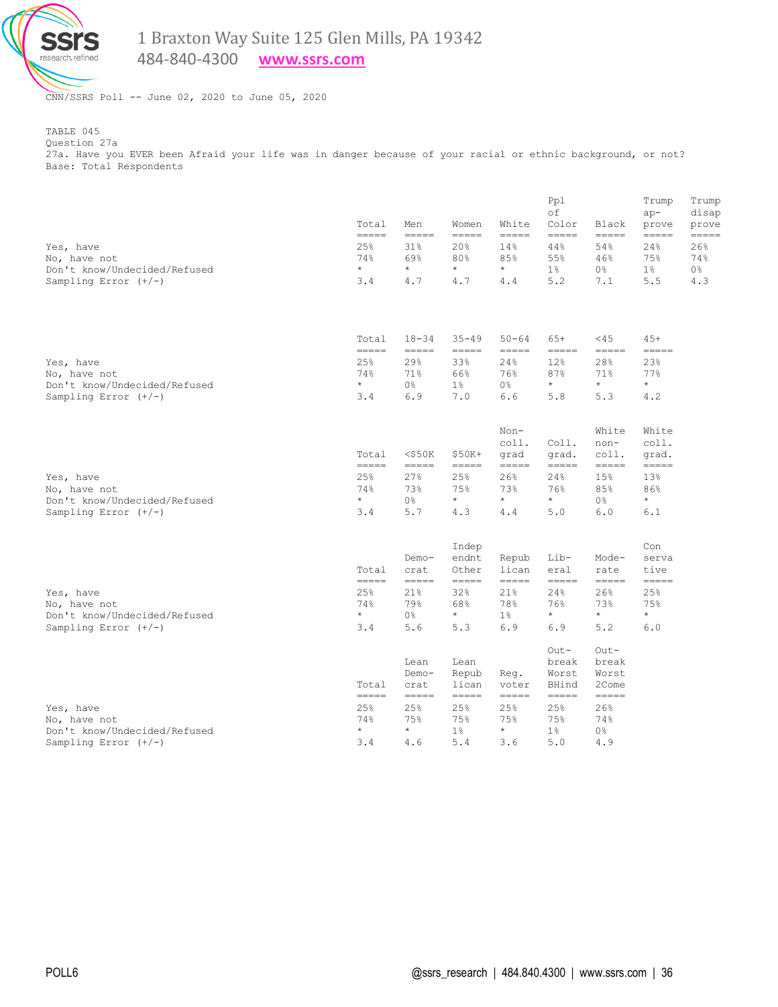

484-840-4300 **[www.ssrs.com](http://www.ssrs.com/)**

CNN/SSRS Poll -- June 02, 2020 to June 05, 2020

TABLE 045 Question 27a 27a. Have you EVER been Afraid your life was in danger because of your racial or ethnic background, or not? Base: Total Respondents

|                                                           | Total                                    | Men                            | Women                                                                                              | White                                                                            | Ppl<br>оf<br>Color                                                                 | Black                                                                              | Trump<br>$ap-$<br>prove                                                                                                                                                                                                                                                                                                                                                                                                                                                                  | Trump<br>disap<br>prove   |
|-----------------------------------------------------------|------------------------------------------|--------------------------------|----------------------------------------------------------------------------------------------------|----------------------------------------------------------------------------------|------------------------------------------------------------------------------------|------------------------------------------------------------------------------------|------------------------------------------------------------------------------------------------------------------------------------------------------------------------------------------------------------------------------------------------------------------------------------------------------------------------------------------------------------------------------------------------------------------------------------------------------------------------------------------|---------------------------|
| Yes, have<br>No, have not<br>Don't know/Undecided/Refused | $=$ $=$ $=$ $=$<br>25%<br>74%<br>$\star$ | =====<br>31%<br>69%<br>$\star$ | $\qquad \qquad \displaystyle =\qquad \qquad \displaystyle =\qquad \qquad$<br>20%<br>80%<br>$\star$ | $=$ $=$ $=$ $=$<br>14%<br>85%<br>$\star$                                         | $=$ $=$ $=$ $=$<br>44%<br>55%<br>$1\%$                                             | =====<br>54%<br>46%<br>0%                                                          | $=$ $=$ $=$ $=$<br>24%<br>75%<br>$1\%$                                                                                                                                                                                                                                                                                                                                                                                                                                                   | =====<br>26%<br>74%<br>0% |
| Sampling Error $(+/-)$                                    | 3.4                                      | 4.7                            | 4.7                                                                                                | 4.4                                                                              | 5.2                                                                                | 7.1                                                                                | 5.5                                                                                                                                                                                                                                                                                                                                                                                                                                                                                      | 4.3                       |
|                                                           | Total<br>$=$ $=$ $=$ $=$                 | $18 - 34$<br>=====             | $35 - 49$<br>=====                                                                                 | $50 - 64$<br>$=$ $=$ $=$ $=$                                                     | $65+$<br>$=$ $=$ $=$ $=$                                                           | $<$ 45<br>$=$ $=$ $=$ $=$                                                          | $45+$<br>$=$ $=$ $=$ $=$                                                                                                                                                                                                                                                                                                                                                                                                                                                                 |                           |
| Yes, have                                                 | 25%                                      | 29%                            | 33%                                                                                                | 24%                                                                              | 12%                                                                                | 28%                                                                                | 23%                                                                                                                                                                                                                                                                                                                                                                                                                                                                                      |                           |
| No, have not                                              | 74%                                      | 71%                            | 66%                                                                                                | 76%                                                                              | 87%                                                                                | 71%                                                                                | 77%                                                                                                                                                                                                                                                                                                                                                                                                                                                                                      |                           |
| Don't know/Undecided/Refused                              | $\star$                                  | 0%                             | $1\%$                                                                                              | 0%                                                                               | $\star$                                                                            | $\star$                                                                            | $\star$                                                                                                                                                                                                                                                                                                                                                                                                                                                                                  |                           |
| Sampling Error $(+/-)$                                    | 3.4                                      | 6.9                            | 7.0                                                                                                | 6.6                                                                              | 5.8                                                                                | 5.3                                                                                | 4.2                                                                                                                                                                                                                                                                                                                                                                                                                                                                                      |                           |
|                                                           |                                          |                                |                                                                                                    | Non-<br>coll.                                                                    | Coll.                                                                              | White<br>non-                                                                      | White<br>coll.                                                                                                                                                                                                                                                                                                                                                                                                                                                                           |                           |
|                                                           | Total<br>$=$ $=$ $=$ $=$                 | $<$ \$50 $K$<br>=====          | $$50K+$<br>=====                                                                                   | grad<br>-----                                                                    | qrad.<br>$\qquad \qquad \displaystyle =\qquad \qquad \displaystyle =\qquad \qquad$ | coll.<br>$\qquad \qquad \displaystyle =\qquad \qquad \displaystyle =\qquad \qquad$ | grad.<br>$\qquad \qquad \doteq \qquad \qquad \doteq \qquad \qquad \doteq \qquad \qquad \doteq \qquad \qquad \doteq \qquad \qquad \doteq \qquad \qquad \doteq \qquad \qquad \doteq \qquad \qquad \doteq \qquad \qquad \doteq \qquad \qquad \doteq \qquad \qquad \doteq \qquad \qquad \doteq \qquad \qquad \doteq \qquad \qquad \doteq \qquad \qquad \doteq \qquad \qquad \doteq \qquad \qquad \doteq \qquad \qquad \doteq \qquad \qquad \doteq \qquad \qquad \doteq \qquad \qquad \doteq$ |                           |
| Yes, have                                                 | 25%                                      | 27%                            | 25%                                                                                                | 26%                                                                              | 24%                                                                                | 15%                                                                                | 13%                                                                                                                                                                                                                                                                                                                                                                                                                                                                                      |                           |
| No, have not                                              | 74%<br>$\star$                           | 73%                            | 75%                                                                                                | 73%<br>$\star$                                                                   | 76%<br>$\star$                                                                     | 85%                                                                                | 86%<br>$\star$                                                                                                                                                                                                                                                                                                                                                                                                                                                                           |                           |
| Don't know/Undecided/Refused<br>Sampling Error $(+/-)$    | 3.4                                      | 0%<br>5.7                      | $\star$<br>4.3                                                                                     | 4.4                                                                              | 5.0                                                                                | 0 %<br>6.0                                                                         | 6.1                                                                                                                                                                                                                                                                                                                                                                                                                                                                                      |                           |
|                                                           |                                          | Demo-                          | Indep<br>endnt                                                                                     | Repub                                                                            | Lib-                                                                               | Mode-                                                                              | Con<br>serva                                                                                                                                                                                                                                                                                                                                                                                                                                                                             |                           |
|                                                           | Total<br>$=====$                         | crat<br>=====                  | Other<br>$=$ $=$ $=$ $=$                                                                           | lican<br>$=$ $=$ $=$ $=$                                                         | eral<br>$=====$                                                                    | rate<br>$=====$                                                                    | tive<br>$\qquad \qquad \displaystyle =\qquad \qquad \displaystyle =\qquad \qquad$                                                                                                                                                                                                                                                                                                                                                                                                        |                           |
| Yes, have                                                 | 25%<br>74%                               | 21%<br>79%                     | 32%<br>68%                                                                                         | 21%<br>78%                                                                       | 24%<br>76%                                                                         | 26%<br>73%                                                                         | 25%<br>75%                                                                                                                                                                                                                                                                                                                                                                                                                                                                               |                           |
| No, have not<br>Don't know/Undecided/Refused              | $\star$                                  | 0%                             | $\star$                                                                                            | $1\%$                                                                            | $^\star$                                                                           | $^\star$                                                                           | $\star$                                                                                                                                                                                                                                                                                                                                                                                                                                                                                  |                           |
| Sampling Error $(+/-)$                                    | 3.4                                      | 5.6                            | 5.3                                                                                                | 6.9                                                                              | 6.9                                                                                | 5.2                                                                                | 6.0                                                                                                                                                                                                                                                                                                                                                                                                                                                                                      |                           |
|                                                           |                                          | Lean                           | Lean                                                                                               |                                                                                  | $Out-$<br>break                                                                    | $Out-$<br>break                                                                    |                                                                                                                                                                                                                                                                                                                                                                                                                                                                                          |                           |
|                                                           | Total                                    | Demo-<br>crat                  | Repub<br>lican                                                                                     | Reg.<br>voter                                                                    | Worst<br>BHind                                                                     | Worst<br>2Come                                                                     |                                                                                                                                                                                                                                                                                                                                                                                                                                                                                          |                           |
| Yes, have                                                 | $=====$<br>25%                           | =====<br>25%                   | =====<br>25%                                                                                       | $\qquad \qquad \displaystyle =\qquad \qquad \displaystyle =\qquad \qquad$<br>25% | $\qquad \qquad \displaystyle =\qquad \qquad \displaystyle =\qquad \qquad$<br>25%   | $=$ $=$ $=$ $=$<br>26%                                                             |                                                                                                                                                                                                                                                                                                                                                                                                                                                                                          |                           |
| No, have not                                              | 74%                                      | 75%                            | 75%                                                                                                | 75%                                                                              | 75%                                                                                | 74%                                                                                |                                                                                                                                                                                                                                                                                                                                                                                                                                                                                          |                           |
| Don't know/Undecided/Refused                              | $\star$                                  | $\star$                        | $1\%$                                                                                              | $\star$                                                                          | $1\%$                                                                              | 0 <sup>°</sup>                                                                     |                                                                                                                                                                                                                                                                                                                                                                                                                                                                                          |                           |
| Sampling Error $(+/-)$                                    | 3.4                                      | 4.6                            | 5.4                                                                                                | 3.6                                                                              | 5.0                                                                                | 4.9                                                                                |                                                                                                                                                                                                                                                                                                                                                                                                                                                                                          |                           |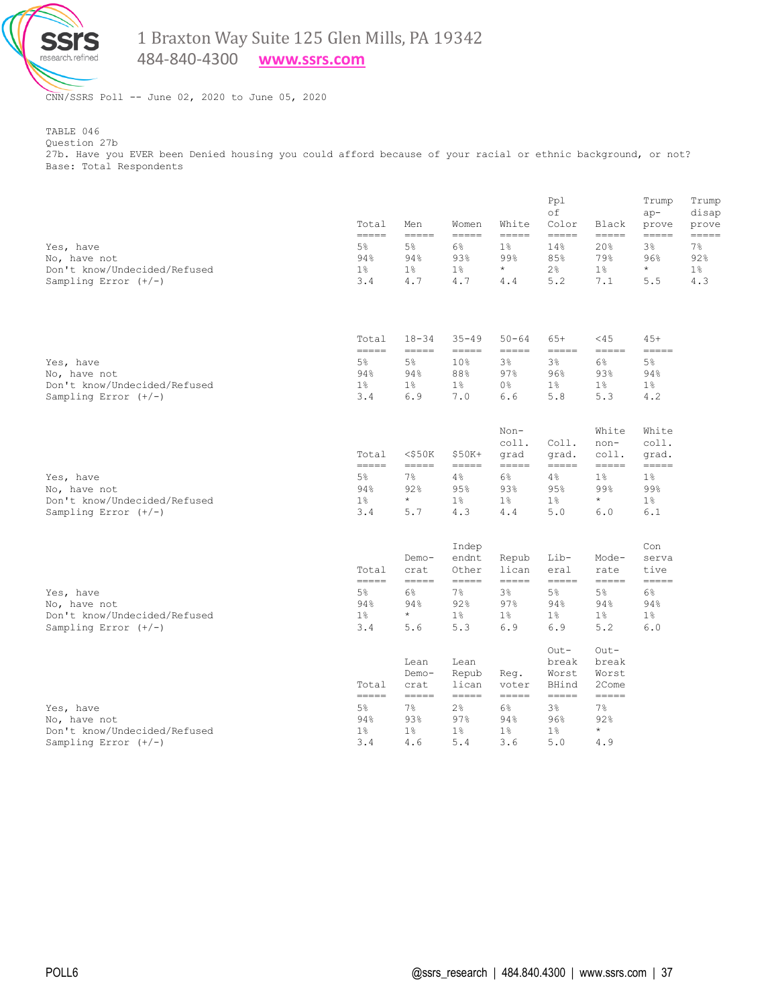

484-840-4300 **[www.ssrs.com](http://www.ssrs.com/)**

CNN/SSRS Poll -- June 02, 2020 to June 05, 2020

TABLE 046 Question 27b

27b. Have you EVER been Denied housing you could afford because of your racial or ethnic background, or not? Base: Total Respondents

|                                                        | Total<br>=====                             | Men<br>$=$ $=$ $=$ $=$  | Women<br>$\qquad \qquad \doteq \qquad \qquad \doteq \qquad \qquad \doteq \qquad \qquad \doteq \qquad \qquad \doteq \qquad \qquad \doteq \qquad \qquad \doteq \qquad \qquad \doteq \qquad \qquad \doteq \qquad \qquad \doteq \qquad \qquad \doteq \qquad \qquad \doteq \qquad \qquad \doteq \qquad \qquad \doteq \qquad \qquad \doteq \qquad \qquad \doteq \qquad \qquad \doteq \qquad \qquad \doteq \qquad \qquad \doteq \qquad \qquad \doteq \qquad \qquad \doteq \qquad \qquad \doteq$ | White<br>$\qquad \qquad \displaystyle =\qquad \qquad \qquad$ | Ppl<br>оf<br>Color<br>$=$ $=$ $=$ $=$ | Black<br>$=$ $=$ $=$ $=$  | Trump<br>$ap-$<br>prove<br>$\qquad \qquad \displaystyle =\qquad \qquad \displaystyle =\qquad \qquad$ | Trump<br>disap<br>prove<br>===== |
|--------------------------------------------------------|--------------------------------------------|-------------------------|------------------------------------------------------------------------------------------------------------------------------------------------------------------------------------------------------------------------------------------------------------------------------------------------------------------------------------------------------------------------------------------------------------------------------------------------------------------------------------------|--------------------------------------------------------------|---------------------------------------|---------------------------|------------------------------------------------------------------------------------------------------|----------------------------------|
| Yes, have                                              | $5\%$                                      | 5%                      | 6%                                                                                                                                                                                                                                                                                                                                                                                                                                                                                       | $1\%$                                                        | 14%                                   | 20%                       | 3%                                                                                                   | 7%                               |
| No, have not                                           | 94%                                        | 94%                     | 93%                                                                                                                                                                                                                                                                                                                                                                                                                                                                                      | 99%                                                          | 85%                                   | 79%                       | 96%                                                                                                  | 92%                              |
| Don't know/Undecided/Refused                           | $1\%$                                      | $1\%$                   | $1\%$                                                                                                                                                                                                                                                                                                                                                                                                                                                                                    | $\star$                                                      | 2%                                    | $1\%$                     | $\star$                                                                                              | $1\%$                            |
| Sampling Error $(+/-)$                                 | 3.4                                        | 4.7                     | 4.7                                                                                                                                                                                                                                                                                                                                                                                                                                                                                      | 4.4                                                          | 5.2                                   | 7.1                       | 5.5                                                                                                  | 4.3                              |
|                                                        |                                            |                         |                                                                                                                                                                                                                                                                                                                                                                                                                                                                                          |                                                              |                                       |                           |                                                                                                      |                                  |
|                                                        | Total<br>=====                             | $18 - 34$<br>=====      | $35 - 49$<br>=====                                                                                                                                                                                                                                                                                                                                                                                                                                                                       | $50 - 64$<br>=====                                           | $65+$<br>$=$ $=$ $=$ $=$              | $<$ 45<br>$=$ $=$ $=$ $=$ | $45+$<br>$=$ $=$ $=$ $=$                                                                             |                                  |
| Yes, have                                              | $5\%$                                      | $5\%$                   | 10%                                                                                                                                                                                                                                                                                                                                                                                                                                                                                      | $3\frac{6}{9}$                                               | 3 <sup>°</sup>                        | $6\%$                     | $5\%$                                                                                                |                                  |
| No, have not                                           | 94%                                        | 94%                     | 88%                                                                                                                                                                                                                                                                                                                                                                                                                                                                                      | 97%                                                          | 96%                                   | 93%                       | 94%                                                                                                  |                                  |
| Don't know/Undecided/Refused                           | $1\%$                                      | $1\%$                   | $1\%$                                                                                                                                                                                                                                                                                                                                                                                                                                                                                    | 0 <sup>°</sup>                                               | $1\%$                                 | $1\%$                     | $1\%$                                                                                                |                                  |
| Sampling Error $(+/-)$                                 | 3.4                                        | 6.9                     | 7.0                                                                                                                                                                                                                                                                                                                                                                                                                                                                                      | 6.6                                                          | 5.8                                   | 5.3                       | 4.2                                                                                                  |                                  |
|                                                        |                                            |                         |                                                                                                                                                                                                                                                                                                                                                                                                                                                                                          | Non-                                                         |                                       | White                     | White                                                                                                |                                  |
|                                                        |                                            |                         |                                                                                                                                                                                                                                                                                                                                                                                                                                                                                          | coll.                                                        | Coll.                                 | non-                      | coll.                                                                                                |                                  |
|                                                        | Total<br>-----                             | $<$ \$50 $K$<br>=====   | $$50K+$<br>=====                                                                                                                                                                                                                                                                                                                                                                                                                                                                         | qrad<br>=====                                                | qrad.<br>$=$ $=$ $=$ $=$ $=$          | coll.<br>$=$ $=$ $=$ $=$  | qrad.<br>$=$ $=$ $=$ $=$                                                                             |                                  |
| Yes, have                                              | $5\%$                                      | $7\%$                   | 4%                                                                                                                                                                                                                                                                                                                                                                                                                                                                                       | 6%                                                           | 4%                                    | $1\%$                     | $1\%$                                                                                                |                                  |
| No, have not                                           | 94%                                        | 92%                     | 95%                                                                                                                                                                                                                                                                                                                                                                                                                                                                                      | 93%                                                          | 95%                                   | 99%                       | 99%                                                                                                  |                                  |
| Don't know/Undecided/Refused                           | $1\%$                                      | $\star$                 | $1\%$                                                                                                                                                                                                                                                                                                                                                                                                                                                                                    | $1\%$                                                        | $1\%$                                 | $^{\star}$                | $1\%$                                                                                                |                                  |
| Sampling Error $(+/-)$                                 | 3.4                                        | 5.7                     | 4.3                                                                                                                                                                                                                                                                                                                                                                                                                                                                                      | 4.4                                                          | 5.0                                   | 6.0                       | 6.1                                                                                                  |                                  |
|                                                        |                                            |                         | Indep                                                                                                                                                                                                                                                                                                                                                                                                                                                                                    |                                                              |                                       |                           | Con                                                                                                  |                                  |
|                                                        |                                            | $Demo-$                 | endnt                                                                                                                                                                                                                                                                                                                                                                                                                                                                                    | Repub                                                        | Lib-                                  | Mode-                     | serva                                                                                                |                                  |
|                                                        | Total<br>$=$ $=$ $=$ $=$                   | crat<br>$=$ $=$ $=$ $=$ | Other<br>$=$ $=$ $=$ $=$                                                                                                                                                                                                                                                                                                                                                                                                                                                                 | lican<br>$=$ $=$ $=$ $=$                                     | eral<br>$=$ $=$ $=$ $=$               | rate<br>$=$ $=$ $=$ $=$   | tive<br>$=$ $=$ $=$ $=$                                                                              |                                  |
| Yes, have                                              | $5\%$                                      | $6\%$                   | 7%                                                                                                                                                                                                                                                                                                                                                                                                                                                                                       | $3\,$                                                        | $5\%$                                 | $5\%$                     | $6\%$                                                                                                |                                  |
| No, have not                                           | 94%                                        | 94%                     | 92%                                                                                                                                                                                                                                                                                                                                                                                                                                                                                      | 97%                                                          | 94%                                   | 94%                       | 94%                                                                                                  |                                  |
| Don't know/Undecided/Refused                           | $1\%$<br>3.4                               | $\star$<br>5.6          | $1\%$                                                                                                                                                                                                                                                                                                                                                                                                                                                                                    | $1\%$<br>6.9                                                 | $1\%$                                 | $1\%$                     | $1\%$<br>6.0                                                                                         |                                  |
| Sampling Error $(+/-)$                                 |                                            |                         | 5.3                                                                                                                                                                                                                                                                                                                                                                                                                                                                                      |                                                              | 6.9                                   | 5.2                       |                                                                                                      |                                  |
|                                                        |                                            |                         |                                                                                                                                                                                                                                                                                                                                                                                                                                                                                          |                                                              | $Out-$                                | $Out-$                    |                                                                                                      |                                  |
|                                                        |                                            | Lean<br>Demo-           | Lean<br>Repub                                                                                                                                                                                                                                                                                                                                                                                                                                                                            | Reg.                                                         | break<br>Worst                        | break<br>Worst            |                                                                                                      |                                  |
|                                                        | Total                                      | crat                    | lican                                                                                                                                                                                                                                                                                                                                                                                                                                                                                    | voter                                                        | BHind                                 | 2Come                     |                                                                                                      |                                  |
|                                                        | $\qquad \qquad \overline{\qquad \qquad }=$ |                         | $\qquad \qquad \displaystyle =\qquad \qquad \qquad$                                                                                                                                                                                                                                                                                                                                                                                                                                      | $=$ $=$ $=$ $=$                                              | $=$ $=$ $=$ $=$                       | $=$ $=$ $=$ $=$           |                                                                                                      |                                  |
| Yes, have                                              | $5\%$                                      | 7%                      | $2\,$                                                                                                                                                                                                                                                                                                                                                                                                                                                                                    | $6\%$                                                        | $3\%$                                 | $7\%$                     |                                                                                                      |                                  |
| No, have not                                           | 94%                                        | 93%                     | 97%                                                                                                                                                                                                                                                                                                                                                                                                                                                                                      | 94%                                                          | 96%                                   | 92%<br>$\star$            |                                                                                                      |                                  |
| Don't know/Undecided/Refused<br>Sampling Error $(+/-)$ | $1\%$<br>3.4                               | $1\%$<br>4.6            | $1\%$<br>5.4                                                                                                                                                                                                                                                                                                                                                                                                                                                                             | $1\%$<br>3.6                                                 | $1\%$<br>5.0                          | 4.9                       |                                                                                                      |                                  |
|                                                        |                                            |                         |                                                                                                                                                                                                                                                                                                                                                                                                                                                                                          |                                                              |                                       |                           |                                                                                                      |                                  |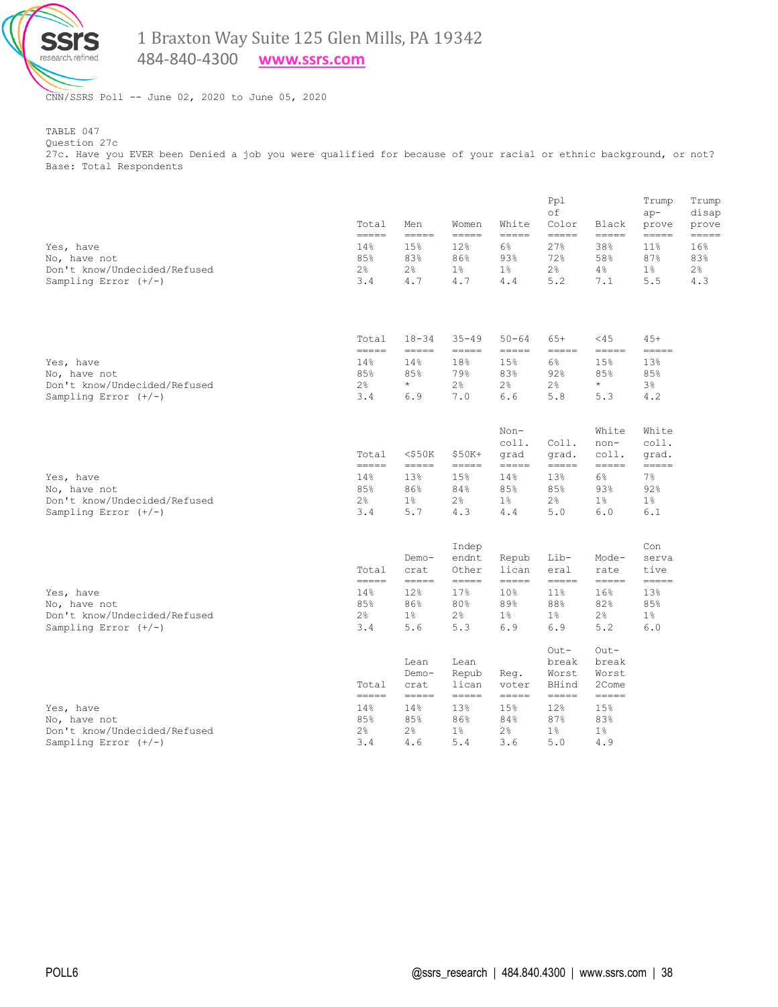

484-840-4300 **[www.ssrs.com](http://www.ssrs.com/)**

CNN/SSRS Poll -- June 02, 2020 to June 05, 2020

TABLE 047 Question 27c

27c. Have you EVER been Denied a job you were qualified for because of your racial or ethnic background, or not? Base: Total Respondents

|                                                           | Total<br>$\qquad \qquad \dfrac{1}{1} \left( \frac{1}{1} \right) = \dfrac{1}{1} \left( \frac{1}{1} \right) = \dfrac{1}{1} \left( \dfrac{1}{1} \right) = \dfrac{1}{1} \left( \dfrac{1}{1} \right) = \dfrac{1}{1} \left( \dfrac{1}{1} \right) = \dfrac{1}{1} \left( \dfrac{1}{1} \right) = \dfrac{1}{1} \left( \dfrac{1}{1} \right) = \dfrac{1}{1} \left( \dfrac{1}{1} \right) = \dfrac{1}{1} \left( \dfrac{1}{1} \right) = \dfrac{1}{1} \$ | Men<br>$\qquad \qquad \displaystyle =\qquad \qquad \displaystyle =\qquad \qquad$ | Women<br>$\qquad \qquad \displaystyle =\qquad \qquad \displaystyle =\qquad \qquad$ | White<br>$\qquad \qquad \displaystyle =\qquad \qquad \displaystyle =\qquad \qquad$         | Ppl<br>οf<br>Color<br>$\qquad \qquad \displaystyle =\qquad \qquad \displaystyle =\qquad \qquad$ | Black<br>$\qquad \qquad \doteq\qquad \qquad \doteq\qquad \qquad \doteq\qquad \qquad$ | Trump<br>$ap-$<br>prove<br>$\qquad \qquad \displaystyle =\qquad \qquad \displaystyle =\qquad \qquad$ | Trump<br>disap<br>prove<br>$\qquad \qquad \displaystyle =\qquad \qquad \displaystyle =\qquad \qquad$ |
|-----------------------------------------------------------|------------------------------------------------------------------------------------------------------------------------------------------------------------------------------------------------------------------------------------------------------------------------------------------------------------------------------------------------------------------------------------------------------------------------------------------|----------------------------------------------------------------------------------|------------------------------------------------------------------------------------|--------------------------------------------------------------------------------------------|-------------------------------------------------------------------------------------------------|--------------------------------------------------------------------------------------|------------------------------------------------------------------------------------------------------|------------------------------------------------------------------------------------------------------|
| Yes, have<br>No, have not<br>Don't know/Undecided/Refused | 14%<br>85%<br>$2\frac{6}{6}$                                                                                                                                                                                                                                                                                                                                                                                                             | 15%<br>83%<br>$2\frac{6}{9}$                                                     | 12%<br>86%<br>$1\%$                                                                | 6%<br>93%<br>$1\%$                                                                         | 27%<br>72%<br>$2\frac{6}{6}$                                                                    | 38%<br>58%<br>$4\%$                                                                  | 11 <sup>°</sup><br>87%<br>$1\%$                                                                      | 16%<br>83%<br>$2\,$                                                                                  |
| Sampling Error $(+/-)$                                    | 3.4                                                                                                                                                                                                                                                                                                                                                                                                                                      | 4.7                                                                              | 4.7                                                                                | 4.4                                                                                        | 5.2                                                                                             | 7.1                                                                                  | 5.5                                                                                                  | 4.3                                                                                                  |
|                                                           | Total<br>$=$ $=$ $=$ $=$                                                                                                                                                                                                                                                                                                                                                                                                                 | $18 - 34$<br>$=$ $=$ $=$ $=$                                                     | $35 - 49$<br>$=$ $=$ $=$ $=$                                                       | $50 - 64$<br>$=$ $=$ $=$ $=$ $=$                                                           | $65+$<br>$=$ $=$ $=$ $=$                                                                        | $<$ 45<br>$=$ $=$ $=$ $=$                                                            | $45+$<br>$\qquad \qquad \displaystyle =\qquad \qquad \displaystyle =\qquad \qquad$                   |                                                                                                      |
| Yes, have                                                 | 14%                                                                                                                                                                                                                                                                                                                                                                                                                                      | 14%                                                                              | 18%                                                                                | 15%                                                                                        | 6%                                                                                              | 15%                                                                                  | 13%                                                                                                  |                                                                                                      |
| No, have not                                              | 85%                                                                                                                                                                                                                                                                                                                                                                                                                                      | 85%                                                                              | 79%                                                                                | 83%                                                                                        | 92%                                                                                             | 85%                                                                                  | 85%                                                                                                  |                                                                                                      |
| Don't know/Undecided/Refused<br>Sampling Error $(+/-)$    | $2\frac{6}{6}$<br>3.4                                                                                                                                                                                                                                                                                                                                                                                                                    | $\star$<br>6.9                                                                   | 2%<br>7.0                                                                          | $2\frac{6}{6}$<br>6.6                                                                      | $2\frac{6}{6}$<br>5.8                                                                           | $\star$<br>5.3                                                                       | 3%<br>4.2                                                                                            |                                                                                                      |
|                                                           |                                                                                                                                                                                                                                                                                                                                                                                                                                          |                                                                                  |                                                                                    |                                                                                            |                                                                                                 |                                                                                      |                                                                                                      |                                                                                                      |
|                                                           |                                                                                                                                                                                                                                                                                                                                                                                                                                          |                                                                                  |                                                                                    | Non-                                                                                       |                                                                                                 | White                                                                                | White                                                                                                |                                                                                                      |
|                                                           | Total<br>=====                                                                                                                                                                                                                                                                                                                                                                                                                           | $<$ \$50 $K$<br>$=$ $=$ $=$ $=$                                                  | $$50K+$<br>$=$ $=$ $=$ $=$                                                         | coll.<br>grad<br>$\qquad \qquad \displaystyle =\qquad \qquad \displaystyle =\qquad \qquad$ | Coll.<br>grad.<br>$\qquad \qquad \displaystyle =\qquad \qquad \displaystyle =\qquad \qquad$     | non-<br>coll.<br>$=$ $=$ $=$ $=$                                                     | coll.<br>qrad.<br>=====                                                                              |                                                                                                      |
| Yes, have                                                 | 14%                                                                                                                                                                                                                                                                                                                                                                                                                                      | 13%                                                                              | 15%                                                                                | 14%                                                                                        | 13%                                                                                             | 6%                                                                                   | $7\%$                                                                                                |                                                                                                      |
| No, have not                                              | 85%                                                                                                                                                                                                                                                                                                                                                                                                                                      | 86%                                                                              | 84%                                                                                | 85%                                                                                        | 85%                                                                                             | 93%                                                                                  | 92%                                                                                                  |                                                                                                      |
| Don't know/Undecided/Refused                              | $2\frac{6}{6}$                                                                                                                                                                                                                                                                                                                                                                                                                           | $1\%$                                                                            | $2\,$                                                                              | $1\%$                                                                                      | $2\frac{6}{6}$                                                                                  | $1\%$                                                                                | $1\%$                                                                                                |                                                                                                      |
| Sampling Error $(+/-)$                                    | 3.4                                                                                                                                                                                                                                                                                                                                                                                                                                      | 5.7                                                                              | 4.3                                                                                | 4.4                                                                                        | 5.0                                                                                             | 6.0                                                                                  | 6.1                                                                                                  |                                                                                                      |
|                                                           |                                                                                                                                                                                                                                                                                                                                                                                                                                          |                                                                                  | Indep                                                                              |                                                                                            |                                                                                                 |                                                                                      | Con                                                                                                  |                                                                                                      |
|                                                           | Total                                                                                                                                                                                                                                                                                                                                                                                                                                    | Demo-<br>crat                                                                    | endnt<br>Other                                                                     | Repub<br>lican                                                                             | Lib-<br>eral                                                                                    | Mode-<br>rate                                                                        | serva<br>tive                                                                                        |                                                                                                      |
|                                                           | $=$ $=$ $=$ $=$                                                                                                                                                                                                                                                                                                                                                                                                                          | $=$ $=$ $=$ $=$                                                                  | $=$ $=$ $=$ $=$                                                                    | $=$ $=$ $=$ $=$                                                                            | $=$ $=$ $=$ $=$                                                                                 | $=$ $=$ $=$ $=$                                                                      | $==-=-$                                                                                              |                                                                                                      |
| Yes, have                                                 | 14%                                                                                                                                                                                                                                                                                                                                                                                                                                      | 12%                                                                              | 17%                                                                                | 10%                                                                                        | 11 <sup>°</sup>                                                                                 | 16%                                                                                  | 13%                                                                                                  |                                                                                                      |
| No, have not<br>Don't know/Undecided/Refused              | 85%<br>2 <sup>°</sup>                                                                                                                                                                                                                                                                                                                                                                                                                    | 86%<br>$1\%$                                                                     | 80%<br>$2\frac{6}{5}$                                                              | 89%<br>$1\%$                                                                               | 88%<br>$1\%$                                                                                    | 82%<br>2 <sup>°</sup>                                                                | 85%<br>$1\%$                                                                                         |                                                                                                      |
| Sampling Error $(+/-)$                                    | 3.4                                                                                                                                                                                                                                                                                                                                                                                                                                      | 5.6                                                                              | 5.3                                                                                | 6.9                                                                                        | 6.9                                                                                             | 5.2                                                                                  | 6.0                                                                                                  |                                                                                                      |
|                                                           |                                                                                                                                                                                                                                                                                                                                                                                                                                          |                                                                                  |                                                                                    |                                                                                            | $Out-$                                                                                          | $Out-$                                                                               |                                                                                                      |                                                                                                      |
|                                                           |                                                                                                                                                                                                                                                                                                                                                                                                                                          | Lean<br>Demo-                                                                    | Lean<br>Repub                                                                      | Req.                                                                                       | break<br>Worst                                                                                  | break<br>Worst                                                                       |                                                                                                      |                                                                                                      |
|                                                           | Total<br>$=$ $=$ $=$ $=$                                                                                                                                                                                                                                                                                                                                                                                                                 | crat<br>$=$ $=$ $=$ $=$                                                          | lican<br>$=$ $=$ $=$ $=$                                                           | voter<br>$=$ $=$ $=$ $=$                                                                   | BHind<br>$=$ $=$ $=$ $=$                                                                        | 2Come<br>$=$ $=$ $=$ $=$                                                             |                                                                                                      |                                                                                                      |
| Yes, have                                                 | 14%                                                                                                                                                                                                                                                                                                                                                                                                                                      | 14%                                                                              | 13%                                                                                | 15%                                                                                        | 12%                                                                                             | 15%                                                                                  |                                                                                                      |                                                                                                      |
| No, have not                                              | 85%                                                                                                                                                                                                                                                                                                                                                                                                                                      | 85%                                                                              | 86%                                                                                | 84%                                                                                        | 87%                                                                                             | 83%                                                                                  |                                                                                                      |                                                                                                      |
| Don't know/Undecided/Refused<br>Sampling Error $(+/-)$    | $2\frac{6}{6}$<br>3.4                                                                                                                                                                                                                                                                                                                                                                                                                    | $2\frac{6}{9}$<br>4.6                                                            | $1\%$<br>5.4                                                                       | $2\frac{6}{6}$<br>3.6                                                                      | $1\%$<br>5.0                                                                                    | $1\%$<br>4.9                                                                         |                                                                                                      |                                                                                                      |
|                                                           |                                                                                                                                                                                                                                                                                                                                                                                                                                          |                                                                                  |                                                                                    |                                                                                            |                                                                                                 |                                                                                      |                                                                                                      |                                                                                                      |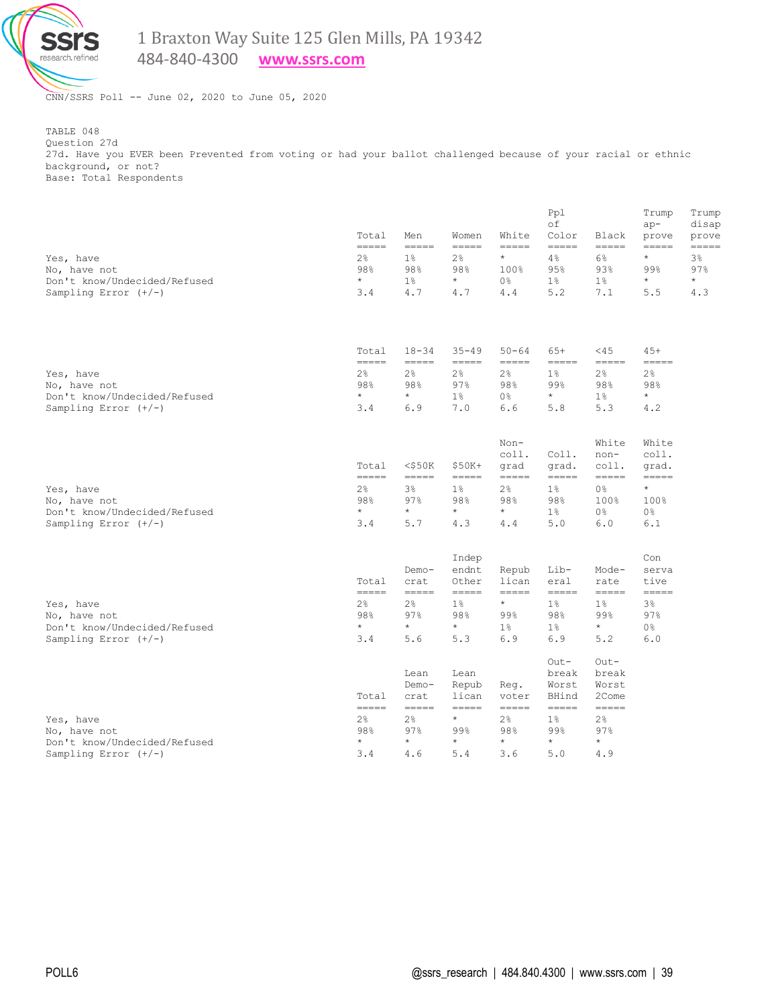

484-840-4300 **[www.ssrs.com](http://www.ssrs.com/)**

CNN/SSRS Poll -- June 02, 2020 to June 05, 2020

TABLE 048 Question 27d 27d. Have you EVER been Prevented from voting or had your ballot challenged because of your racial or ethnic background, or not? Base: Total Respondents

|                                              | Total<br>$\qquad \qquad \displaystyle =\!=\!=\!=\!=\!=$    | Men<br>$=$ $=$ $=$ $=$            | Women<br>$=$ $=$ $=$ $=$ $=$ | White<br>$=$ $=$ $=$ $=$          | Ppl<br>οf<br>Color<br>$=$ $=$ $=$ $=$ | Black<br>$=$ $=$ $=$ $=$                                                           | Trump<br>$ap-$<br>prove<br>$=====$                                                          | Trump<br>disap<br>prove<br>$\qquad \qquad \doteq \qquad \qquad \doteq \qquad \qquad \doteq \qquad \qquad \doteq \qquad \qquad \doteq \qquad \qquad \doteq \qquad \qquad \qquad \doteq \qquad \qquad \doteq \qquad \qquad \doteq \qquad \qquad \doteq \qquad \qquad \doteq \qquad \qquad \doteq \qquad \qquad \qquad \doteq \qquad \qquad \doteq \qquad \qquad \doteq \qquad \qquad \doteq \qquad \qquad \doteq \qquad \qquad \doteq \qquad \qquad \doteq \qquad \qquad \doteq \qquad \qquad \doteq \qquad \$ |
|----------------------------------------------|------------------------------------------------------------|-----------------------------------|------------------------------|-----------------------------------|---------------------------------------|------------------------------------------------------------------------------------|---------------------------------------------------------------------------------------------|--------------------------------------------------------------------------------------------------------------------------------------------------------------------------------------------------------------------------------------------------------------------------------------------------------------------------------------------------------------------------------------------------------------------------------------------------------------------------------------------------------------|
| Yes, have                                    | $2\frac{6}{6}$                                             | $1\%$                             | 2%                           | $\star$                           | 4%                                    | $6\%$                                                                              | $\star$                                                                                     | 3%                                                                                                                                                                                                                                                                                                                                                                                                                                                                                                           |
| No, have not                                 | 98%                                                        | 98%                               | 98%                          | 100%                              | 95%                                   | 93%                                                                                | 99%                                                                                         | 97%                                                                                                                                                                                                                                                                                                                                                                                                                                                                                                          |
| Don't know/Undecided/Refused                 | $\star$<br>3.4                                             | $1\%$<br>4.7                      | $\star$<br>4.7               | 0%<br>4.4                         | $1\%$<br>5.2                          | $1\%$<br>7.1                                                                       | $\star$<br>5.5                                                                              | $\star$<br>4.3                                                                                                                                                                                                                                                                                                                                                                                                                                                                                               |
| Sampling Error $(+/-)$                       |                                                            |                                   |                              |                                   |                                       |                                                                                    |                                                                                             |                                                                                                                                                                                                                                                                                                                                                                                                                                                                                                              |
|                                              |                                                            |                                   |                              |                                   |                                       |                                                                                    |                                                                                             |                                                                                                                                                                                                                                                                                                                                                                                                                                                                                                              |
|                                              | Total<br>$=$ $=$ $=$ $=$                                   | $18 - 34$<br>$=$ $=$ $=$ $=$      | $35 - 49$<br>$=$ $=$ $=$ $=$ | $50 - 64$<br>$=$ $=$ $=$ $=$      | $65+$<br>$=$ $=$ $=$ $=$              | $<$ 45<br>$=$ $=$ $=$ $=$                                                          | $45+$<br>=====                                                                              |                                                                                                                                                                                                                                                                                                                                                                                                                                                                                                              |
| Yes, have                                    | 2%                                                         | $2\%$                             | 2%                           | 2%                                | $1\%$                                 | 2%                                                                                 | 2%                                                                                          |                                                                                                                                                                                                                                                                                                                                                                                                                                                                                                              |
| No, have not<br>Don't know/Undecided/Refused | 98%<br>$\star$                                             | 98%<br>$\star$                    | 97%<br>$1\%$                 | 98%<br>0 %                        | 99%<br>$^{\star}$                     | 98%<br>$1\%$                                                                       | 98%<br>$\star$                                                                              |                                                                                                                                                                                                                                                                                                                                                                                                                                                                                                              |
| Sampling Error $(+/-)$                       | 3.4                                                        | 6.9                               | 7.0                          | 6.6                               | 5.8                                   | 5.3                                                                                | 4.2                                                                                         |                                                                                                                                                                                                                                                                                                                                                                                                                                                                                                              |
|                                              |                                                            |                                   |                              | Non-                              |                                       | White                                                                              | White                                                                                       |                                                                                                                                                                                                                                                                                                                                                                                                                                                                                                              |
|                                              |                                                            |                                   |                              | coll.                             | Coll.                                 | non-                                                                               | coll.                                                                                       |                                                                                                                                                                                                                                                                                                                                                                                                                                                                                                              |
|                                              | Total<br>=====                                             | $<$ \$50 $K$<br>$=====$           | $$50K+$<br>$=$ $=$ $=$ $=$   | grad<br>$=$ $=$ $=$ $=$           | qrad.<br>$=$ $=$ $=$ $=$              | coll.<br>$=$ $=$ $=$ $=$                                                           | qrad.<br>$=$ $=$ $=$ $=$                                                                    |                                                                                                                                                                                                                                                                                                                                                                                                                                                                                                              |
| Yes, have                                    | $2\frac{6}{6}$                                             | $3\%$                             | $1\%$                        | $2\frac{6}{6}$                    | $1\%$                                 | 0 %                                                                                | $\star$                                                                                     |                                                                                                                                                                                                                                                                                                                                                                                                                                                                                                              |
| No, have not                                 | 98%                                                        | 97%                               | 98%                          | 98%                               | 98%                                   | 100%                                                                               | 100%                                                                                        |                                                                                                                                                                                                                                                                                                                                                                                                                                                                                                              |
| Don't know/Undecided/Refused                 | $\star$                                                    | $\star$                           | $\star$                      | $\star$                           | $1\%$                                 | 0 <sup>°</sup>                                                                     | $0\,$ %<br>$6.1\,$                                                                          |                                                                                                                                                                                                                                                                                                                                                                                                                                                                                                              |
| Sampling Error $(+/-)$                       | 3.4                                                        | 5.7                               | 4.3                          | 4.4                               | 5.0                                   | 6.0                                                                                |                                                                                             |                                                                                                                                                                                                                                                                                                                                                                                                                                                                                                              |
|                                              |                                                            |                                   | Indep                        |                                   |                                       |                                                                                    | Con                                                                                         |                                                                                                                                                                                                                                                                                                                                                                                                                                                                                                              |
|                                              | Total                                                      | Demo-<br>crat                     | endnt<br>Other               | Repub<br>lican                    | Lib-<br>eral                          | Mode-<br>rate                                                                      | serva<br>tive                                                                               |                                                                                                                                                                                                                                                                                                                                                                                                                                                                                                              |
| Yes, have                                    | $=$ $=$ $=$ $=$<br>$2\frac{6}{6}$                          | $=$ $=$ $=$ $=$<br>$2\frac{6}{6}$ | $=$ $=$ $=$ $=$ $=$<br>$1\%$ | $=$ $=$ $=$ $=$<br>$\star$        | $=$ $=$ $=$ $=$<br>$1\%$              | $\qquad \qquad \displaystyle =\qquad \qquad \displaystyle =\qquad \qquad$<br>$1\%$ | $\qquad \qquad \displaystyle =\qquad \qquad \displaystyle =\qquad \qquad$<br>$3\frac{6}{6}$ |                                                                                                                                                                                                                                                                                                                                                                                                                                                                                                              |
| No, have not                                 | 98%                                                        | 97%                               | 98%                          | 99%                               | 98%                                   | 99%                                                                                | 97%                                                                                         |                                                                                                                                                                                                                                                                                                                                                                                                                                                                                                              |
| Don't know/Undecided/Refused                 | $\star$                                                    | $\star$                           | $\star$                      | $1\%$                             | $1\%$                                 | $\star$                                                                            | 0%                                                                                          |                                                                                                                                                                                                                                                                                                                                                                                                                                                                                                              |
| Sampling Error $(+/-)$                       | 3.4                                                        | 5.6                               | 5.3                          | 6.9                               | 6.9                                   | 5.2                                                                                | 6.0                                                                                         |                                                                                                                                                                                                                                                                                                                                                                                                                                                                                                              |
|                                              |                                                            |                                   |                              |                                   | $Out-$                                | $Out-$                                                                             |                                                                                             |                                                                                                                                                                                                                                                                                                                                                                                                                                                                                                              |
|                                              |                                                            | Lean                              | Lean                         |                                   | break                                 | break                                                                              |                                                                                             |                                                                                                                                                                                                                                                                                                                                                                                                                                                                                                              |
|                                              | Total                                                      | Demo-<br>crat                     | Repub<br>lican               | Reg.<br>voter                     | Worst<br>BHind                        | Worst<br>2Come                                                                     |                                                                                             |                                                                                                                                                                                                                                                                                                                                                                                                                                                                                                              |
| Yes, have                                    | $\qquad \qquad \displaystyle ==\qquad =$<br>2 <sup>°</sup> | $=$ $=$ $=$ $=$<br>$2\%$          | $=$ $=$ $=$ $=$<br>$\star$   | $=$ $=$ $=$ $=$<br>2 <sup>°</sup> | $=$ $=$ $=$ $=$<br>$1\%$              | $=$ $=$ $=$ $=$<br>$2\%$                                                           |                                                                                             |                                                                                                                                                                                                                                                                                                                                                                                                                                                                                                              |
| No, have not                                 | 98%                                                        | 97%                               | 99%                          | 98%                               | 99%                                   | 97%                                                                                |                                                                                             |                                                                                                                                                                                                                                                                                                                                                                                                                                                                                                              |
| Don't know/Undecided/Refused                 | $\star$                                                    | $\star$                           | $\star$                      | $\star$                           | $^{\star}$                            | $\star$                                                                            |                                                                                             |                                                                                                                                                                                                                                                                                                                                                                                                                                                                                                              |
| Sampling Error $(+/-)$                       | 3.4                                                        | 4.6                               | 5.4                          | 3.6                               | 5.0                                   | 4.9                                                                                |                                                                                             |                                                                                                                                                                                                                                                                                                                                                                                                                                                                                                              |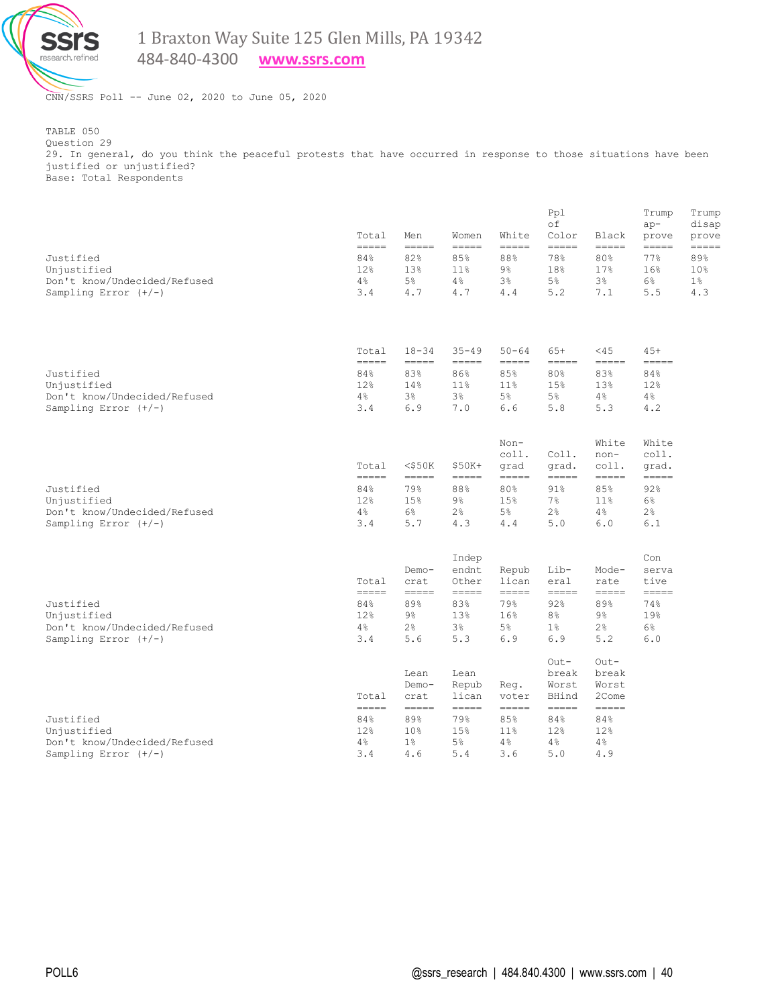

484-840-4300 **[www.ssrs.com](http://www.ssrs.com/)**

CNN/SSRS Poll -- June 02, 2020 to June 05, 2020

TABLE 050 Question 29 29. In general, do you think the peaceful protests that have occurred in response to those situations have been justified or unjustified? Base: Total Respondents

|                                                                                    | Total                               | Men                                                       | Women                                                                                | White                                                                                   | Ppl<br>οf<br>Color                    | Black                                                                         | Trump<br>$ap-$<br>prove          | Trump<br>disap<br>prove                         |
|------------------------------------------------------------------------------------|-------------------------------------|-----------------------------------------------------------|--------------------------------------------------------------------------------------|-----------------------------------------------------------------------------------------|---------------------------------------|-------------------------------------------------------------------------------|----------------------------------|-------------------------------------------------|
| Justified<br>Unjustified<br>Don't know/Undecided/Refused<br>Sampling Error $(+/-)$ | $=====$<br>84%<br>12%<br>4%<br>3.4  | $=$ $=$ $=$ $=$<br>82%<br>13%<br>5%<br>4.7                | $=$ $=$ $=$ $=$<br>85%<br>11%<br>4%<br>4.7                                           | $=$ $=$ $=$ $=$<br>88%<br>9%<br>3%<br>4.4                                               | =====<br>78%<br>18%<br>$5\%$<br>5.2   | =====<br>80%<br>17%<br>3%<br>7.1                                              | =====<br>77%<br>16%<br>6%<br>5.5 | =====<br>89%<br>10 <sup>°</sup><br>$1\,$<br>4.3 |
|                                                                                    | Total<br>$\frac{1}{1}$              | $18 - 34$<br>$=$ $=$ $=$ $=$                              | $35 - 49$<br>$=$ $=$ $=$ $=$                                                         | $50 - 64$<br>$=$ $=$ $=$ $=$                                                            | $65+$<br>=====                        | $<$ 45<br>=====                                                               | $45+$<br>=====                   |                                                 |
| Justified<br>Unjustified<br>Don't know/Undecided/Refused<br>Sampling Error $(+/-)$ | 84%<br>12 <sup>8</sup><br>4%<br>3.4 | 83%<br>14%<br>3 <sup>°</sup><br>6.9                       | 86%<br>$11\%$<br>3%<br>7.0                                                           | 85%<br>11 <sup>8</sup><br>5%<br>6.6                                                     | 80%<br>15%<br>5%<br>5.8               | 83%<br>13 <sub>8</sub><br>4%<br>5.3                                           | 84%<br>12%<br>4%<br>4.2          |                                                 |
|                                                                                    | Total<br>=====                      | $<$ \$50 $K$<br>$=$ $=$ $=$ $=$                           | $$50K+$<br>$\qquad \qquad \displaystyle =\qquad \qquad \displaystyle =\qquad \qquad$ | $Non-$<br>$\text{coll.}$<br>qrad<br>$\qquad \qquad \displaystyle =\qquad \qquad \qquad$ | Coll.<br>qrad.<br>-----               | White<br>non-<br>coll.<br>$\qquad \qquad \displaystyle =\qquad \qquad \qquad$ | White<br>coll.<br>qrad.<br>===== |                                                 |
| Justified<br>Unjustified<br>Don't know/Undecided/Refused<br>Sampling Error $(+/-)$ | 84%<br>12%<br>4%<br>3.4             | 79%<br>15%<br>$6\%$<br>5.7                                | 88%<br>9 <sup>°</sup><br>$2\,$<br>4.3                                                | 80%<br>15%<br>$5\%$<br>4.4                                                              | 91%<br>7%<br>2 <sup>°</sup><br>5.0    | 85%<br>11 <sup>°</sup><br>4%<br>6.0                                           | 92%<br>$6\%$<br>2%<br>6.1        |                                                 |
|                                                                                    | Total<br>$=$ $=$ $=$ $=$            | $Demo-$<br>crat<br>$=$ $=$ $=$ $=$                        | Indep<br>endnt<br>Other<br>$=$ $=$ $=$ $=$                                           | Repub<br>lican<br>$=$ $=$ $=$ $=$                                                       | Lib-<br>eral<br>$=$ $=$ $=$ $=$       | Mode-<br>rate<br>=====                                                        | Con<br>serva<br>tive<br>$=====$  |                                                 |
| Justified<br>Unjustified<br>Don't know/Undecided/Refused<br>Sampling Error $(+/-)$ | 84%<br>12%<br>4%<br>3.4             | 89%<br>$9\%$<br>$2\%$<br>5.6                              | 83%<br>13%<br>$3\%$<br>5.3                                                           | 79%<br>16%<br>5%<br>6.9                                                                 | 92%<br>8 <sup>°</sup><br>$1\%$<br>6.9 | 89%<br>9%<br>2%<br>5.2                                                        | 74%<br>19%<br>6%<br>6.0          |                                                 |
|                                                                                    | Total                               | Lean<br>$Demo-$<br>crat                                   | Lean<br>Repub<br>lican                                                               | Reg.<br>voter                                                                           | $Out-$<br>break<br>Worst<br>BHind     | $Out-$<br>break<br>Worst<br>2Come                                             |                                  |                                                 |
| Justified<br>Unjustified<br>Don't know/Undecided/Refused<br>Sampling Error $(+/-)$ | =====<br>84%<br>12%<br>4%<br>3.4    | $=$ $=$ $=$ $=$<br>89%<br>10 <sub>8</sub><br>$1\%$<br>4.6 | $=$ $=$ $=$ $=$<br>79%<br>15%<br>5%<br>5.4                                           | $=$ $=$ $=$ $=$<br>85%<br>11 <sup>8</sup><br>4%<br>3.6                                  | =====<br>84%<br>12%<br>4%<br>5.0      | $=$ $=$ $=$ $=$<br>84%<br>12%<br>4%<br>4.9                                    |                                  |                                                 |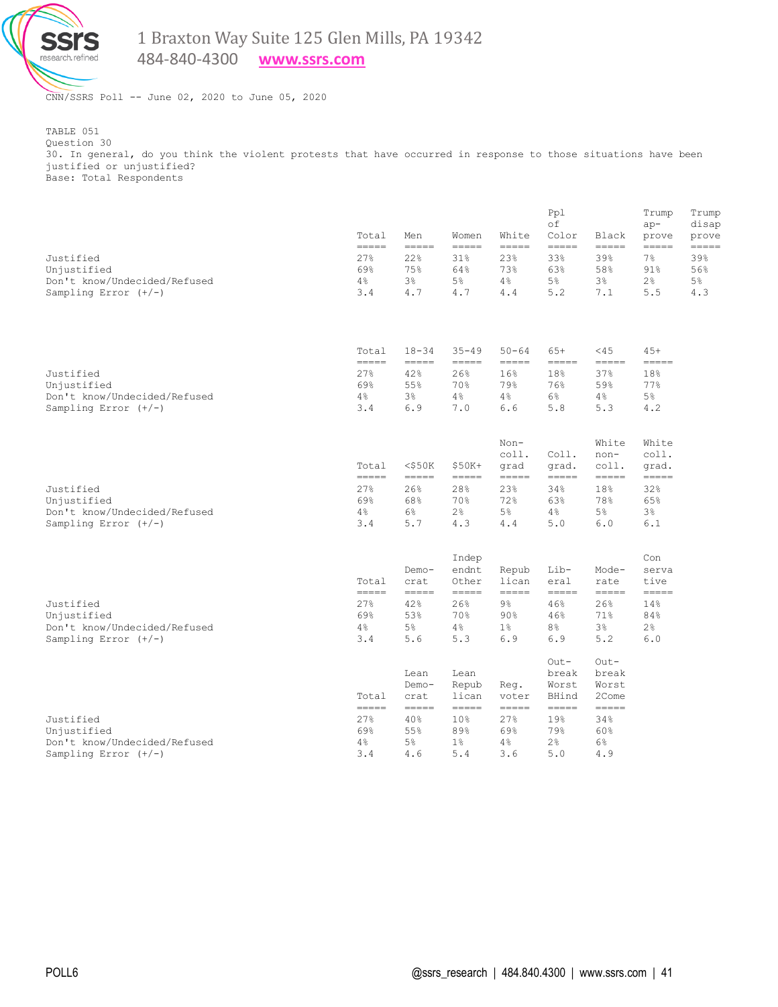

484-840-4300 **[www.ssrs.com](http://www.ssrs.com/)**

CNN/SSRS Poll -- June 02, 2020 to June 05, 2020

TABLE 051 Question 30 30. In general, do you think the violent protests that have occurred in response to those situations have been justified or unjustified? Base: Total Respondents

|                                                                                    | Total<br>$=====$                                    | Men<br>$=$ $=$ $=$ $=$                                                                     | Women<br>$=$ $=$ $=$ $=$                                                       | White<br>$=$ $=$ $=$ $=$                                                                    | Ppl<br>оf<br>Color<br>$=$ $=$ $=$ $=$                                                     | Black<br>$=$ $=$ $=$ $=$                                                                   | Trump<br>$ap-$<br>prove<br>$=$ $=$ $=$ $=$                                                        | Trump<br>disap<br>prove<br>----- |
|------------------------------------------------------------------------------------|-----------------------------------------------------|--------------------------------------------------------------------------------------------|--------------------------------------------------------------------------------|---------------------------------------------------------------------------------------------|-------------------------------------------------------------------------------------------|--------------------------------------------------------------------------------------------|---------------------------------------------------------------------------------------------------|----------------------------------|
| Justified<br>Unjustified<br>Don't know/Undecided/Refused<br>Sampling Error $(+/-)$ | 27%<br>69%<br>$4\%$<br>3.4                          | 22%<br>75%<br>3%<br>4.7                                                                    | 31%<br>64%<br>$5\%$<br>4.7                                                     | 23%<br>73%<br>$4\%$<br>4.4                                                                  | 33%<br>63%<br>$5\%$<br>5.2                                                                | 39%<br>58%<br>$3\,$<br>7.1                                                                 | $7\%$<br>91%<br>2%<br>5.5                                                                         | 39%<br>56%<br>$5\%$<br>4.3       |
|                                                                                    | Total<br>$\qquad \qquad \overline{\qquad \qquad }=$ | $18 - 34$<br>$\frac{1}{1}$                                                                 | $35 - 49$<br>=====                                                             | $50 - 64$<br>=====                                                                          | $65+$<br>$=$ $=$ $=$ $=$                                                                  | $<$ 45<br>$=$ $=$ $=$ $=$                                                                  | $45+$<br>$=$ $=$ $=$ $=$                                                                          |                                  |
| Justified<br>Unjustified<br>Don't know/Undecided/Refused<br>Sampling Error $(+/-)$ | 27%<br>69%<br>$4\%$<br>3.4                          | 42%<br>55%<br>3%<br>6.9                                                                    | 26%<br>70%<br>$4\%$<br>7.0                                                     | 16%<br>79%<br>4%<br>6.6                                                                     | 18%<br>76%<br>6%<br>5.8                                                                   | 37%<br>59%<br>4%<br>5.3                                                                    | 18%<br>77%<br>$5\%$<br>4.2                                                                        |                                  |
|                                                                                    | Total<br>$=====$                                    | $<$ \$50 $K$<br>=====                                                                      | $$50K+$<br>=====                                                               | $Non-$<br>coll.<br>qrad<br>$=$ $=$ $=$ $=$                                                  | Coll.<br>qrad.<br>$=$ $=$ $=$ $=$                                                         | White<br>non-<br>coll.<br>$=====$                                                          | White<br>coll.<br>qrad.<br>$=$ $=$ $=$ $=$                                                        |                                  |
| Justified<br>Unjustified<br>Don't know/Undecided/Refused<br>Sampling Error $(+/-)$ | 27%<br>69%<br>4%<br>3.4                             | 26%<br>68%<br>$6\%$<br>5.7                                                                 | 28%<br>70%<br>$2\frac{6}{5}$<br>4.3                                            | 23%<br>72%<br>$5\%$<br>4.4                                                                  | 34%<br>63%<br>4%<br>5.0                                                                   | 18%<br>78%<br>$5\%$<br>6.0                                                                 | 32%<br>65%<br>$3\%$<br>$6.1\,$                                                                    |                                  |
|                                                                                    | Total<br>-----                                      | Demo-<br>crat<br>$\qquad \qquad \displaystyle =\qquad \qquad \displaystyle =\qquad \qquad$ | Indep<br>endnt<br>Other<br>$\qquad \qquad \displaystyle =\qquad \qquad \qquad$ | Repub<br>lican<br>$\qquad \qquad \displaystyle =\qquad \qquad \displaystyle =\qquad \qquad$ | Lib-<br>eral<br>$\qquad \qquad \displaystyle =\qquad \qquad \displaystyle =\qquad \qquad$ | Mode-<br>rate<br>$\qquad \qquad \displaystyle =\qquad \qquad \displaystyle =\qquad \qquad$ | Con<br>serva<br>tive<br>$\qquad \qquad \displaystyle =\qquad \qquad \displaystyle =\qquad \qquad$ |                                  |
| Justified<br>Unjustified<br>Don't know/Undecided/Refused<br>Sampling Error $(+/-)$ | 27%<br>69%<br>$4\%$<br>3.4                          | 42%<br>53%<br>5%<br>5.6                                                                    | 26%<br>70%<br>$4\,$<br>5.3                                                     | 9%<br>90 <sub>8</sub><br>$1\%$<br>6.9                                                       | 46%<br>46%<br>$8\,$<br>6.9                                                                | 26%<br>71%<br>$3\,$<br>5.2                                                                 | 14%<br>84%<br>$2\frac{6}{9}$<br>6.0                                                               |                                  |
|                                                                                    | Total                                               | Lean<br>Demo-<br>crat                                                                      | Lean<br>Repub<br>lican                                                         | Reg.<br>voter                                                                               | $Out-$<br>break<br>Worst<br>BHind                                                         | $Out-$<br>break<br>Worst<br>2Come                                                          |                                                                                                   |                                  |
| Justified<br>Unjustified<br>Don't know/Undecided/Refused<br>Sampling Error $(+/-)$ | $=====$<br>27%<br>69%<br>4%<br>3.4                  | $=$ $=$ $=$ $=$<br>40%<br>55%<br>5%<br>4.6                                                 | $=$ $=$ $=$ $=$<br>10%<br>89%<br>$1\%$<br>5.4                                  | $=====$<br>27%<br>69%<br>$4\%$<br>3.6                                                       | $=====$<br>19%<br>79%<br>2 <sup>°</sup><br>5.0                                            | $=$ $=$ $=$ $=$<br>34%<br>60%<br>$6\%$<br>4.9                                              |                                                                                                   |                                  |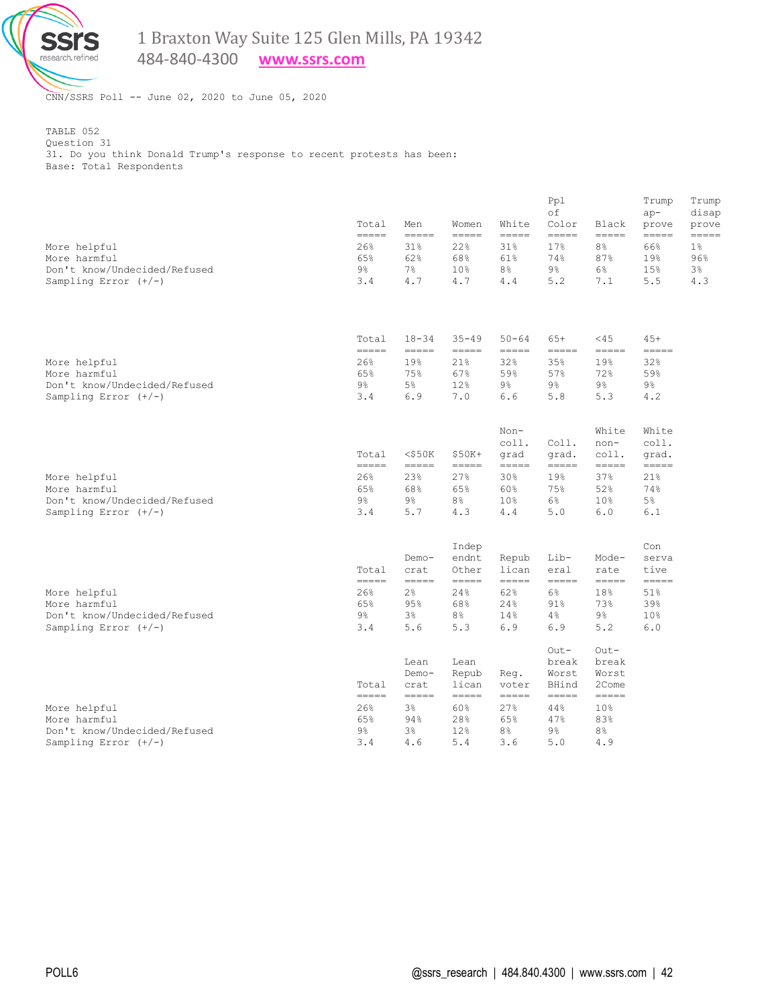

484-840-4300 **[www.ssrs.com](http://www.ssrs.com/)**

CNN/SSRS Poll -- June 02, 2020 to June 05, 2020

TABLE 052 Question 31 31. Do you think Donald Trump's response to recent protests has been: Base: Total Respondents

|                                                                                        | Total<br>$\qquad \qquad \overline{\qquad \qquad }=$                                                                                                                                                                                                                                                                                                                                                   | Men<br>$\frac{1}{1}$                  | Women<br>$\qquad \qquad \displaystyle =\qquad \qquad \qquad$ | White<br>$\begin{array}{c} - - - - - \end{array}$ | Ppl<br>оf<br>Color<br>$=$ $=$ $=$ $=$                                                       | Black<br>$\begin{array}{c} - - - - - \end{array}$                                                   | Trump<br>$ap-$<br>prove<br>$=$ $=$ $=$ $=$                                                                                                                                                                                                                                                                                                                                                                                                                                                                 | Trump<br>disap<br>prove<br>-----      |
|----------------------------------------------------------------------------------------|-------------------------------------------------------------------------------------------------------------------------------------------------------------------------------------------------------------------------------------------------------------------------------------------------------------------------------------------------------------------------------------------------------|---------------------------------------|--------------------------------------------------------------|---------------------------------------------------|---------------------------------------------------------------------------------------------|-----------------------------------------------------------------------------------------------------|------------------------------------------------------------------------------------------------------------------------------------------------------------------------------------------------------------------------------------------------------------------------------------------------------------------------------------------------------------------------------------------------------------------------------------------------------------------------------------------------------------|---------------------------------------|
| More helpful<br>More harmful<br>Don't know/Undecided/Refused<br>Sampling Error $(+/-)$ | 26%<br>65%<br>9%<br>3.4                                                                                                                                                                                                                                                                                                                                                                               | 31%<br>62%<br>$7\%$<br>4.7            | 22%<br>68%<br>10 <sub>8</sub><br>4.7                         | 31%<br>61%<br>$8\,$<br>4.4                        | 17 <sup>°</sup><br>74%<br>9%<br>5.2                                                         | 8 <sup>°</sup><br>87%<br>$6\%$<br>7.1                                                               | 66%<br>19%<br>15%<br>5.5                                                                                                                                                                                                                                                                                                                                                                                                                                                                                   | $1\%$<br>96%<br>$3\frac{6}{6}$<br>4.3 |
|                                                                                        | Total<br>$\frac{1}{1} \frac{1}{1} \frac{1}{1} \frac{1}{1} \frac{1}{1} \frac{1}{1} \frac{1}{1} \frac{1}{1} \frac{1}{1} \frac{1}{1} \frac{1}{1} \frac{1}{1} \frac{1}{1} \frac{1}{1} \frac{1}{1} \frac{1}{1} \frac{1}{1} \frac{1}{1} \frac{1}{1} \frac{1}{1} \frac{1}{1} \frac{1}{1} \frac{1}{1} \frac{1}{1} \frac{1}{1} \frac{1}{1} \frac{1}{1} \frac{1}{1} \frac{1}{1} \frac{1}{1} \frac{1}{1} \frac{$ | $18 - 34$<br>$=====$                  | $35 - 49$<br>=====                                           | $50 - 64$<br>$=$ $=$ $=$ $=$                      | $65+$<br>$=$ $=$ $=$ $=$                                                                    | $<$ 45<br>$=$ $=$ $=$ $=$                                                                           | $45+$<br>$=$ $=$ $=$ $=$                                                                                                                                                                                                                                                                                                                                                                                                                                                                                   |                                       |
| More helpful<br>More harmful<br>Don't know/Undecided/Refused<br>Sampling Error $(+/-)$ | 26%<br>65%<br>9%<br>3.4                                                                                                                                                                                                                                                                                                                                                                               | 19%<br>75%<br>5%<br>6.9               | 21%<br>67%<br>12%<br>7.0                                     | 32%<br>59%<br>9%<br>6.6                           | 35%<br>57%<br>9%<br>5.8                                                                     | 19 <sub>8</sub><br>72%<br>9%<br>5.3                                                                 | 32%<br>59%<br>9%<br>4.2                                                                                                                                                                                                                                                                                                                                                                                                                                                                                    |                                       |
|                                                                                        | Total<br>$=$ $=$ $=$ $=$                                                                                                                                                                                                                                                                                                                                                                              | $<$ \$50 $K$<br>=====                 | $$50K+$<br>=====                                             | Non-<br>coll.<br>grad<br>$=$ $=$ $=$ $=$          | Coll.<br>qrad.<br>$\qquad \qquad \displaystyle =\qquad \qquad \displaystyle =\qquad \qquad$ | White<br>non-<br>coll.<br>$\qquad \qquad \displaystyle =\qquad \qquad \displaystyle =\qquad \qquad$ | White<br>coll.<br>grad.<br>$\qquad \qquad \doteq \qquad \qquad \doteq \qquad \qquad \doteq \qquad \qquad \doteq \qquad \qquad \doteq \qquad \qquad \doteq \qquad \qquad \doteq \qquad \qquad \doteq \qquad \qquad \doteq \qquad \qquad \doteq \qquad \qquad \doteq \qquad \qquad \doteq \qquad \qquad \doteq \qquad \qquad \doteq \qquad \qquad \doteq \qquad \qquad \doteq \qquad \qquad \doteq \qquad \qquad \doteq \qquad \qquad \doteq \qquad \qquad \doteq \qquad \qquad \doteq \qquad \qquad \doteq$ |                                       |
| More helpful<br>More harmful<br>Don't know/Undecided/Refused<br>Sampling Error $(+/-)$ | 26%<br>65%<br>9%<br>3.4                                                                                                                                                                                                                                                                                                                                                                               | 23%<br>68%<br>9%<br>5.7               | 27%<br>65%<br>8 <sup>°</sup><br>4.3                          | 30%<br>60%<br>10%<br>4.4                          | 19%<br>75%<br>$6\%$<br>5.0                                                                  | 37%<br>52%<br>10 <sub>8</sub><br>6.0                                                                | 21%<br>74%<br>$5\%$<br>6.1                                                                                                                                                                                                                                                                                                                                                                                                                                                                                 |                                       |
|                                                                                        | Total<br>$=$ $=$ $=$ $=$                                                                                                                                                                                                                                                                                                                                                                              | Demo-<br>crat<br>$\frac{1}{1}$        | Indep<br>endnt<br>Other<br>=====                             | Repub<br>lican<br>=====                           | Lib-<br>eral<br>$=$ $=$ $=$ $=$                                                             | Mode-<br>rate<br>$=$ $=$ $=$ $=$                                                                    | Con<br>serva<br>tive<br>$=$ $=$ $=$ $=$                                                                                                                                                                                                                                                                                                                                                                                                                                                                    |                                       |
| More helpful<br>More harmful<br>Don't know/Undecided/Refused<br>Sampling Error $(+/-)$ | 26%<br>65%<br>9%<br>3.4                                                                                                                                                                                                                                                                                                                                                                               | $2\frac{6}{6}$<br>95%<br>$3\%$<br>5.6 | 24%<br>68%<br>8%<br>5.3                                      | 62%<br>24%<br>14%<br>6.9                          | $6\%$<br>91%<br>4%<br>6.9                                                                   | 18%<br>73%<br>$9\%$<br>5.2                                                                          | 51%<br>39%<br>10 <sup>°</sup><br>6.0                                                                                                                                                                                                                                                                                                                                                                                                                                                                       |                                       |
|                                                                                        | Total<br>$=$ $=$ $=$ $=$                                                                                                                                                                                                                                                                                                                                                                              | Lean<br>Demo-<br>crat<br>=====        | Lean<br>Repub<br>lican<br>=====                              | Reg.<br>voter<br>$=$ $=$ $=$ $=$                  | $Out-$<br>break<br>Worst<br>BHind<br>$=$ $=$ $=$ $=$                                        | $Out-$<br>break<br>Worst<br>2Come<br>-----                                                          |                                                                                                                                                                                                                                                                                                                                                                                                                                                                                                            |                                       |
| More helpful<br>More harmful<br>Don't know/Undecided/Refused<br>Sampling Error $(+/-)$ | 26%<br>65%<br>9%<br>3.4                                                                                                                                                                                                                                                                                                                                                                               | 3%<br>94%<br>3%<br>4.6                | 60%<br>28%<br>12%<br>5.4                                     | 27%<br>65%<br>8 <sup>°</sup><br>3.6               | 44%<br>47%<br>9%<br>5.0                                                                     | 10 <sup>°</sup><br>83%<br>8 <sup>°</sup><br>4.9                                                     |                                                                                                                                                                                                                                                                                                                                                                                                                                                                                                            |                                       |